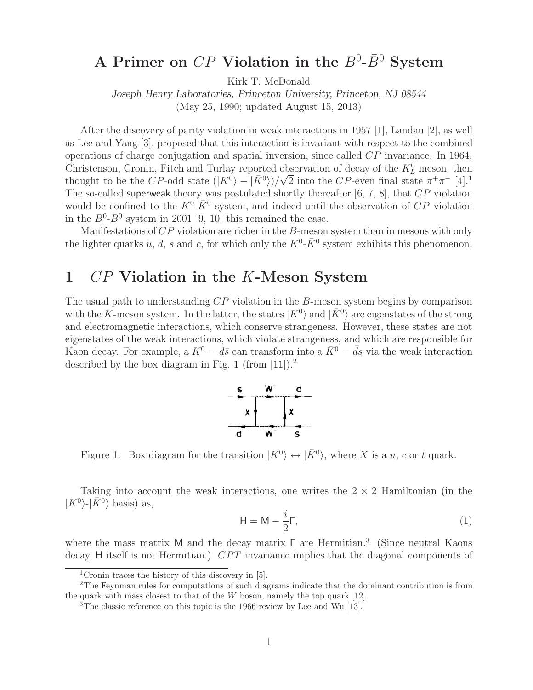# A Primer on  $\overline{CP}$  Violation in the  $B^0$ - $\overline{B}^0$  System

Kirk T. McDonald

*Joseph Henry Laboratories, Princeton University, Princeton, NJ 08544*

(May 25, 1990; updated August 15, 2013)

After the discovery of parity violation in weak interactions in 1957 [1], Landau [2], as well as Lee and Yang [3], proposed that this interaction is invariant with respect to the combined operations of charge conjugation and spatial inversion, since called CP invariance. In 1964, Christenson, Cronin, Fitch and Turlay reported observation of decay of the  $K^0_L$  meson, then Construction, Cronin, Fitch and Turiay reported observation of decay of the  $\Lambda_L$  meson, then<br>thought to be the CP-odd state  $(|K^0\rangle - |\bar{K}^0\rangle)/\sqrt{2}$  into the CP-even final state  $\pi^+\pi^-$  [4].<sup>1</sup> The so-called superweak theory was postulated shortly thereafter  $[6, 7, 8]$ , that  $CP$  violation would be confined to the  $K^0$ - $\bar{K}^0$  system, and indeed until the observation of  $CP$  violation in the  $B^0$ - $\bar{B}^0$  system in 2001 [9, 10] this remained the case.

Manifestations of CP violation are richer in the B-meson system than in mesons with only the lighter quarks u, d, s and c, for which only the  $K^0$ - $\bar{K}^0$  system exhibits this phenomenon.

# **1** CP **Violation in the** K**-Meson System**

The usual path to understanding CP violation in the B-meson system begins by comparison with the K-meson system. In the latter, the states  $|K^0\rangle$  and  $|\bar{K}^0\rangle$  are eigenstates of the strong and electromagnetic interactions, which conserve strangeness. However, these states are not eigenstates of the weak interactions, which violate strangeness, and which are responsible for Kaon decay. For example, a  $K^0 = d\bar{s}$  can transform into a  $\bar{K}^0 = \bar{d}s$  via the weak interaction described by the box diagram in Fig. 1 (from  $[11]$ ).<sup>2</sup>



Figure 1: Box diagram for the transition  $|K^0\rangle \leftrightarrow |\bar{K}^0\rangle$ , where X is a u, c or t quark.

Taking into account the weak interactions, one writes the  $2 \times 2$  Hamiltonian (in the  $|K^0\rangle$ - $|\bar{K}^0\rangle$  basis) as,

$$
H = M - \frac{i}{2} \Gamma, \tag{1}
$$

where the mass matrix M and the decay matrix Γ are Hermitian.<sup>3</sup> (Since neutral Kaons decay, H itself is not Hermitian.) CPT invariance implies that the diagonal components of

<sup>&</sup>lt;sup>1</sup>Cronin traces the history of this discovery in  $[5]$ .

<sup>2</sup>The Feynman rules for computations of such diagrams indicate that the dominant contribution is from the quark with mass closest to that of the  $W$  boson, namely the top quark [12].

<sup>&</sup>lt;sup>3</sup>The classic reference on this topic is the 1966 review by Lee and Wu [13].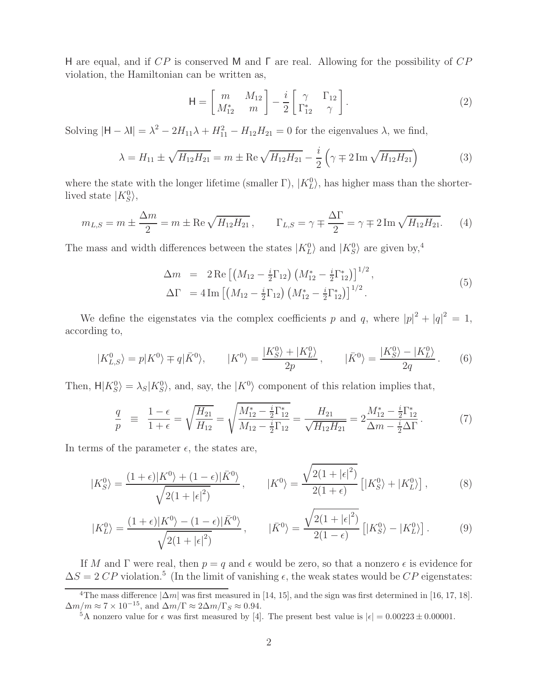H are equal, and if CP is conserved M and Γ are real. Allowing for the possibility of CP violation, the Hamiltonian can be written as,

$$
\mathsf{H} = \begin{bmatrix} m & M_{12} \\ M_{12}^* & m \end{bmatrix} - \frac{i}{2} \begin{bmatrix} \gamma & \Gamma_{12} \\ \Gamma_{12}^* & \gamma \end{bmatrix} . \tag{2}
$$

Solving  $|H - \lambda I| = \lambda^2 - 2H_{11}\lambda + H_{11}^2 - H_{12}H_{21} = 0$  for the eigenvalues  $\lambda$ , we find,

$$
\lambda = H_{11} \pm \sqrt{H_{12}H_{21}} = m \pm \text{Re}\sqrt{H_{12}H_{21}} - \frac{i}{2}\left(\gamma \mp 2\text{Im}\sqrt{H_{12}H_{21}}\right) \tag{3}
$$

where the state with the longer lifetime (smaller  $\Gamma$ ),  $|K_L^0\rangle$ , has higher mass than the shorterlived state  $|K_S^0\rangle$ ,

$$
m_{L,S} = m \pm \frac{\Delta m}{2} = m \pm \text{Re}\sqrt{H_{12}H_{21}}, \qquad \Gamma_{L,S} = \gamma \mp \frac{\Delta \Gamma}{2} = \gamma \mp 2\,\text{Im}\sqrt{H_{12}H_{21}}.\tag{4}
$$

The mass and width differences between the states  $|K_L^0\rangle$  and  $|K_S^0\rangle$  are given by,<sup>4</sup>

$$
\Delta m = 2 \operatorname{Re} \left[ \left( M_{12} - \frac{i}{2} \Gamma_{12} \right) \left( M_{12}^* - \frac{i}{2} \Gamma_{12}^* \right) \right]^{1/2},
$$
  
\n
$$
\Delta \Gamma = 4 \operatorname{Im} \left[ \left( M_{12} - \frac{i}{2} \Gamma_{12} \right) \left( M_{12}^* - \frac{i}{2} \Gamma_{12}^* \right) \right]^{1/2}.
$$
\n(5)

We define the eigenstates via the complex coefficients p and q, where  $|p|^2 + |q|^2 = 1$ , according to,

$$
|K_{L,S}^0\rangle = p|K^0\rangle \mp q|\bar{K}^0\rangle, \qquad |K^0\rangle = \frac{|K_S^0\rangle + |K_L^0\rangle}{2p}, \qquad |\bar{K}^0\rangle = \frac{|K_S^0\rangle - |K_L^0\rangle}{2q}.
$$
 (6)

Then,  $H|K_S^0\rangle = \lambda_S|K_S^0\rangle$ , and, say, the  $|K^0\rangle$  component of this relation implies that,

$$
\frac{q}{p} \equiv \frac{1-\epsilon}{1+\epsilon} = \sqrt{\frac{H_{21}}{H_{12}}} = \sqrt{\frac{M_{12}^* - \frac{i}{2}\Gamma_{12}^*}{M_{12} - \frac{i}{2}\Gamma_{12}}} = \frac{H_{21}}{\sqrt{H_{12}H_{21}}} = 2\frac{M_{12}^* - \frac{i}{2}\Gamma_{12}^*}{\Delta m - \frac{i}{2}\Delta\Gamma}.
$$
\n(7)

In terms of the parameter  $\epsilon$ , the states are,

$$
|K_S^0\rangle = \frac{(1+\epsilon)|K^0\rangle + (1-\epsilon)|\bar{K}^0\rangle}{\sqrt{2(1+|\epsilon|^2)}}, \qquad |K^0\rangle = \frac{\sqrt{2(1+|\epsilon|^2)}}{2(1+\epsilon)} \left[|K_S^0\rangle + |K_L^0\rangle\right],\tag{8}
$$

$$
|K_L^0\rangle = \frac{(1+\epsilon)|K^0\rangle - (1-\epsilon)|\bar{K}^0\rangle}{\sqrt{2(1+|\epsilon|^2)}}, \qquad |\bar{K}^0\rangle = \frac{\sqrt{2(1+|\epsilon|^2)}}{2(1-\epsilon)} \left[|K_S^0\rangle - |K_L^0\rangle\right].
$$
 (9)

If M and  $\Gamma$  were real, then  $p = q$  and  $\epsilon$  would be zero, so that a nonzero  $\epsilon$  is evidence for  $\Delta S = 2 \, CP$  violation.<sup>5</sup> (In the limit of vanishing  $\epsilon$ , the weak states would be CP eigenstates:

<sup>&</sup>lt;sup>4</sup>The mass difference  $|\Delta m|$  was first measured in [14, 15], and the sign was first determined in [16, 17, 18].  $\Delta m/m \approx 7 \times 10^{-15},$  and  $\Delta m/\Gamma \approx 2 \Delta m/\Gamma_S \approx 0.94.$ 

<sup>&</sup>lt;sup>5</sup>A nonzero value for  $\epsilon$  was first measured by [4]. The present best value is  $|\epsilon| = 0.00223 \pm 0.00001$ .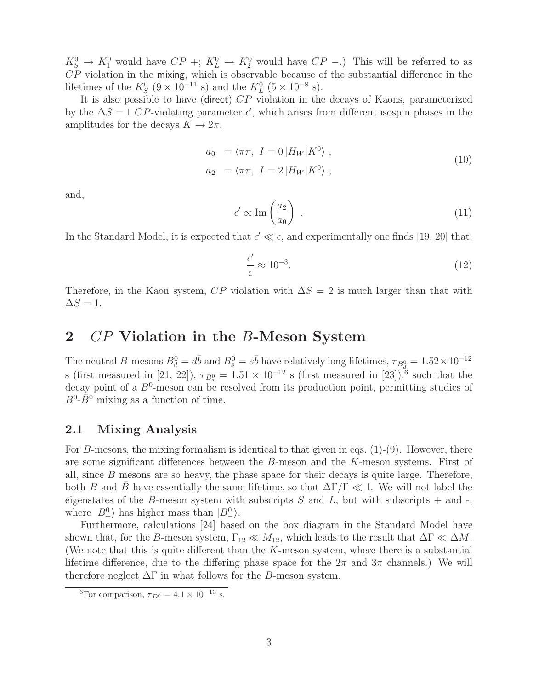$K_S^0 \to K_1^0$  would have  $CP +: K_L^0 \to K_2^0$  would have  $CP -$ .) This will be referred to as CP violation in the mixing, which is observable because of the substantial difference in the lifetimes of the  $K_S^0$  (9 × 10<sup>-11</sup> s) and the  $K_L^0$  (5 × 10<sup>-8</sup> s).

It is also possible to have (direct) CP violation in the decays of Kaons, parameterized by the  $\Delta S = 1$  CP-violating parameter  $\epsilon'$ , which arises from different isospin phases in the amplitudes for the decays  $K \to 2\pi$ ,

$$
a_0 = \langle \pi \pi, I = 0 | H_W | K^0 \rangle ,
$$
  
\n
$$
a_2 = \langle \pi \pi, I = 2 | H_W | K^0 \rangle ,
$$
\n(10)

and,

$$
\epsilon' \propto \text{Im}\left(\frac{a_2}{a_0}\right) \ . \tag{11}
$$

In the Standard Model, it is expected that  $\epsilon' \ll \epsilon$ , and experimentally one finds [19, 20] that,

$$
\frac{\epsilon'}{\epsilon} \approx 10^{-3}.\tag{12}
$$

Therefore, in the Kaon system,  $\overline{CP}$  violation with  $\Delta S = 2$  is much larger than that with  $\Delta S = 1.$ 

### **2** CP **Violation in the** B**-Meson System**

The neutral B-mesons  $B_d^0 = d\bar{b}$  and  $B_s^0 = s\bar{b}$  have relatively long lifetimes,  $\tau_{B_d^0} = 1.52 \times 10^{-12}$ s (first measured in [21, 22]),  $\tau_{B_s^0} = 1.51 \times 10^{-12}$  s (first measured in [23]),<sup>6</sup> such that the decay point of a  $B^0$ -meson can be resolved from its production point, permitting studies of  $B^0$ - $\bar{B}^0$  mixing as a function of time.

### **2.1 Mixing Analysis**

For B-mesons, the mixing formalism is identical to that given in eqs.  $(1)-(9)$ . However, there are some significant differences between the B-meson and the K-meson systems. First of all, since  $B$  mesons are so heavy, the phase space for their decays is quite large. Therefore, both B and B have essentially the same lifetime, so that  $\Delta \Gamma/\Gamma \ll 1$ . We will not label the eigenstates of the B-meson system with subscripts  $S$  and  $L$ , but with subscripts  $+$  and  $-$ , where  $|B_{\perp}^0\rangle$  has higher mass than  $|B_{\perp}^0\rangle$ .

Furthermore, calculations [24] based on the box diagram in the Standard Model have shown that, for the B-meson system,  $\Gamma_{12} \ll M_{12}$ , which leads to the result that  $\Delta \Gamma \ll \Delta M$ . (We note that this is quite different than the  $K$ -meson system, where there is a substantial lifetime difference, due to the differing phase space for the  $2\pi$  and  $3\pi$  channels.) We will therefore neglect  $\Delta\Gamma$  in what follows for the B-meson system.

<sup>&</sup>lt;sup>6</sup>For comparison,  $\tau_{D^0} = 4.1 \times 10^{-13}$  s.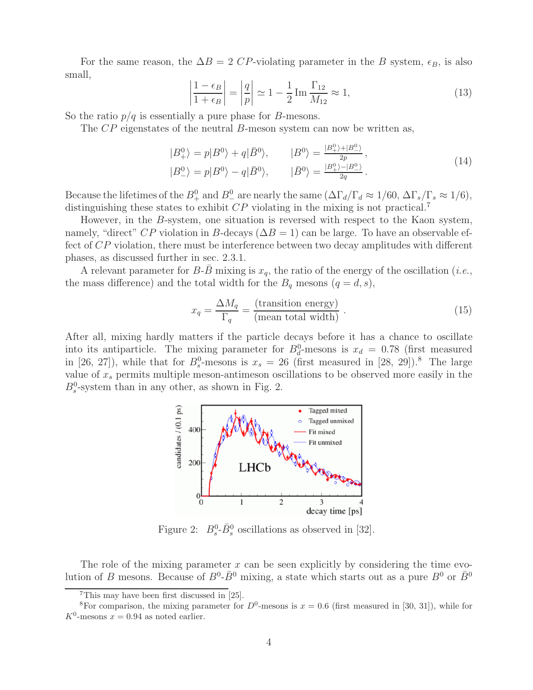For the same reason, the  $\Delta B = 2 \text{ CP-violating parameter in the } B \text{ system}, \epsilon_B$ , is also small,

$$
\left|\frac{1-\epsilon_B}{1+\epsilon_B}\right| = \left|\frac{q}{p}\right| \simeq 1 - \frac{1}{2} \operatorname{Im} \frac{\Gamma_{12}}{M_{12}} \approx 1,\tag{13}
$$

 $\mid$ So the ratio  $p/q$  is essentially a pure phase for B-mesons.

 $\mid$  $\overline{\phantom{a}}$  $\overline{\phantom{a}}$ 

The CP eigenstates of the neutral B-meson system can now be written as,

$$
|B_{+}^{0}\rangle = p|B_{-}^{0}\rangle + q|\bar{B}_{-}^{0}\rangle, \qquad |B_{-}^{0}\rangle = \frac{|B_{+}^{0}\rangle + |B_{-}^{0}\rangle}{2p},
$$
  

$$
|B_{-}^{0}\rangle = p|B_{-}^{0}\rangle - q|\bar{B}_{-}^{0}\rangle, \qquad |\bar{B}_{-}^{0}\rangle = \frac{|B_{+}^{0}\rangle - |B_{-}^{0}\rangle}{2q}.
$$
 (14)

Because the lifetimes of the  $B^0_+$  and  $B^0_-$  are nearly the same  $(\Delta \Gamma_d/\Gamma_d \approx 1/60, \Delta \Gamma_s/\Gamma_s \approx 1/6)$ , distinguishing these states to exhibit  $CP$  violating in the mixing is not practical.<sup>7</sup>

However, in the B-system, one situation is reversed with respect to the Kaon system, namely, "direct" CP violation in B-decays ( $\Delta B = 1$ ) can be large. To have an observable effect of CP violation, there must be interference between two decay amplitudes with different phases, as discussed further in sec. 2.3.1.

A relevant parameter for  $B-\bar{B}$  mixing is  $x_q$ , the ratio of the energy of the oscillation (*i.e.*, the mass difference) and the total width for the  $B_q$  mesons  $(q = d, s)$ ,

$$
x_q = \frac{\Delta M_q}{\Gamma_q} = \frac{\text{(transition energy)}}{\text{(mean total width)}} \,. \tag{15}
$$

After all, mixing hardly matters if the particle decays before it has a chance to oscillate into its antiparticle. The mixing parameter for  $B_d^0$ -mesons is  $x_d = 0.78$  (first measured in [26, 27]), while that for  $B_s^0$ -mesons is  $x_s = 26$  (first measured in [28, 29]).<sup>8</sup> The large value of  $x_s$  permits multiple meson-antimeson oscillations to be observed more easily in the  $B_s^0$ -system than in any other, as shown in Fig. 2.



Figure 2:  $B_s^0$ - $\bar{B}_s^0$  oscillations as observed in [32].

The role of the mixing parameter  $x$  can be seen explicitly by considering the time evolution of B mesons. Because of  $B^0$ - $\bar{B}^0$  mixing, a state which starts out as a pure  $B^0$  or  $\bar{B}^0$ 

<sup>7</sup>This may have been first discussed in [25].

<sup>&</sup>lt;sup>8</sup>For comparison, the mixing parameter for  $D^0$ -mesons is  $x = 0.6$  (first measured in [30, 31]), while for  $K^0$ -mesons  $x = 0.94$  as noted earlier.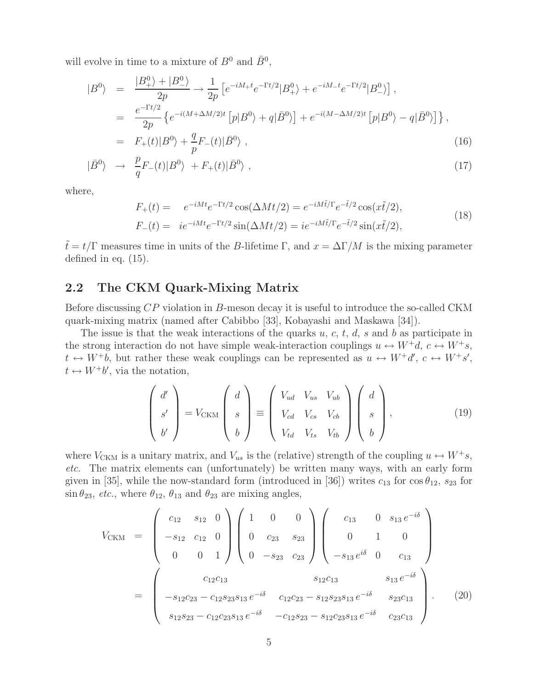will evolve in time to a mixture of  $B^0$  and  $\bar{B}^0$ ,

$$
|B^{0}\rangle = \frac{|B_{+}^{0}\rangle + |B_{-}^{0}\rangle}{2p} \rightarrow \frac{1}{2p} \left[ e^{-iM_{+}t} e^{-\Gamma t/2} |B_{+}^{0}\rangle + e^{-iM_{-}t} e^{-\Gamma t/2} |B_{-}^{0}\rangle \right],
$$
  
\n
$$
= \frac{e^{-\Gamma t/2}}{2p} \left\{ e^{-i(M + \Delta M/2)t} \left[ p|B^{0}\rangle + q|\bar{B}^{0}\rangle \right] + e^{-i(M - \Delta M/2)t} \left[ p|B^{0}\rangle - q|\bar{B}^{0}\rangle \right] \right\},
$$
  
\n
$$
= F_{+}(t)|B^{0}\rangle + \frac{q}{2}F_{-}(t)|\bar{B}^{0}\rangle , \qquad (16)
$$

$$
= F_{+}(t)|B^{0}\rangle + \frac{q}{p}F_{-}(t)|\bar{B}^{0}\rangle , \qquad (16)
$$

$$
|\bar{B}^0\rangle \rightarrow \frac{p}{q}F_{-}(t)|B^0\rangle + F_{+}(t)|\bar{B}^0\rangle , \qquad (17)
$$

where,

$$
F_{+}(t) = e^{-iMt}e^{-\Gamma t/2}\cos(\Delta Mt/2) = e^{-iM\tilde{t}/\Gamma}e^{-\tilde{t}/2}\cos(x\tilde{t}/2),
$$
  
\n
$$
F_{-}(t) = i e^{-iMt}e^{-\Gamma t/2}\sin(\Delta Mt/2) = i e^{-iM\tilde{t}/\Gamma}e^{-\tilde{t}/2}\sin(x\tilde{t}/2),
$$
\n(18)

 $\tilde{t} = t/\Gamma$  measures time in units of the B-lifetime  $\Gamma$ , and  $x = \Delta \Gamma/M$  is the mixing parameter defined in eq. (15).

### **2.2 The CKM Quark-Mixing Matrix**

Before discussing CP violation in B-meson decay it is useful to introduce the so-called CKM quark-mixing matrix (named after Cabibbo [33], Kobayashi and Maskawa [34]).

The issue is that the weak interactions of the quarks  $u, c, t, d, s$  and b as participate in the strong interaction do not have simple weak-interaction couplings  $u \leftrightarrow W^+d$ ,  $c \leftrightarrow W^+s$ ,  $t \leftrightarrow W^+b$ , but rather these weak couplings can be represented as  $u \leftrightarrow W^+d'$ ,  $c \leftrightarrow W^+s'$ ,  $t \leftrightarrow W^+b'$ , via the notation,

$$
\begin{pmatrix} d' \\ s' \\ b' \end{pmatrix} = V_{CKM} \begin{pmatrix} d \\ s \\ b \end{pmatrix} \equiv \begin{pmatrix} V_{ud} & V_{us} & V_{ub} \\ V_{cd} & V_{cs} & V_{cb} \\ V_{td} & V_{ts} & V_{tb} \end{pmatrix} \begin{pmatrix} d \\ s \\ b \end{pmatrix},
$$
(19)

where  $V_{\text{CKM}}$  is a unitary matrix, and  $V_{us}$  is the (relative) strength of the coupling  $u \leftrightarrow W^+s$ , *etc.* The matrix elements can (unfortunately) be written many ways, with an early form given in [35], while the now-standard form (introduced in [36]) writes  $c_{13}$  for  $\cos \theta_{12}$ ,  $s_{23}$  for  $\sin \theta_{23}$ , *etc.*, where  $\theta_{12}$ ,  $\theta_{13}$  and  $\theta_{23}$  are mixing angles,

$$
V_{\text{CKM}} = \begin{pmatrix} c_{12} & s_{12} & 0 \\ -s_{12} & c_{12} & 0 \\ 0 & 0 & 1 \end{pmatrix} \begin{pmatrix} 1 & 0 & 0 \\ 0 & c_{23} & s_{23} \\ 0 & -s_{23} & c_{23} \end{pmatrix} \begin{pmatrix} c_{13} & 0 & s_{13}e^{-i\delta} \\ 0 & 1 & 0 \\ -s_{13}e^{i\delta} & 0 & c_{13} \end{pmatrix}
$$

$$
= \begin{pmatrix} c_{12}c_{13} & s_{12}c_{13} & s_{13}e^{-i\delta} \\ -s_{12}c_{23} - c_{12}s_{23}s_{13}e^{-i\delta} & c_{12}c_{23} - s_{12}s_{23}s_{13}e^{-i\delta} & s_{23}c_{13} \\ s_{12}s_{23} - c_{12}c_{23}s_{13}e^{-i\delta} & -c_{12}s_{23} - s_{12}c_{23}s_{13}e^{-i\delta} & c_{23}c_{13} \end{pmatrix}.
$$
(20)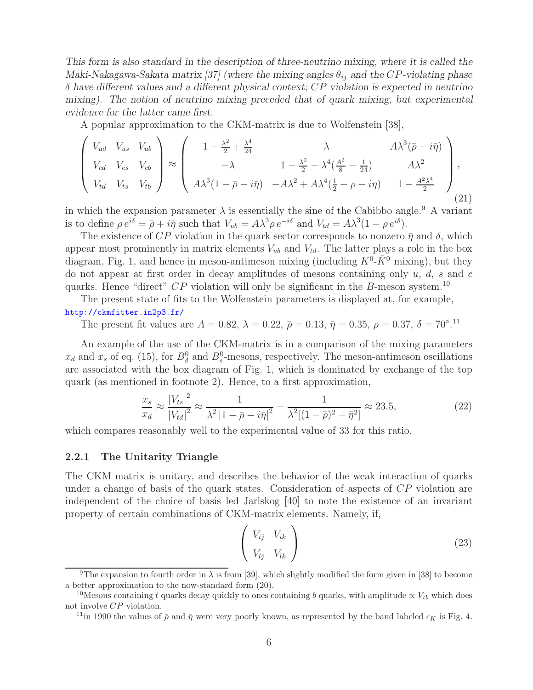*This form is also standard in the description of three-neutrino mixing, where it is called the Maki-Nakagawa-Sakata matrix [37] (where the mixing angles*  $\theta_{ij}$  *and the CP-violating phase* δ *have different values and a different physical context;* CP *violation is expected in neutrino mixing). The notion of neutrino mixing preceded that of quark mixing, but experimental evidence for the latter came first.*

A popular approximation to the CKM-matrix is due to Wolfenstein [38],

$$
\begin{pmatrix}\nV_{ud} & V_{us} & V_{ub} \\
V_{cd} & V_{cs} & V_{cb} \\
V_{td} & V_{ts} & V_{tb}\n\end{pmatrix} \approx \begin{pmatrix}\n1 - \frac{\lambda^2}{2} + \frac{\lambda^4}{24} & \lambda & A\lambda^3(\bar{p} - i\bar{\eta}) \\
-\lambda & 1 - \frac{\lambda^2}{2} - \lambda^4(\frac{A^2}{8} - \frac{1}{24}) & A\lambda^2 \\
A\lambda^3(1 - \bar{p} - i\bar{\eta}) & -A\lambda^2 + A\lambda^4(\frac{1}{2} - \rho - i\eta) & 1 - \frac{A^2\lambda^4}{2}\n\end{pmatrix},
$$
\n(21)

in which the expansion parameter  $\lambda$  is essentially the sine of the Cabibbo angle.<sup>9</sup> A variant is to define  $\rho e^{i\delta} = \bar{\rho} + i\bar{\eta}$  such that  $V_{ub} = A\lambda^3 \rho e^{-i\delta}$  and  $V_{td} = A\lambda^3 (1 - \rho e^{i\delta}).$ 

The existence of CP violation in the quark sector corresponds to nonzero  $\bar{\eta}$  and  $\delta$ , which appear most prominently in matrix elements  $V_{ub}$  and  $V_{td}$ . The latter plays a role in the box diagram, Fig. 1, and hence in meson-antimeson mixing (including  $K^0$ - $\bar{K}^0$  mixing), but they do not appear at first order in decay amplitudes of mesons containing only  $u, d, s$  and  $c$ quarks. Hence "direct"  $CP$  violation will only be significant in the B-meson system.<sup>10</sup>

The present state of fits to the Wolfenstein parameters is displayed at, for example, http://ckmfitter.in2p3.fr/

The present fit values are  $A = 0.82$ ,  $\lambda = 0.22$ ,  $\bar{\rho} = 0.13$ ,  $\bar{\eta} = 0.35$ ,  $\rho = 0.37$ ,  $\delta = 70^{\circ}$ .<sup>11</sup>

An example of the use of the CKM-matrix is in a comparison of the mixing parameters  $x_d$  and  $x_s$  of eq. (15), for  $B_d^0$  and  $B_s^0$ -mesons, respectively. The meson-antimeson oscillations are associated with the box diagram of Fig. 1, which is dominated by exchange of the top quark (as mentioned in footnote 2). Hence, to a first approximation,

$$
\frac{x_s}{x_d} \approx \frac{|V_{ts}|^2}{|V_{td}|^2} \approx \frac{1}{\lambda^2 |1 - \bar{\rho} - i\bar{\eta}|^2} - \frac{1}{\lambda^2 [(1 - \bar{\rho})^2 + \bar{\eta}^2]} \approx 23.5,
$$
\n(22)

which compares reasonably well to the experimental value of 33 for this ratio.

#### **2.2.1 The Unitarity Triangle**

The CKM matrix is unitary, and describes the behavior of the weak interaction of quarks under a change of basis of the quark states. Consideration of aspects of CP violation are independent of the choice of basis led Jarlskog [40] to note the existence of an invariant property of certain combinations of CKM-matrix elements. Namely, if,

$$
\left(\begin{array}{cc} V_{ij} & V_{ik} \\ V_{lj} & V_{lk} \end{array}\right) \tag{23}
$$

<sup>&</sup>lt;sup>9</sup>The expansion to fourth order in  $\lambda$  is from [39], which slightly modified the form given in [38] to become a better approximation to the now-standard form (20).

<sup>&</sup>lt;sup>10</sup>Mesons containing t quarks decay quickly to ones containing b quarks, with amplitude  $\propto V_{tb}$  which does not involve CP violation.

<sup>&</sup>lt;sup>11</sup>in 1990 the values of  $\bar{\rho}$  and  $\bar{\eta}$  were very poorly known, as represented by the band labeled  $\epsilon_K$  is Fig. 4.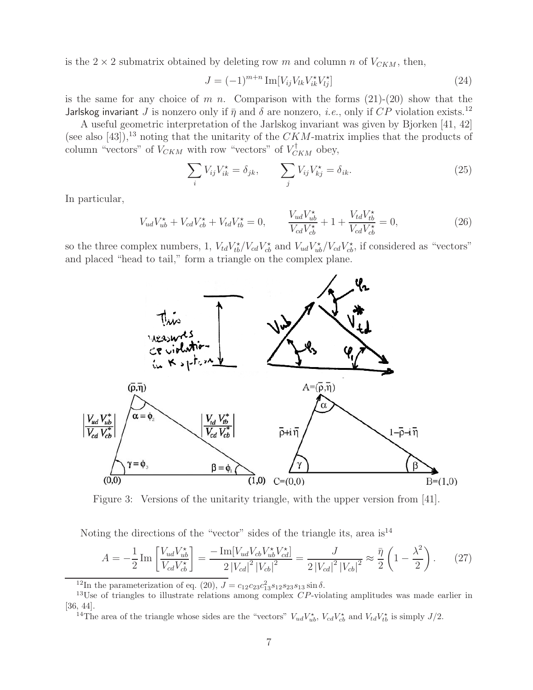is the  $2 \times 2$  submatrix obtained by deleting row m and column n of  $V_{CKM}$ , then,

$$
J = (-1)^{m+n} \operatorname{Im}[V_{ij} V_{lk} V_{ik}^* V_{lj}^*]
$$
\n(24)

is the same for any choice of m n. Comparison with the forms  $(21)-(20)$  show that the Jarlskog invariant J is nonzero only if  $\bar{\eta}$  and  $\delta$  are nonzero, *i.e.*, only if CP violation exists.<sup>12</sup>

A useful geometric interpretation of the Jarlskog invariant was given by Bjorken [41, 42] (see also [43]),<sup>13</sup> noting that the unitarity of the  $CKM$ -matrix implies that the products of column "vectors" of  $V_{CKM}$  with row "vectors" of  $V_{CKM}^{\dagger}$  obey,

$$
\sum_{i} V_{ij} V_{ik}^* = \delta_{jk}, \qquad \sum_{j} V_{ij} V_{kj}^* = \delta_{ik}.
$$
 (25)

In particular,

$$
V_{ud}V_{ub}^{\star} + V_{cd}V_{cb}^{\star} + V_{td}V_{tb}^{\star} = 0, \qquad \frac{V_{ud}V_{ub}^{\star}}{V_{cd}V_{cb}^{\star}} + 1 + \frac{V_{td}V_{tb}^{\star}}{V_{cd}V_{cb}^{\star}} = 0,
$$
\n(26)

so the three complex numbers, 1,  $V_{td}V_{tb}^{\star}/V_{cd}V_{cb}^{\star}$  and  $V_{ud}V_{ub}^{\star}/V_{cd}V_{cb}^{\star}$ , if considered as "vectors" and placed "head to tail," form a triangle on the complex plane.



Figure 3: Versions of the unitarity triangle, with the upper version from [41].

Noting the directions of the "vector" sides of the triangle its, area  $is<sup>14</sup>$ 

$$
A = -\frac{1}{2} \operatorname{Im} \left[ \frac{V_{ud} V_{ub}^{\star}}{V_{cd} V_{cb}^{\star}} \right] = \frac{-\operatorname{Im} [V_{ud} V_{cb} V_{ub}^{\star} V_{cd}^{\star}]}{2 \left| V_{cd} \right|^2 \left| V_{cb} \right|^2} = \frac{J}{2 \left| V_{cd} \right|^2 \left| V_{cb} \right|^2} \approx \frac{\bar{\eta}}{2} \left( 1 - \frac{\lambda^2}{2} \right). \tag{27}
$$

<sup>14</sup>The area of the triangle whose sides are the "vectors"  $V_{ud}V_{ub}^*$ ,  $V_{cd}V_{cb}^*$  and  $V_{td}V_{tb}^*$  is simply  $J/2$ .

<sup>&</sup>lt;sup>12</sup>In the parameterization of eq. (20),  $J = c_{12}c_{23}c_{13}^2s_{12}s_{23}s_{13}\sin\delta$ .

<sup>&</sup>lt;sup>13</sup>Use of triangles to illustrate relations among complex  $CP$ -violating amplitudes was made earlier in [36, 44].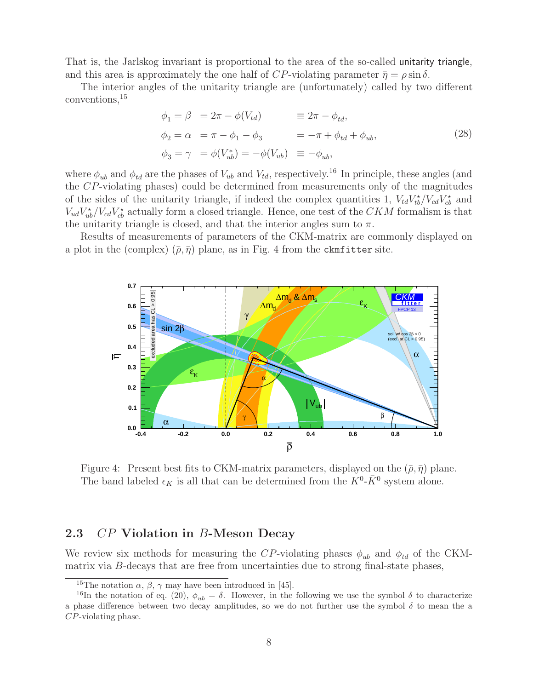That is, the Jarlskog invariant is proportional to the area of the so-called unitarity triangle, and this area is approximately the one half of  $CP$ -violating parameter  $\bar{\eta} = \rho \sin \delta$ .

The interior angles of the unitarity triangle are (unfortunately) called by two different conventions,<sup>15</sup>

$$
\begin{aligned}\n\phi_1 &= \beta = 2\pi - \phi(V_{td}) &\equiv 2\pi - \phi_{td}, \\
\phi_2 &= \alpha = \pi - \phi_1 - \phi_3 &\equiv -\pi + \phi_{td} + \phi_{ub}, \\
\phi_3 &= \gamma = \phi(V_{ub}^*) = -\phi(V_{ub}) &\equiv -\phi_{ub},\n\end{aligned} \tag{28}
$$

where  $\phi_{ub}$  and  $\phi_{td}$  are the phases of  $V_{ub}$  and  $V_{td}$ , respectively.<sup>16</sup> In principle, these angles (and the CP-violating phases) could be determined from measurements only of the magnitudes of the sides of the unitarity triangle, if indeed the complex quantities 1,  $V_{td}V_{tb}^{\star}/V_{cd}V_{cb}^{\star}$  and  $V_{ud}V_{ub}^{\star}/V_{cd}V_{cb}^{\star}$  actually form a closed triangle. Hence, one test of the  $CKM$  formalism is that the unitarity triangle is closed, and that the interior angles sum to  $\pi$ .

Results of measurements of parameters of the CKM-matrix are commonly displayed on a plot in the (complex)  $(\bar{\rho}, \bar{\eta})$  plane, as in Fig. 4 from the ckmfitter site.



Figure 4: Present best fits to CKM-matrix parameters, displayed on the  $(\bar{\rho}, \bar{\eta})$  plane. The band labeled  $\epsilon_K$  is all that can be determined from the  $K^0$ - $\bar{K}^0$  system alone.

### **2.3** CP **Violation in** B**-Meson Decay**

We review six methods for measuring the CP-violating phases  $\phi_{ub}$  and  $\phi_{td}$  of the CKMmatrix via B-decays that are free from uncertainties due to strong final-state phases,

<sup>&</sup>lt;sup>15</sup>The notation  $\alpha$ ,  $\beta$ ,  $\gamma$  may have been introduced in [45].

<sup>&</sup>lt;sup>16</sup>In the notation of eq. (20),  $\phi_{ub} = \delta$ . However, in the following we use the symbol  $\delta$  to characterize a phase difference between two decay amplitudes, so we do not further use the symbol  $\delta$  to mean the a CP-violating phase.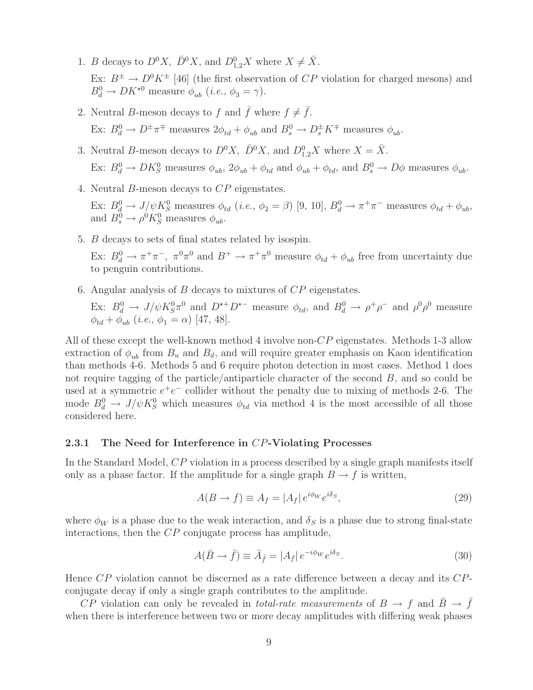- 1. B decays to  $D^0X$ ,  $\bar{D}^0X$ , and  $D_{1,2}^0X$  where  $X \neq \bar{X}$ . Ex:  $B^{\pm} \to D^{0} K^{\pm}$  [46] (the first observation of CP violation for charged mesons) and  $B_d^0 \to D K^{\star 0}$  measure  $\phi_{ub}$  (*i.e.*,  $\phi_3 = \gamma$ ).
- 2. Neutral B-meson decays to f and  $\bar{f}$  where  $f \neq \bar{f}$ . Ex:  $B_d^0 \to D^{\pm} \pi^{\mp}$  measures  $2\phi_{td} + \phi_{ub}$  and  $B_s^0 \to D_s^{\pm} K^{\mp}$  measures  $\phi_{ub}$ .
- 3. Neutral B-meson decays to  $D^0X$ ,  $\bar{D}^0X$ , and  $D_{1,2}^0X$  where  $X = \bar{X}$ . Ex:  $B_d^0 \to D K_S^0$  measures  $\phi_{ub}$ ,  $2\phi_{ub} + \phi_{td}$  and  $\phi_{ub} + \phi_{td}$ , and  $B_s^0 \to D\phi$  measures  $\phi_{ub}$ .
- 4. Neutral B-meson decays to CP eigenstates.

Ex:  $B_d^0 \to J/\psi K_S^0$  measures  $\phi_{td}$  (*i.e.*,  $\phi_2 = \beta$ ) [9, 10],  $B_d^0 \to \pi^+ \pi^-$  measures  $\phi_{td} + \phi_{ub}$ , and  $B_s^0 \to \rho^0 K_S^0$  measures  $\phi_{ub}$ .

5. B decays to sets of final states related by isospin.

Ex:  $B_d^0 \to \pi^+\pi^-$ ,  $\pi^0\pi^0$  and  $B^+ \to \pi^+\pi^0$  measure  $\phi_{td} + \phi_{ub}$  free from uncertainty due to penguin contributions.

6. Angular analysis of B decays to mixtures of CP eigenstates.

Ex:  $B_d^0 \to J/\psi K_S^0 \pi^0$  and  $D^{*+}D^{*-}$  measure  $\phi_{td}$ , and  $B_d^0 \to \rho^+\rho^-$  and  $\rho^0\rho^0$  measure  $\phi_{td} + \phi_{ub}$  (*i.e.*,  $\phi_1 = \alpha$ ) [47, 48].

All of these except the well-known method 4 involve non-CP eigenstates. Methods 1-3 allow extraction of  $\phi_{ub}$  from  $B_u$  and  $B_d$ , and will require greater emphasis on Kaon identification than methods 4-6. Methods 5 and 6 require photon detection in most cases. Method 1 does not require tagging of the particle/antiparticle character of the second B, and so could be used at a symmetric  $e^+e^-$  collider without the penalty due to mixing of methods 2-6. The mode  $B_d^0 \to J/\psi K_S^0$  which measures  $\phi_{td}$  via method 4 is the most accessible of all those considered here.

#### **2.3.1 The Need for Interference in** CP**-Violating Processes**

In the Standard Model, CP violation in a process described by a single graph manifests itself only as a phase factor. If the amplitude for a single graph  $B \to f$  is written,

$$
A(B \to f) \equiv A_f = |A_f| e^{i\phi_W} e^{i\delta_S}, \tag{29}
$$

where  $\phi_W$  is a phase due to the weak interaction, and  $\delta_S$  is a phase due to strong final-state interactions, then the CP conjugate process has amplitude,

$$
A(\bar{B} \to \bar{f}) \equiv \bar{A}_{\bar{f}} = |A_f| e^{-i\phi_W} e^{i\delta_S}.
$$
\n(30)

Hence CP violation cannot be discerned as a rate difference between a decay and its CPconjugate decay if only a single graph contributes to the amplitude.

CP violation can only be revealed in *total-rate measurements* of  $B \to f$  and  $B \to f$ when there is interference between two or more decay amplitudes with differing weak phases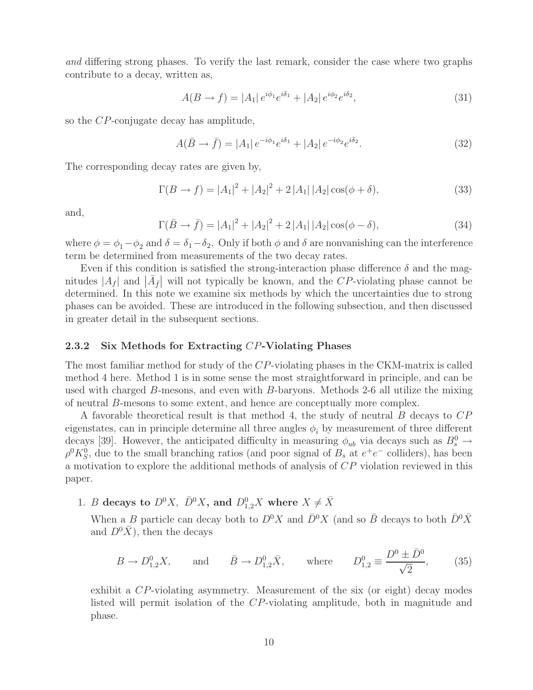*and* differing strong phases. To verify the last remark, consider the case where two graphs contribute to a decay, written as,

$$
A(B \to f) = |A_1| e^{i\phi_1} e^{i\delta_1} + |A_2| e^{i\phi_2} e^{i\delta_2}, \tag{31}
$$

so the CP-conjugate decay has amplitude,

$$
A(\bar{B} \to \bar{f}) = |A_1| e^{-i\phi_1} e^{i\delta_1} + |A_2| e^{-i\phi_2} e^{i\delta_2}.
$$
 (32)

The corresponding decay rates are given by,

$$
\Gamma(B \to f) = |A_1|^2 + |A_2|^2 + 2|A_1| |A_2| \cos(\phi + \delta), \tag{33}
$$

and,

$$
\Gamma(\bar{B} \to \bar{f}) = |A_1|^2 + |A_2|^2 + 2|A_1||A_2|\cos(\phi - \delta), \tag{34}
$$

where  $\phi = \phi_1 - \phi_2$  and  $\delta = \delta_1 - \delta_2$ . Only if both  $\phi$  and  $\delta$  are nonvanishing can the interference term be determined from measurements of the two decay rates.

Even if this condition is satisfied the strong-interaction phase difference  $\delta$  and the magnitudes  $|A_f|$  and  $|\bar{A}_f|$  will not typically be known, and the CP-violating phase cannot be determined. In this note we examine six methods by which the uncertainties due to strong phases can be avoided. These are introduced in the following subsection, and then discussed in greater detail in the subsequent sections.

#### **2.3.2 Six Methods for Extracting** CP**-Violating Phases**

The most familiar method for study of the CP-violating phases in the CKM-matrix is called method 4 here. Method 1 is in some sense the most straightforward in principle, and can be used with charged B-mesons, and even with B-baryons. Methods 2-6 all utilize the mixing of neutral B-mesons to some extent, and hence are conceptually more complex.

A favorable theoretical result is that method 4, the study of neutral B decays to CP eigenstates, can in principle determine all three angles  $\phi_i$  by measurement of three different decays [39]. However, the anticipated difficulty in measuring  $\phi_{ub}$  via decays such as  $B_s^0 \rightarrow$  $\rho^0 K_S^0$ , due to the small branching ratios (and poor signal of  $B_s$  at  $e^+e^-$  colliders), has been a motivation to explore the additional methods of analysis of CP violation reviewed in this paper.

1. *B* decays to  $D^0X$ ,  $\bar{D}^0X$ , and  $D_{1,2}^0X$  where  $X \neq \bar{X}$ 

When a B particle can decay both to  $D^0 X$  and  $\bar{D}^0 X$  (and so  $\bar{B}$  decays to both  $\bar{D}^0 \bar{X}$ and  $D^0\bar{X}$ , then the decays

$$
B \to D_{1,2}^0 X
$$
, and  $\bar{B} \to D_{1,2}^0 \bar{X}$ , where  $D_{1,2}^0 \equiv \frac{D^0 \pm \bar{D}^0}{\sqrt{2}}$ , (35)

exhibit a CP-violating asymmetry. Measurement of the six (or eight) decay modes listed will permit isolation of the CP-violating amplitude, both in magnitude and phase.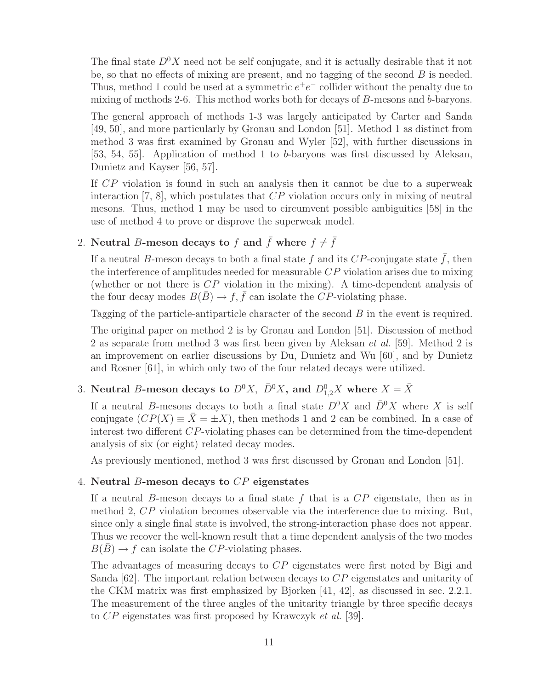The final state  $D^0X$  need not be self conjugate, and it is actually desirable that it not be, so that no effects of mixing are present, and no tagging of the second  $B$  is needed. Thus, method 1 could be used at a symmetric  $e^+e^-$  collider without the penalty due to mixing of methods 2-6. This method works both for decays of B-mesons and b-baryons.

The general approach of methods 1-3 was largely anticipated by Carter and Sanda [49, 50], and more particularly by Gronau and London [51]. Method 1 as distinct from method 3 was first examined by Gronau and Wyler [52], with further discussions in [53, 54, 55]. Application of method 1 to b-baryons was first discussed by Aleksan, Dunietz and Kayser [56, 57].

If CP violation is found in such an analysis then it cannot be due to a superweak interaction  $[7, 8]$ , which postulates that  $CP$  violation occurs only in mixing of neutral mesons. Thus, method 1 may be used to circumvent possible ambiguities [58] in the use of method 4 to prove or disprove the superweak model.

### 2. **Neutral** B-meson decays to f and  $\bar{f}$  where  $f \neq \bar{f}$

If a neutral B-meson decays to both a final state f and its CP-conjugate state  $\bar{f}$ , then the interference of amplitudes needed for measurable CP violation arises due to mixing (whether or not there is  $\mathbb{CP}$  violation in the mixing). A time-dependent analysis of the four decay modes  $B(\bar{B}) \to f, \bar{f}$  can isolate the CP-violating phase.

Tagging of the particle-antiparticle character of the second B in the event is required.

The original paper on method 2 is by Gronau and London [51]. Discussion of method 2 as separate from method 3 was first been given by Aleksan *et al.* [59]. Method 2 is an improvement on earlier discussions by Du, Dunietz and Wu [60], and by Dunietz and Rosner [61], in which only two of the four related decays were utilized.

## 3. Neutral B-meson decays to  $D^0X$ ,  $\bar{D}^0X$ , and  $D_{1,2}^0X$  where  $X = \bar{X}$

If a neutral B-mesons decays to both a final state  $D^0 X$  and  $\bar{D}^0 X$  where X is self conjugate  $(CP(X) \equiv \overline{X} = \pm X)$ , then methods 1 and 2 can be combined. In a case of interest two different CP-violating phases can be determined from the time-dependent analysis of six (or eight) related decay modes.

As previously mentioned, method 3 was first discussed by Gronau and London [51].

#### 4. **Neutral** B**-meson decays to** CP **eigenstates**

If a neutral B-meson decays to a final state  $f$  that is a  $\mathbb{CP}$  eigenstate, then as in method 2, CP violation becomes observable via the interference due to mixing. But, since only a single final state is involved, the strong-interaction phase does not appear. Thus we recover the well-known result that a time dependent analysis of the two modes  $B(B) \to f$  can isolate the CP-violating phases.

The advantages of measuring decays to CP eigenstates were first noted by Bigi and Sanda  $[62]$ . The important relation between decays to  $CP$  eigenstates and unitarity of the CKM matrix was first emphasized by Bjorken [41, 42], as discussed in sec. 2.2.1. The measurement of the three angles of the unitarity triangle by three specific decays to CP eigenstates was first proposed by Krawczyk *et al.* [39].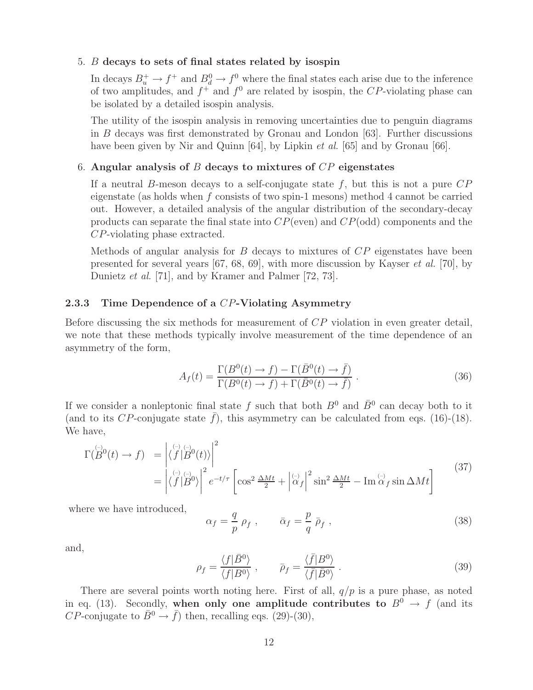#### 5. B **decays to sets of final states related by isospin**

In decays  $B_u^+ \to f^+$  and  $B_d^0 \to f^0$  where the final states each arise due to the inference of two amplitudes, and  $f^+$  and  $f^0$  are related by isospin, the CP-violating phase can be isolated by a detailed isospin analysis.

The utility of the isospin analysis in removing uncertainties due to penguin diagrams in B decays was first demonstrated by Gronau and London [63]. Further discussions have been given by Nir and Quinn [64], by Lipkin *et al.* [65] and by Gronau [66].

#### 6. **Angular analysis of** B **decays to mixtures of** CP **eigenstates**

If a neutral B-meson decays to a self-conjugate state  $f$ , but this is not a pure  $\mathbb{CP}$ eigenstate (as holds when  $f$  consists of two spin-1 mesons) method 4 cannot be carried out. However, a detailed analysis of the angular distribution of the secondary-decay products can separate the final state into  $CP$ (even) and  $CP$ (odd) components and the CP-violating phase extracted.

Methods of angular analysis for  $B$  decays to mixtures of  $\mathbb{CP}$  eigenstates have been presented for several years [67, 68, 69], with more discussion by Kayser *et al.* [70], by Dunietz *et al.* [71], and by Kramer and Palmer [72, 73].

#### **2.3.3 Time Dependence of a** CP**-Violating Asymmetry**

Before discussing the six methods for measurement of CP violation in even greater detail, we note that these methods typically involve measurement of the time dependence of an asymmetry of the form,

$$
A_f(t) = \frac{\Gamma(B^0(t) \to f) - \Gamma(\bar{B}^0(t) \to \bar{f})}{\Gamma(B^0(t) \to f) + \Gamma(\bar{B}^0(t) \to \bar{f})}.
$$
\n(36)

If we consider a nonleptonic final state f such that both  $B^0$  and  $\bar{B}^0$  can decay both to it (and to its CP-conjugate state  $\bar{f}$ ), this asymmetry can be calculated from eqs. (16)-(18). We have,

$$
\Gamma(\overset{\left(\cdot\right)}{B}^{0}(t)\to f) = \left| \langle \overset{\left(\cdot\right)}{f} | \overset{\left(\cdot\right)}{B}^{0}(t) \rangle \right|^{2}
$$
\n
$$
= \left| \langle \overset{\left(\cdot\right)}{f} | \overset{\left(\cdot\right)}{B}^{0} \rangle \right|^{2} e^{-t/\tau} \left[ \cos^{2} \frac{\Delta Mt}{2} + \left| \overset{\left(\cdot\right)}{\alpha}_{f} \right|^{2} \sin^{2} \frac{\Delta Mt}{2} - \text{Im} \overset{\left(\cdot\right)}{\alpha}_{f} \sin \Delta Mt \right] \tag{37}
$$

where we have introduced,

$$
\alpha_f = \frac{q}{p} \rho_f , \qquad \bar{\alpha}_f = \frac{p}{q} \bar{\rho}_f , \qquad (38)
$$

and,

$$
\rho_f = \frac{\langle f|\bar{B}^0\rangle}{\langle f|B^0\rangle} , \qquad \bar{\rho}_f = \frac{\langle \bar{f}|B^0\rangle}{\langle \bar{f}|\bar{B}^0\rangle} . \tag{39}
$$

There are several points worth noting here. First of all,  $q/p$  is a pure phase, as noted in eq. (13). Secondly, when only one amplitude contributes to  $B^0 \to f$  (and its *CP*-conjugate to  $\bar{B}^0 \to \bar{f}$ ) then, recalling eqs. (29)-(30),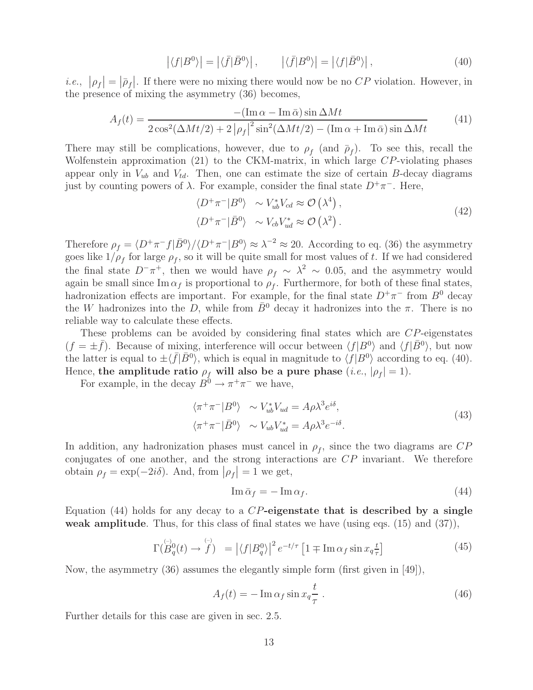$$
\left| \langle f|B^0 \rangle \right| = \left| \langle \bar{f}|\bar{B}^0 \rangle \right|, \qquad \left| \langle \bar{f}|B^0 \rangle \right| = \left| \langle f|\bar{B}^0 \rangle \right|, \tag{40}
$$

*i.e.*,  $|\rho_f| = |\bar{\rho}_f|$ . If there were no mixing there would now be no CP violation. However, in the presence of mixing the asymmetry (36) becomes,

$$
A_f(t) = \frac{- (\text{Im}\,\alpha - \text{Im}\,\bar{\alpha})\sin\Delta Mt}{2\cos^2(\Delta Mt/2) + 2|\rho_f|^2\sin^2(\Delta Mt/2) - (\text{Im}\,\alpha + \text{Im}\,\bar{\alpha})\sin\Delta Mt}
$$
(41)

There may still be complications, however, due to  $\rho_f$  (and  $\bar{\rho}_f$ ). To see this, recall the Wolfenstein approximation (21) to the CKM-matrix, in which large CP-violating phases appear only in  $V_{ub}$  and  $V_{td}$ . Then, one can estimate the size of certain B-decay diagrams just by counting powers of λ. For example, consider the final state D<sup>+</sup>π−. Here,

$$
\langle D^+\pi^-|B^0\rangle \sim V_{ub}^*V_{cd} \approx \mathcal{O}\left(\lambda^4\right),
$$
  

$$
\langle D^+\pi^-|\bar{B}^0\rangle \sim V_{cb}V_{ud}^* \approx \mathcal{O}\left(\lambda^2\right).
$$
 (42)

Therefore  $\rho_f = \langle D^+\pi^- f | \bar{B}^0 \rangle / \langle D^+\pi^- | B^0 \rangle \approx \lambda^{-2} \approx 20$ . According to eq. (36) the asymmetry goes like  $1/\rho_f$  for large  $\rho_f$ , so it will be quite small for most values of t. If we had considered the final state  $D^-\pi^+$ , then we would have  $\rho_f \sim \lambda^2 \sim 0.05$ , and the asymmetry would again be small since  $\text{Im }\alpha_f$  is proportional to  $\rho_f$ . Furthermore, for both of these final states, hadronization effects are important. For example, for the final state  $D^+\pi^-$  from  $B^0$  decay the W hadronizes into the D, while from  $\bar{B}^0$  decay it hadronizes into the  $\pi$ . There is no reliable way to calculate these effects.

These problems can be avoided by considering final states which are CP-eigenstates  $(f = \pm \bar{f})$ . Because of mixing, interference will occur between  $\langle f|B^0\rangle$  and  $\langle f|\bar{B}^0\rangle$ , but now the latter is equal to  $\pm \langle \bar{f} | \bar{B}^0 \rangle$ , which is equal in magnitude to  $\langle f | B^0 \rangle$  according to eq. (40). Hence, the amplitude ratio  $\rho_f$  will also be a pure phase (*i.e.*,  $|\rho_f| = 1$ ).

For example, in the decay  $B^0 \to \pi^+\pi^-$  we have,

$$
\langle \pi^+ \pi^- | B^0 \rangle \sim V_{ub}^* V_{ud} = A \rho \lambda^3 e^{i\delta}, \langle \pi^+ \pi^- | \bar{B}^0 \rangle \sim V_{ub} V_{ud}^* = A \rho \lambda^3 e^{-i\delta}.
$$
\n(43)

In addition, any hadronization phases must cancel in  $\rho_f$ , since the two diagrams are  $CP$ conjugates of one another, and the strong interactions are CP invariant. We therefore obtain  $\rho_f = \exp(-2i\delta)$ . And, from  $|\rho_f| = 1$  we get,

$$
\operatorname{Im} \bar{\alpha}_f = -\operatorname{Im} \alpha_f. \tag{44}
$$

Equation (44) holds for any decay to a CP**-eigenstate that is described by a single weak amplitude**. Thus, for this class of final states we have (using eqs. (15) and (37)),

$$
\Gamma(\stackrel{\leftrightarrow}{B}_q^0(t) \to \stackrel{\leftrightarrow}{f}) = |\langle f|B_q^0 \rangle|^2 e^{-t/\tau} \left[1 \mp \operatorname{Im} \alpha_f \sin x_q \frac{t}{\tau}\right]
$$
\n(45)

Now, the asymmetry (36) assumes the elegantly simple form (first given in [49]),

$$
A_f(t) = -\operatorname{Im}\alpha_f \sin x_q \frac{t}{\tau} \,. \tag{46}
$$

Further details for this case are given in sec. 2.5.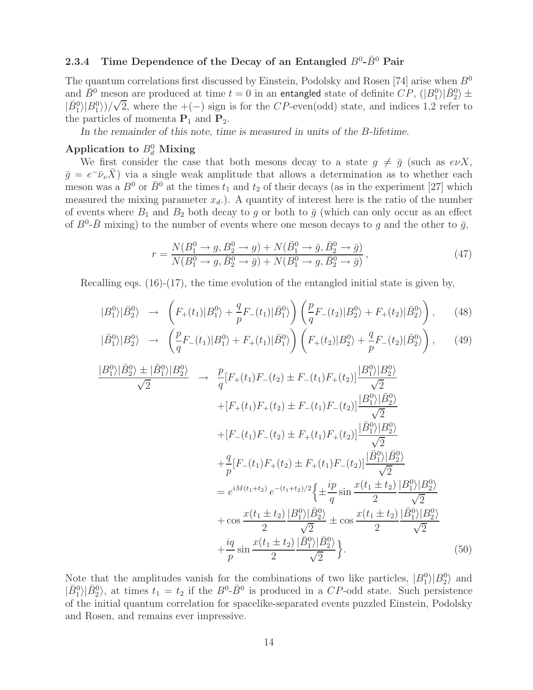# **2.3.4** Time Dependence of the Decay of an Entangled  $B^0$ - $\bar{B}^0$  Pair

The quantum correlations first discussed by Einstein, Podolsky and Rosen [74] arise when  $B^0$ and  $\bar{B}^0$  meson are produced at time  $t=0$  in an entangled state of definite  $CP$ ,  $(|B_1^0 \rangle | \bar{B}_2^0 \rangle \pm$  $|\bar{B}^0_1\rangle|B^0_1\rangle)/$ √ 2, where the  $+(-)$  sign is for the CP-even(odd) state, and indices 1,2 refer to the particles of momenta  $P_1$  and  $P_2$ .

In the remainder of this note, time is measured in units of the B-lifetime.

## Application to  $B_d^0$  Mixing

We first consider the case that both mesons decay to a state  $g \neq \overline{g}$  (such as  $e\nu X$ ,  $\bar{g} = e^- \bar{\nu}_e \bar{X}$ ) via a single weak amplitude that allows a determination as to whether each meson was a  $B^0$  or  $\overline{B}^0$  at the times  $t_1$  and  $t_2$  of their decays (as in the experiment [27] which measured the mixing parameter  $x_d$ .). A quantity of interest here is the ratio of the number of events where  $B_1$  and  $B_2$  both decay to g or both to  $\bar{g}$  (which can only occur as an effect of  $B^0$ - $\bar{B}$  mixing) to the number of events where one meson decays to g and the other to  $\bar{g}$ ,

$$
r = \frac{N(B_1^0 \to g, B_2^0 \to g) + N(\bar{B}_1^0 \to \bar{g}, \bar{B}_2^0 \to \bar{g})}{N(B_1^0 \to g, \bar{B}_2^0 \to \bar{g}) + N(B_1^0 \to g, \bar{B}_2^0 \to \bar{g})},
$$
\n(47)

Recalling eqs. (16)-(17), the time evolution of the entangled initial state is given by,

$$
|B_1^0\rangle|\bar{B}_2^0\rangle \rightarrow \left(F_+(t_1)|B_1^0\rangle + \frac{q}{p}F_-(t_1)|\bar{B}_1^0\rangle\right)\left(\frac{p}{q}F_-(t_2)|B_2^0\rangle + F_+(t_2)|\bar{B}_2^0\rangle\right),\qquad(48)
$$

$$
|\bar{B}_1^0\rangle|B_2^0\rangle \rightarrow \left(\frac{p}{q}F_-(t_1)|B_1^0\rangle + F_+(t_1)|\bar{B}_1^0\rangle\right)\left(F_+(t_2)|B_2^0\rangle + \frac{q}{p}F_-(t_2)|\bar{B}_2^0\rangle\right),\tag{49}
$$

$$
\frac{|B_1^0 \rangle |\bar{B}_2^0 \rangle \pm |\bar{B}_1^0 \rangle |B_2^0 \rangle}{\sqrt{2}} \rightarrow \frac{p}{q} [F_+(t_1)F_-(t_2) \pm F_-(t_1)F_+(t_2)] \frac{|B_1^0 \rangle |B_2^0 \rangle}{\sqrt{2}} \n+ [F_+(t_1)F_+(t_2) \pm F_-(t_1)F_-(t_2)] \frac{|B_1^0 \rangle |\bar{B}_2^0 \rangle}{\sqrt{2}} \n+ [F_-(t_1)F_-(t_2) \pm F_+(t_1)F_+(t_2)] \frac{|B_1^0 \rangle |B_2^0 \rangle}{\sqrt{2}} \n+ \frac{q}{p} [F_-(t_1)F_+(t_2) \pm F_+(t_1)F_-(t_2)] \frac{|B_1^0 \rangle |B_2^0 \rangle}{\sqrt{2}} \n= e^{iM(t_1+t_2)} e^{-(t_1+t_2)/2} \left\{ \pm \frac{ip}{q} \sin \frac{x(t_1 \pm t_2)}{2} \frac{|B_1^0 \rangle |B_2^0 \rangle}{\sqrt{2}} \n+ \cos \frac{x(t_1 \pm t_2)}{2} \frac{|B_1^0 \rangle |\bar{B}_2^0 \rangle}{\sqrt{2}} \pm \cos \frac{x(t_1 \pm t_2)}{2} \frac{|\bar{B}_1^0 \rangle |B_2^0 \rangle}{\sqrt{2}} \n+ \frac{iq}{p} \sin \frac{x(t_1 \pm t_2)}{2} \frac{|\bar{B}_1^0 \rangle |\bar{B}_2^0 \rangle}{\sqrt{2}}.
$$
\n(50)

Note that the amplitudes vanish for the combinations of two like particles,  $|B_1^0\rangle|B_2^0\rangle$  and  $|\bar{B}_1^0\rangle|\bar{B}_2^0\rangle$ , at times  $t_1 = t_2$  if the  $B^0$ - $\bar{B}^0$  is produced in a CP-odd state. Such persistence of the initial quantum correlation for spacelike-separated events puzzled Einstein, Podolsky and Rosen, and remains ever impressive.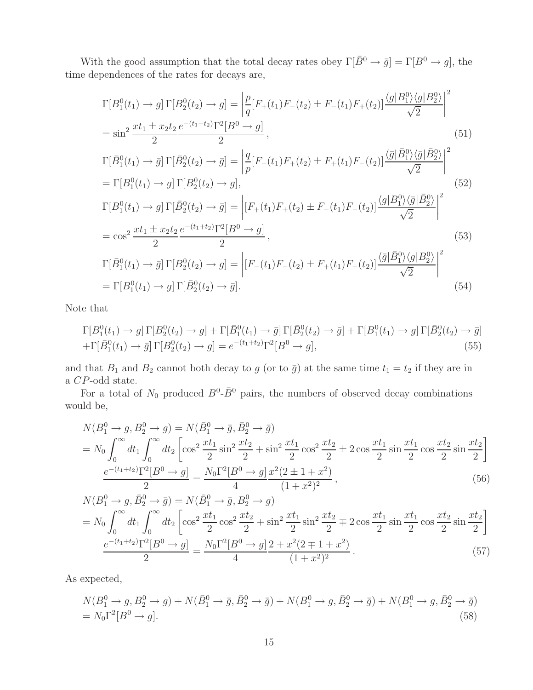With the good assumption that the total decay rates obey  $\Gamma[\bar{B}^0 \to \bar{g}] = \Gamma[B^0 \to g]$ , the time dependences of the rates for decays are,

$$
\Gamma[B_1^0(t_1) \to g] \Gamma[B_2^0(t_2) \to g] = \left| \frac{p}{q} [F_+(t_1)F_-(t_2) \pm F_-(t_1)F_+(t_2)] \frac{\langle g|B_1^0 \rangle \langle g|B_2^0 \rangle}{\sqrt{2}} \right|^2
$$
  
\n
$$
= \sin^2 \frac{x t_1 \pm x_2 t_2}{2} \frac{e^{-(t_1+t_2)} \Gamma^2 [B^0 \to g]}{2},
$$
\n
$$
\Gamma[\bar{B}_1^0(t_1) \to \bar{g}] \Gamma[\bar{B}_2^0(t_2) \to \bar{g}] = \left| \frac{q}{p} [F_-(t_1)F_+(t_2) \pm F_+(t_1)F_-(t_2)] \frac{\langle \bar{g}|\bar{B}_1^0 \rangle \langle \bar{g}|\bar{B}_2^0 \rangle}{\sqrt{2}} \right|^2
$$
  
\n
$$
= \Gamma[B_1^0(t_1) \to g] \Gamma[B_2^0(t_2) \to g],
$$
\n
$$
\Gamma[B_1^0(t_1) \to g] \Gamma[\bar{B}_2^0(t_2) \to \bar{g}] = \left| [F_+(t_1)F_+(t_2) \pm F_-(t_1)F_-(t_2)] \frac{\langle g|B_1^0 \rangle \langle \bar{g}|\bar{B}_2^0 \rangle}{\sqrt{2}} \right|^2
$$
  
\n
$$
= \cos^2 \frac{x t_1 \pm x_2 t_2}{2} \frac{e^{-(t_1+t_2)} \Gamma^2 [B^0 \to g]}{2},
$$
\n
$$
\Gamma[\bar{B}_1^0(t_1) \to \bar{g}] \Gamma[B_2^0(t_2) \to g] = \left| [F_-(t_1)F_-(t_2) \pm F_+(t_1)F_+(t_2)] \frac{\langle \bar{g}|\bar{B}_1^0 \rangle \langle g|B_2^0 \rangle}{\sqrt{2}} \right|^2
$$
\n(53)

$$
= \Gamma[B_1^0(t_1) \to g] \Gamma[\bar{B}_2^0(t_2) \to \bar{g}]. \tag{54}
$$

Note that

$$
\Gamma[B_1^0(t_1) \to g] \Gamma[B_2^0(t_2) \to g] + \Gamma[\bar{B}_1^0(t_1) \to \bar{g}] \Gamma[\bar{B}_2^0(t_2) \to \bar{g}] + \Gamma[B_1^0(t_1) \to g] \Gamma[\bar{B}_2^0(t_2) \to \bar{g}] \n+ \Gamma[\bar{B}_1^0(t_1) \to \bar{g}] \Gamma[B_2^0(t_2) \to g] = e^{-(t_1+t_2)} \Gamma^2[B^0 \to g],
$$
\n(55)

and that  $B_1$  and  $B_2$  cannot both decay to g (or to  $\bar{g}$ ) at the same time  $t_1 = t_2$  if they are in a CP-odd state.

For a total of  $N_0$  produced  $B^0$ - $\bar{B}^0$  pairs, the numbers of observed decay combinations would be,

$$
N(B_1^0 \to g, B_2^0 \to g) = N(\bar{B}_1^0 \to \bar{g}, \bar{B}_2^0 \to \bar{g})
$$
  
=  $N_0 \int_0^\infty dt_1 \int_0^\infty dt_2 \left[ \cos^2 \frac{x t_1}{2} \sin^2 \frac{x t_2}{2} + \sin^2 \frac{x t_1}{2} \cos^2 \frac{x t_2}{2} \pm 2 \cos \frac{x t_1}{2} \sin \frac{x t_1}{2} \cos \frac{x t_2}{2} \sin \frac{x t_2}{2} \right]$   

$$
\frac{e^{-(t_1+t_2)} \Gamma^2[B^0 \to g]}{2} = \frac{N_0 \Gamma^2[B^0 \to g]}{4} \frac{x^2 (2 \pm 1 + x^2)}{(1 + x^2)^2},
$$
(56)

$$
N(B_1^0 \to g, \bar{B}_2^0 \to \bar{g}) = N(\bar{B}_1^0 \to \bar{g}, B_2^0 \to g)
$$
  
=  $N_0 \int_0^\infty dt_1 \int_0^\infty dt_2 \left[ \cos^2 \frac{xt_1}{2} \cos^2 \frac{xt_2}{2} + \sin^2 \frac{xt_1}{2} \sin^2 \frac{xt_2}{2} \mp 2 \cos \frac{xt_1}{2} \sin \frac{xt_1}{2} \cos \frac{xt_2}{2} \sin \frac{xt_2}{2} \right]$   

$$
\frac{e^{-(t_1+t_2)} \Gamma^2[B^0 \to g]}{2} = \frac{N_0 \Gamma^2[B^0 \to g]}{4} = \frac{2 + x^2(2+1+x^2)}{(1+x^2)^2}.
$$
 (57)

As expected,

$$
N(B_1^0 \to g, B_2^0 \to g) + N(\bar{B}_1^0 \to \bar{g}, \bar{B}_2^0 \to \bar{g}) + N(B_1^0 \to g, \bar{B}_2^0 \to \bar{g}) + N(B_1^0 \to g, \bar{B}_2^0 \to \bar{g})
$$
  
=  $N_0 \Gamma^2 [B^0 \to g].$  (58)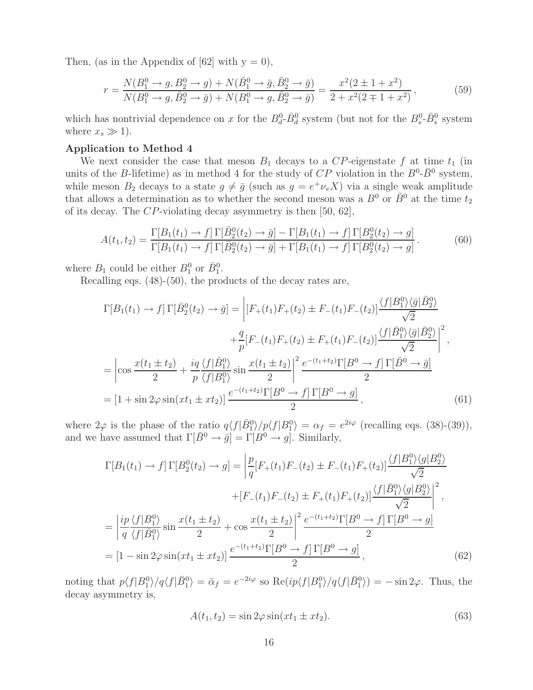Then, (as in the Appendix of  $[62]$  with  $y = 0$ ),

$$
r = \frac{N(B_1^0 \to g, B_2^0 \to g) + N(\bar{B}_1^0 \to \bar{g}, \bar{B}_2^0 \to \bar{g})}{N(B_1^0 \to g, \bar{B}_2^0 \to \bar{g}) + N(B_1^0 \to g, \bar{B}_2^0 \to \bar{g})} = \frac{x^2(2 \pm 1 + x^2)}{2 + x^2(2 \mp 1 + x^2)},
$$
(59)

which has nontrivial dependence on x for the  $B_d^0$ - $\bar{B}_d^0$  system (but not for the  $B_s^0$ - $\bar{B}_s^0$  system where  $x_s \gg 1$ ).

#### **Application to Method 4**

We next consider the case that meson  $B_1$  decays to a CP-eigenstate f at time  $t_1$  (in units of the B-lifetime) as in method 4 for the study of  $CP$  violation in the  $B^0$ - $\bar{B}^0$  system, while meson  $B_2$  decays to a state  $g \neq \overline{g}$  (such as  $g = e^+ \nu_e X$ ) via a single weak amplitude that allows a determination as to whether the second meson was a  $B^0$  or  $\bar{B}^0$  at the time  $t_2$ of its decay. The CP-violating decay asymmetry is then [50, 62],

$$
A(t_1, t_2) = \frac{\Gamma[B_1(t_1) \to f] \Gamma[\bar{B}_2^0(t_2) \to \bar{g}] - \Gamma[B_1(t_1) \to f] \Gamma[B_2^0(t_2) \to g]}{\Gamma[B_1(t_1) \to f] \Gamma[\bar{B}_2^0(t_2) \to \bar{g}] + \Gamma[B_1(t_1) \to f] \Gamma[B_2^0(t_2) \to g]}.
$$
(60)

where  $B_1$  could be either  $B_1^0$  or  $\bar{B}_1^0$ .

Recalling eqs. (48)-(50), the products of the decay rates are,

$$
\Gamma[B_1(t_1) \to f] \Gamma[\bar{B}_2^0(t_2) \to \bar{g}] = \left| [F_+(t_1)F_+(t_2) \pm F_-(t_1)F_-(t_2)] \frac{\langle f|B_1^0 \rangle \langle \bar{g}| \bar{B}_2^0 \rangle}{\sqrt{2}} \right| \n+ \frac{q}{p} [F_-(t_1)F_+(t_2) \pm F_+(t_1)F_-(t_2)] \frac{\langle f|B_1^0 \rangle \langle \bar{g}| \bar{B}_2^0 \rangle}{\sqrt{2}} \right|^2, \n= \left| \cos \frac{x(t_1 \pm t_2)}{2} + \frac{iq \langle f| \bar{B}_1^0 \rangle}{p \langle f|B_1^0 \rangle} \sin \frac{x(t_1 \pm t_2)}{2} \right|^2 \frac{e^{-(t_1+t_2)} \Gamma[B^0 \to f] \Gamma[\bar{B}^0 \to \bar{g}]}{2} \n= [1 + \sin 2\varphi \sin(xt_1 \pm xt_2)] \frac{e^{-(t_1+t_2)} \Gamma[B^0 \to f] \Gamma[B^0 \to g]}{2},
$$
\n(61)

where  $2\varphi$  is the phase of the ratio  $q\langle f|\bar{B}_1^0\rangle/p\langle f|B_1^0\rangle = \alpha_f = e^{2i\varphi}$  (recalling eqs. (38)-(39)), and we have assumed that  $\Gamma[\bar{B}^0 \to \bar{g}] = \Gamma[B^0 \to g]$ . Similarly,

$$
\Gamma[B_1(t_1) \to f] \Gamma[B_2^0(t_2) \to g] = \left| \frac{p}{q} [F_+(t_1)F_-(t_2) \pm F_-(t_1)F_+(t_2)] \frac{\langle f|B_1^0\rangle \langle g|B_2^0\rangle}{\sqrt{2}} \right|
$$
  
+ 
$$
[F_-(t_1)F_-(t_2) \pm F_+(t_1)F_+(t_2)] \frac{\langle f|B_1^0\rangle \langle g|B_2^0\rangle}{\sqrt{2}} \right|^2,
$$
  
= 
$$
\left| \frac{ip \langle f|B_1^0\rangle}{q \langle f|B_1^0\rangle} \sin \frac{x(t_1 \pm t_2)}{2} + \cos \frac{x(t_1 \pm t_2)}{2} \right|^2 \frac{e^{-(t_1+t_2)} \Gamma[B^0 \to f] \Gamma[B^0 \to g]}{2}
$$
  
= 
$$
[1 - \sin 2\varphi \sin(xt_1 \pm xt_2)] \frac{e^{-(t_1+t_2)} \Gamma[B^0 \to f] \Gamma[B^0 \to g]}{2}, \tag{62}
$$

noting that  $p\langle f|B_1^0\rangle/q\langle f|\bar{B}_1^0\rangle = \bar{\alpha}_f = e^{-2i\varphi}$  so  $\text{Re}(ip\langle f|B_1^0\rangle/q\langle f|\bar{B}_1^0\rangle) = -\sin 2\varphi$ . Thus, the decay asymmetry is,

$$
A(t_1, t_2) = \sin 2\varphi \sin(x t_1 \pm x t_2). \tag{63}
$$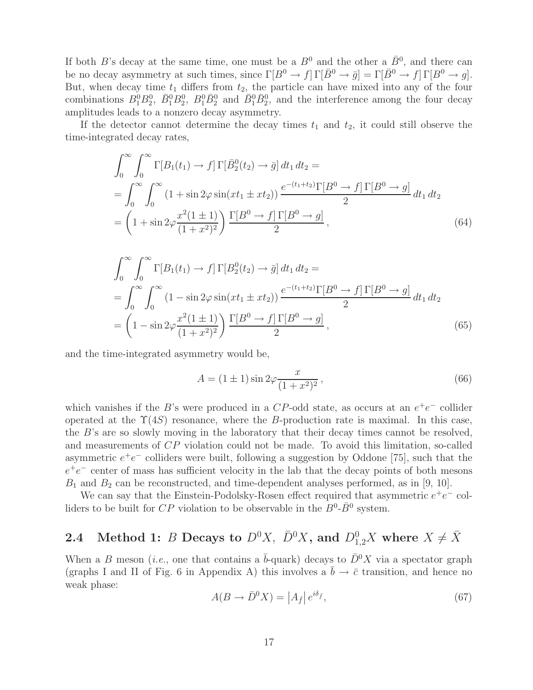If both B's decay at the same time, one must be a  $B^0$  and the other a  $\bar{B}^0$ , and there can be no decay asymmetry at such times, since  $\Gamma[B^0 \to f] \Gamma[\bar{B}^0 \to \bar{g}] = \Gamma[\bar{B}^0 \to f] \Gamma[B^0 \to g]$ . But, when decay time  $t_1$  differs from  $t_2$ , the particle can have mixed into any of the four combinations  $B_1^0B_2^0$ ,  $\bar{B}_1^0B_2^0$ ,  $B_1^0\bar{B}_2^0$  and  $\bar{B}_1^0\bar{B}_2^0$ , and the interference among the four decay amplitudes leads to a nonzero decay asymmetry.

If the detector cannot determine the decay times  $t_1$  and  $t_2$ , it could still observe the time-integrated decay rates,

$$
\int_0^{\infty} \int_0^{\infty} \Gamma[B_1(t_1) \to f] \Gamma[\bar{B}_2^0(t_2) \to \bar{g}] dt_1 dt_2 =
$$
\n
$$
= \int_0^{\infty} \int_0^{\infty} (1 + \sin 2\varphi \sin(x t_1 \pm x t_2)) \frac{e^{-(t_1 + t_2)} \Gamma[B^0 \to f] \Gamma[B^0 \to g]}{2} dt_1 dt_2
$$
\n
$$
= \left(1 + \sin 2\varphi \frac{x^2 (1 \pm 1)}{(1 + x^2)^2}\right) \frac{\Gamma[B^0 \to f] \Gamma[B^0 \to g]}{2}, \tag{64}
$$

$$
\int_0^\infty \int_0^\infty \Gamma[B_1(t_1) \to f] \Gamma[B_2^0(t_2) \to \bar{g}] dt_1 dt_2 =
$$
\n
$$
= \int_0^\infty \int_0^\infty (1 - \sin 2\varphi \sin(x t_1 \pm x t_2)) \frac{e^{-(t_1 + t_2)} \Gamma[B^0 \to f] \Gamma[B^0 \to g]}{2} dt_1 dt_2
$$
\n
$$
= \left(1 - \sin 2\varphi \frac{x^2 (1 \pm 1)}{(1 + x^2)^2}\right) \frac{\Gamma[B^0 \to f] \Gamma[B^0 \to g]}{2}, \tag{65}
$$

and the time-integrated asymmetry would be,

$$
A = (1 \pm 1)\sin 2\varphi \frac{x}{(1+x^2)^2},
$$
\n(66)

which vanishes if the B's were produced in a CP-odd state, as occurs at an  $e^+e^-$  collider operated at the  $\Upsilon(4S)$  resonance, where the B-production rate is maximal. In this case, the B's are so slowly moving in the laboratory that their decay times cannot be resolved, and measurements of CP violation could not be made. To avoid this limitation, so-called asymmetric  $e^+e^-$  colliders were built, following a suggestion by Oddone [75], such that the  $e^+e^-$  center of mass has sufficient velocity in the lab that the decay points of both mesons  $B_1$  and  $B_2$  can be reconstructed, and time-dependent analyses performed, as in [9, 10].

We can say that the Einstein-Podolsky-Rosen effect required that asymmetric  $e^+e^-$  colliders to be built for CP violation to be observable in the  $B^0$ - $\bar{B}^0$  system.

# **2.4** Method 1: B Decays to  $D^0X$ ,  $\bar{D}^0X$ , and  $D_{1,2}^0X$  where  $X \neq \bar{X}$

When a B meson (*i.e.*, one that contains a  $\bar{b}$ -quark) decays to  $\bar{D}^0 X$  via a spectator graph (graphs I and II of Fig. 6 in Appendix A) this involves a  $\bar{b} \to \bar{c}$  transition, and hence no weak phase:

$$
A(B \to \bar{D}^0 X) = |A_{\bar{f}}| e^{i\delta_{\bar{f}}}, \qquad (67)
$$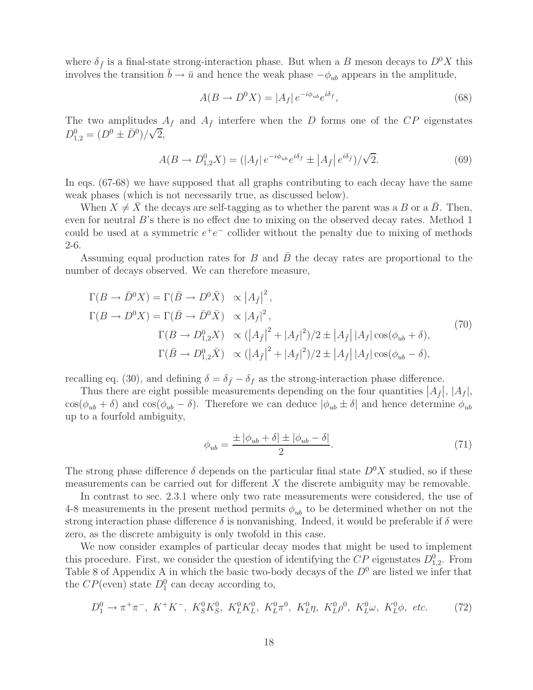where  $\delta_{\bar{f}}$  is a final-state strong-interaction phase. But when a B meson decays to  $D^0X$  this involves the transition  $\bar{b} \to \bar{u}$  and hence the weak phase  $-\phi_{ub}$  appears in the amplitude,

$$
A(B \to D^0 X) = |A_f| e^{-i\phi_{ub}} e^{i\delta_f}, \qquad (68)
$$

The two amplitudes  $A_f$  and  $A_{\bar{f}}$  interfere when the D forms one of the CP eigenstates  $D_{1,2}^0 = (D^0 \pm \bar{D}^0)/\sqrt{2},$ 

$$
A(B \to D_{1,2}^0 X) = (|A_f| \, e^{-i\phi_{ub}} e^{i\delta_f} \pm |A_{\bar{f}}| \, e^{i\delta_{\bar{f}}})/\sqrt{2}.
$$
 (69)

In eqs. (67-68) we have supposed that all graphs contributing to each decay have the same weak phases (which is not necessarily true, as discussed below).

When  $X \neq X$  the decays are self-tagging as to whether the parent was a B or a B. Then, even for neutral B's there is no effect due to mixing on the observed decay rates. Method 1 could be used at a symmetric  $e^+e^-$  collider without the penalty due to mixing of methods 2-6.

Assuming equal production rates for  $B$  and  $\overline{B}$  the decay rates are proportional to the number of decays observed. We can therefore measure,

$$
\Gamma(B \to \bar{D}^0 X) = \Gamma(\bar{B} \to D^0 \bar{X}) \propto |A_{\bar{f}}|^2,
$$
  
\n
$$
\Gamma(B \to D^0 X) = \Gamma(\bar{B} \to \bar{D}^0 \bar{X}) \propto |A_f|^2,
$$
  
\n
$$
\Gamma(B \to D_{1,2}^0 X) \propto (|A_{\bar{f}}|^2 + |A_f|^2)/2 \pm |A_{\bar{f}}| |A_f| \cos(\phi_{ub} + \delta),
$$
  
\n
$$
\Gamma(\bar{B} \to D_{1,2}^0 \bar{X}) \propto (|A_{\bar{f}}|^2 + |A_f|^2)/2 \pm |A_{\bar{f}}| |A_f| \cos(\phi_{ub} - \delta),
$$
\n(70)

recalling eq. (30), and defining  $\delta = \delta_{\bar{f}} - \delta_f$  as the strong-interaction phase difference.

Thus there are eight possible measurements depending on the four quantities  $|A_{\bar{f}}|, |A_{f}|,$  $\cos(\phi_{ub} + \delta)$  and  $\cos(\phi_{ub} - \delta)$ . Therefore we can deduce  $|\phi_{ub} \pm \delta|$  and hence determine  $\phi_{ub}$ up to a fourfold ambiguity,

$$
\phi_{ub} = \frac{\pm |\phi_{ub} + \delta| \pm |\phi_{ub} - \delta|}{2}.
$$
\n(71)

The strong phase difference  $\delta$  depends on the particular final state  $D^0X$  studied, so if these measurements can be carried out for different  $X$  the discrete ambiguity may be removable.

In contrast to sec. 2.3.1 where only two rate measurements were considered, the use of 4-8 measurements in the present method permits  $\phi_{ub}$  to be determined whether on not the strong interaction phase difference  $\delta$  is nonvanishing. Indeed, it would be preferable if  $\delta$  were zero, as the discrete ambiguity is only twofold in this case.

We now consider examples of particular decay modes that might be used to implement this procedure. First, we consider the question of identifying the  $\tilde{CP}$  eigenstates  $D_{1,2}^0$ . From Table 8 of Appendix A in which the basic two-body decays of the  $D^0$  are listed we infer that the  $CP$ (even) state  $D_1^0$  can decay according to,

$$
D_1^0 \to \pi^+ \pi^-, \ K^+ K^-, \ K_S^0 K_S^0, \ K_L^0 K_L^0, \ K_L^0 \pi^0, \ K_L^0 \eta, \ K_L^0 \rho^0, \ K_L^0 \omega, \ K_L^0 \phi, \ etc.
$$
 (72)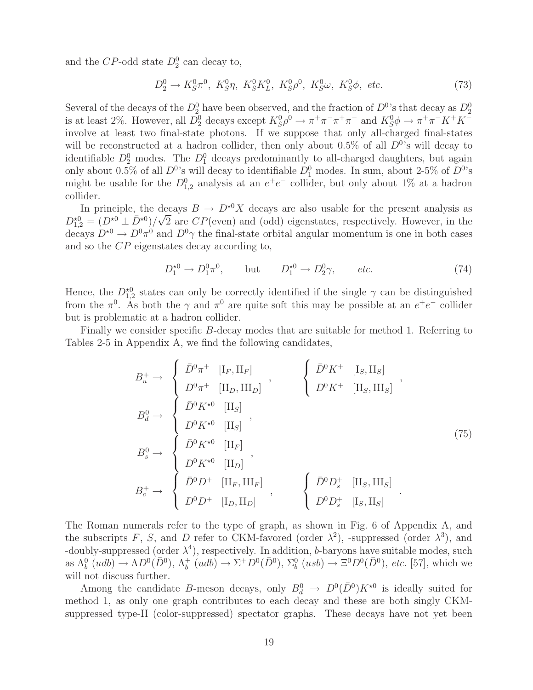and the  $CP$ -odd state  $D_2^0$  can decay to,

$$
D_2^0 \to K_S^0 \pi^0, \ K_S^0 \eta, \ K_S^0 K_L^0, \ K_S^0 \rho^0, \ K_S^0 \omega, \ K_S^0 \phi, \ etc.
$$
 (73)

Several of the decays of the  $D_2^0$  have been observed, and the fraction of  $D^0$ 's that decay as  $D_2^0$ is at least 2%. However, all  $\overline{D}_2^0$  decays except  $K_S^0 \rho^0 \to \pi^+ \pi^- \pi^+ \pi^-$  and  $K_S^0 \phi \to \pi^+ \pi^- K^+ K^$ involve at least two final-state photons. If we suppose that only all-charged final-states will be reconstructed at a hadron collider, then only about 0.5% of all  $D^{0}$ 's will decay to identifiable  $D_2^0$  modes. The  $D_1^0$  decays predominantly to all-charged daughters, but again only about 0.5% of all  $D^0$ 's will decay to identifiable  $D_1^0$  modes. In sum, about 2-5% of  $D^0$ 's might be usable for the  $D_{1,2}^0$  analysis at an  $e^+e^-$  collider, but only about 1% at a hadron collider.

In principle, the decays  $B \to D^{*0}X$  decays are also usable for the present analysis as In principle, the de<br>  $D_{1,2}^{*0} = (D^{*0} \pm \bar{D}^{*0})/\sqrt{2}$ 2 are  $CP$ (even) and (odd) eigenstates, respectively. However, in the decays  $D^{*0} \to D^0 \pi^0$  and  $D^0 \gamma$  the final-state orbital angular momentum is one in both cases and so the CP eigenstates decay according to,

$$
D_1^{*0} \to D_1^0 \pi^0, \qquad \text{but} \qquad D_1^{*0} \to D_2^0 \gamma, \qquad etc. \tag{74}
$$

Hence, the  $D_{1,2}^{*0}$  states can only be correctly identified if the single  $\gamma$  can be distinguished from the  $\pi^0$ . As both the  $\gamma$  and  $\pi^0$  are quite soft this may be possible at an  $e^+e^-$  collider but is problematic at a hadron collider.

Finally we consider specific B-decay modes that are suitable for method 1. Referring to Tables 2-5 in Appendix A, we find the following candidates,

$$
B_u^+ \to \begin{cases} \bar{D}^0 \pi^+ & [\text{I}_F, \text{II}_F] \\ D^0 \pi^+ & [\text{II}_D, \text{III}_D] \end{cases}, \qquad \begin{cases} \bar{D}^0 K^+ & [\text{I}_S, \text{II}_S] \\ D^0 K^+ & [\text{II}_S, \text{III}_S] \end{cases},
$$
  
\n
$$
B_s^0 \to \begin{cases} \bar{D}^0 K^{\star 0} & [\text{II}_S] \\ \bar{D}^0 K^{\star 0} & [\text{II}_F] \\ D^0 K^{\star 0} & [\text{II}_D] \end{cases},
$$
  
\n
$$
B_c^+ \to \begin{cases} \bar{D}^0 D^+ & [\text{II}_F, \text{III}_F] \\ D^0 D^+ & [\text{II}_F, \text{III}_F] \\ D^0 D^+ & [\text{I}_D, \text{II}_D] \end{cases}, \qquad \begin{cases} \bar{D}^0 D_s^+ & [\text{II}_S, \text{III}_S] \\ D^0 D_s^+ & [\text{I}_S, \text{II}_S] \end{cases}.
$$
  
\n(75)

The Roman numerals refer to the type of graph, as shown in Fig. 6 of Appendix A, and the subscripts F, S, and D refer to CKM-favored (order  $\lambda^2$ ), -suppressed (order  $\lambda^3$ ), and -doubly-suppressed (order  $\lambda^4$ ), respectively. In addition, b-baryons have suitable modes, such as  $\Lambda_b^0$  (udb)  $\to \Lambda D^0(\overline{D}^0)$ ,  $\Lambda_b^+(udb) \to \Sigma^+ D^0(\overline{D}^0)$ ,  $\Sigma_b^0$  (usb)  $\to \Xi^0 D^0(\overline{D}^0)$ , *etc.* [57], which we will not discuss further.

Among the candidate B-meson decays, only  $B_d^0 \to D^0(\bar{D}^0)K^{\star0}$  is ideally suited for method 1, as only one graph contributes to each decay and these are both singly CKMsuppressed type-II (color-suppressed) spectator graphs. These decays have not yet been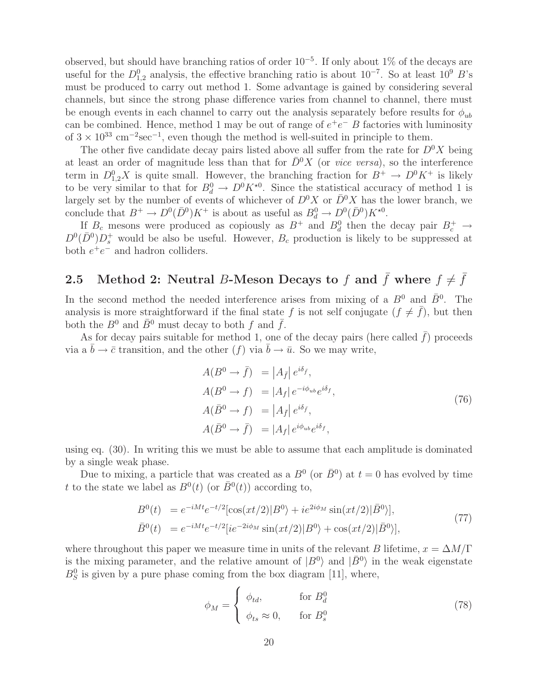observed, but should have branching ratios of order  $10^{-5}$ . If only about 1% of the decays are useful for the  $D_{1,2}^0$  analysis, the effective branching ratio is about  $10^{-7}$ . So at least  $10^9$  B's must be produced to carry out method 1. Some advantage is gained by considering several channels, but since the strong phase difference varies from channel to channel, there must be enough events in each channel to carry out the analysis separately before results for  $\phi_{ub}$ can be combined. Hence, method 1 may be out of range of  $e^+e^-$  B factories with luminosity of  $3 \times 10^{33}$  cm<sup>-2</sup>sec<sup>-1</sup>, even though the method is well-suited in principle to them.

The other five candidate decay pairs listed above all suffer from the rate for  $D^0 X$  being at least an order of magnitude less than that for  $\bar{D}^0 X$  (or *vice versa*), so the interference term in  $D_{1,2}^0 X$  is quite small. However, the branching fraction for  $B^+ \to D^0 K^+$  is likely to be very similar to that for  $B_d^0 \to D^0 K^{*0}$ . Since the statistical accuracy of method 1 is largely set by the number of events of whichever of  $D^0X$  or  $D^0X$  has the lower branch, we conclude that  $B^+ \to D^0(\bar{D}^0)K^+$  is about as useful as  $B_d^0 \to D^0(\bar{D}^0)K^{*0}$ .

If  $B_c$  mesons were produced as copiously as  $B^+$  and  $B_d^0$  then the decay pair  $B_c^+ \rightarrow$  $D^0(\bar{D}^0)D_s^+$  would be also be useful. However,  $B_c$  production is likely to be suppressed at both  $e^+e^-$  and hadron colliders.

### **2.5** Method 2: Neutral B-Meson Decays to f and  $\bar{f}$  where  $f \neq \bar{f}$

In the second method the needed interference arises from mixing of a  $B^0$  and  $\bar{B}^0$ . The analysis is more straightforward if the final state f is not self conjugate  $(f \neq \hat{f})$ , but then both the  $B^0$  and  $\bar{B}^0$  must decay to both f and  $\bar{f}$ .

As for decay pairs suitable for method 1, one of the decay pairs (here called  $\bar{f}$ ) proceeds via a  $\bar{b} \to \bar{c}$  transition, and the other  $(f)$  via  $\bar{b} \to \bar{u}$ . So we may write,

$$
A(B^{0} \to \bar{f}) = |A_{\bar{f}}| e^{i\delta_{\bar{f}}},
$$
  
\n
$$
A(B^{0} \to f) = |A_{f}| e^{-i\phi_{ub}} e^{i\delta_{f}},
$$
  
\n
$$
A(\bar{B}^{0} \to f) = |A_{\bar{f}}| e^{i\delta_{\bar{f}}},
$$
  
\n
$$
A(\bar{B}^{0} \to \bar{f}) = |A_{f}| e^{i\phi_{ub}} e^{i\delta_{f}},
$$
\n(76)

using eq. (30). In writing this we must be able to assume that each amplitude is dominated by a single weak phase.

Due to mixing, a particle that was created as a  $B^0$  (or  $\bar{B}^0$ ) at  $t = 0$  has evolved by time t to the state we label as  $B^0(t)$  (or  $\bar{B}^0(t)$ ) according to,

$$
B^{0}(t) = e^{-iMt}e^{-t/2}[\cos(xt/2)|B^{0}\rangle + ie^{2i\phi_{M}}\sin(xt/2)|\bar{B}^{0}\rangle],
$$
  
\n
$$
\bar{B}^{0}(t) = e^{-iMt}e^{-t/2}[ie^{-2i\phi_{M}}\sin(xt/2)|B^{0}\rangle + \cos(xt/2)|\bar{B}^{0}\rangle],
$$
\n(77)

where throughout this paper we measure time in units of the relevant B lifetime,  $x = \Delta M/\Gamma$ is the mixing parameter, and the relative amount of  $|B^0\rangle$  and  $|\bar{B}^0\rangle$  in the weak eigenstate  $B_S^0$  is given by a pure phase coming from the box diagram [11], where,

$$
\phi_M = \begin{cases} \phi_{td}, & \text{for } B_d^0 \\ \phi_{ts} \approx 0, & \text{for } B_s^0 \end{cases}
$$
 (78)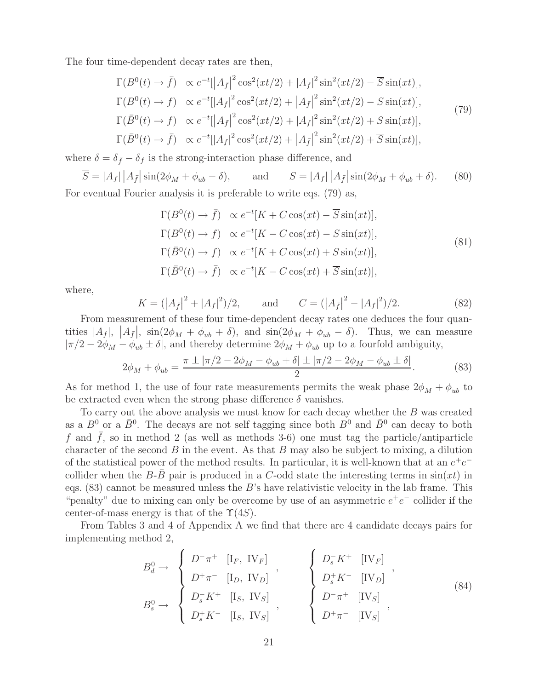The four time-dependent decay rates are then,

$$
\Gamma(B^{0}(t) \to \bar{f}) \propto e^{-t} [|A_{\bar{f}}|^{2} \cos^{2}(xt/2) + |A_{f}|^{2} \sin^{2}(xt/2) - \overline{S} \sin(xt)],
$$
  
\n
$$
\Gamma(B^{0}(t) \to f) \propto e^{-t} [|A_{f}|^{2} \cos^{2}(xt/2) + |A_{\bar{f}}|^{2} \sin^{2}(xt/2) - S \sin(xt)],
$$
  
\n
$$
\Gamma(\bar{B}^{0}(t) \to f) \propto e^{-t} [|A_{\bar{f}}|^{2} \cos^{2}(xt/2) + |A_{f}|^{2} \sin^{2}(xt/2) + S \sin(xt)],
$$
  
\n
$$
\Gamma(\bar{B}^{0}(t) \to \bar{f}) \propto e^{-t} [|A_{f}|^{2} \cos^{2}(xt/2) + |A_{\bar{f}}|^{2} \sin^{2}(xt/2) + \overline{S} \sin(xt)],
$$
\n(79)

where  $\delta = \delta_{\bar{f}} - \delta_f$  is the strong-interaction phase difference, and

$$
\overline{S} = |A_f| |A_{\overline{f}}| \sin(2\phi_M + \phi_{ub} - \delta), \quad \text{and} \quad S = |A_f| |A_{\overline{f}}| \sin(2\phi_M + \phi_{ub} + \delta). \tag{80}
$$
  
For eventual Fourier analysis it is preferable to write eqs. (79) as,

$$
\Gamma(B^0(t) \to \bar{f}) \propto e^{-t}[K + C\cos(xt) - \overline{S}\sin(xt)],
$$
  
\n
$$
\Gamma(B^0(t) \to f) \propto e^{-t}[K - C\cos(xt) - S\sin(xt)],
$$
  
\n
$$
\Gamma(\bar{B}^0(t) \to f) \propto e^{-t}[K + C\cos(xt) + S\sin(xt)],
$$
  
\n
$$
\Gamma(\bar{B}^0(t) \to \bar{f}) \propto e^{-t}[K - C\cos(xt) + \overline{S}\sin(xt)],
$$
\n(81)

where,

$$
K = (|A_{\bar{f}}|^2 + |A_f|^2)/2, \quad \text{and} \quad C = (|A_{\bar{f}}|^2 - |A_f|^2)/2. \tag{82}
$$

From measurement of these four time-dependent decay rates one deduces the four quantities  $|A_f|$ ,  $|A_{\bar{f}}|$ ,  $\sin(2\phi_M + \phi_{ub} + \delta)$ , and  $\sin(2\phi_M + \phi_{ub} - \delta)$ . Thus, we can measure  $|\pi/2 - 2\phi_M - \phi_{ub} \pm \delta|$ , and thereby determine  $2\phi_M + \phi_{ub}$  up to a fourfold ambiguity,

$$
2\phi_M + \phi_{ub} = \frac{\pi \pm |\pi/2 - 2\phi_M - \phi_{ub} + \delta| \pm |\pi/2 - 2\phi_M - \phi_{ub} \pm \delta|}{2}.
$$
 (83)

As for method 1, the use of four rate measurements permits the weak phase  $2\phi_M + \phi_{ub}$  to be extracted even when the strong phase difference  $\delta$  vanishes.

To carry out the above analysis we must know for each decay whether the B was created as a  $B^0$  or a  $\bar{B}^0$ . The decays are not self tagging since both  $B^0$  and  $\bar{B}^0$  can decay to both f and  $\bar{f}$ , so in method 2 (as well as methods 3-6) one must tag the particle/antiparticle character of the second  $B$  in the event. As that  $B$  may also be subject to mixing, a dilution of the statistical power of the method results. In particular, it is well-known that at an  $e^+e^$ collider when the B-B pair is produced in a C-odd state the interesting terms in  $sin(xt)$  in eqs.  $(83)$  cannot be measured unless the B's have relativistic velocity in the lab frame. This "penalty" due to mixing can only be overcome by use of an asymmetric  $e^+e^-$  collider if the center-of-mass energy is that of the  $\Upsilon(4S)$ .

From Tables 3 and 4 of Appendix A we find that there are 4 candidate decays pairs for implementing method 2,

$$
B_d^0 \to \begin{cases} D^-\pi^+ & [I_F, \text{ IV}_F] \\ D^+\pi^- & [I_D, \text{ IV}_D] \end{cases}, \qquad \begin{cases} D_s^-K^+ & [I V_F] \\ D_s^+K^- & [I V_D] \end{cases}, \\ B_s^0 \to \begin{cases} D_s^-K^+ & [I_S, \text{ IV}_S] \\ D_s^+K^- & [I_S, \text{ IV}_S] \end{cases}, \qquad \begin{cases} D^-\pi^+ & [I V_B] \\ D^-\pi^+ & [I V_S] \\ D^+\pi^- & [I V_S] \end{cases}, \qquad (84)
$$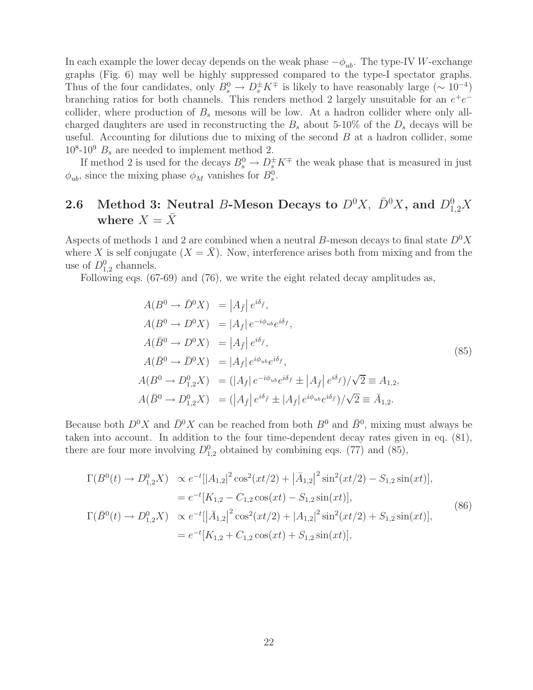In each example the lower decay depends on the weak phase  $-\phi_{ub}$ . The type-IV W-exchange graphs (Fig. 6) may well be highly suppressed compared to the type-I spectator graphs. Thus of the four candidates, only  $B_s^0 \to D_s^{\pm} K^{\mp}$  is likely to have reasonably large ( $\sim 10^{-4}$ ) branching ratios for both channels. This renders method 2 largely unsuitable for an  $e^+e^$ collider, where production of  $B_s$  mesons will be low. At a hadron collider where only allcharged daughters are used in reconstructing the  $B_s$  about 5-10% of the  $D_s$  decays will be useful. Accounting for dilutions due to mixing of the second  $B$  at a hadron collider, some  $10^8\t{-}10^9$   $B_s$  are needed to implement method 2.

If method 2 is used for the decays  $B_s^0 \to D_s^{\pm} K^{\mp}$  the weak phase that is measured in just  $\phi_{ub}$ , since the mixing phase  $\phi_M$  vanishes for  $B_s^0$ .

## **2.6** Method 3: Neutral B-Meson Decays to  $D^0X$ ,  $\bar{D}^0X$ , and  $D^0_{1,2}X$ where  $X = \overline{X}$

Aspects of methods 1 and 2 are combined when a neutral B-meson decays to final state  $D^0X$ where X is self conjugate  $(X = \overline{X})$ . Now, interference arises both from mixing and from the use of  $D_{1,2}^0$  channels.

Following eqs. (67-69) and (76), we write the eight related decay amplitudes as,

$$
A(B^0 \to \bar{D}^0 X) = |A_{\bar{f}}| e^{i\delta_{\bar{f}}},
$$
  
\n
$$
A(B^0 \to D^0 X) = |A_f| e^{-i\phi_{ub}} e^{i\delta_f},
$$
  
\n
$$
A(\bar{B}^0 \to D^0 X) = |A_{\bar{f}}| e^{i\delta_{\bar{f}}},
$$
  
\n
$$
A(\bar{B}^0 \to \bar{D}^0 X) = |A_f| e^{i\phi_{ub}} e^{i\delta_f},
$$
  
\n
$$
A(B^0 \to D^0_{1,2} X) = (|A_f| e^{-i\phi_{ub}} e^{i\delta_f} \pm |A_{\bar{f}}| e^{i\delta_{\bar{f}}})/\sqrt{2} \equiv A_{1,2},
$$
  
\n
$$
A(\bar{B}^0 \to D^0_{1,2} X) = (|A_{\bar{f}}| e^{i\delta_{\bar{f}}} \pm |A_f| e^{i\phi_{ub}} e^{i\delta_f})/\sqrt{2} \equiv \bar{A}_{1,2}.
$$
  
\n(85)

Because both  $D^0 X$  and  $\bar{D}^0 X$  can be reached from both  $B^0$  and  $\bar{B}^0$ , mixing must always be taken into account. In addition to the four time-dependent decay rates given in eq. (81), there are four more involving  $D_{1,2}^0$  obtained by combining eqs. (77) and (85),

$$
\Gamma(B^{0}(t) \to D_{1,2}^{0}X) \propto e^{-t}[|A_{1,2}|^{2}\cos^{2}(xt/2) + |\bar{A}_{1,2}|^{2}\sin^{2}(xt/2) - S_{1,2}\sin(xt)],
$$
\n
$$
= e^{-t}[K_{1,2} - C_{1,2}\cos(xt) - S_{1,2}\sin(xt)],
$$
\n
$$
\Gamma(\bar{B}^{0}(t) \to D_{1,2}^{0}X) \propto e^{-t}[|\bar{A}_{1,2}|^{2}\cos^{2}(xt/2) + |A_{1,2}|^{2}\sin^{2}(xt/2) + S_{1,2}\sin(xt)],
$$
\n
$$
= e^{-t}[K_{1,2} + C_{1,2}\cos(xt) + S_{1,2}\sin(xt)],
$$
\n(86)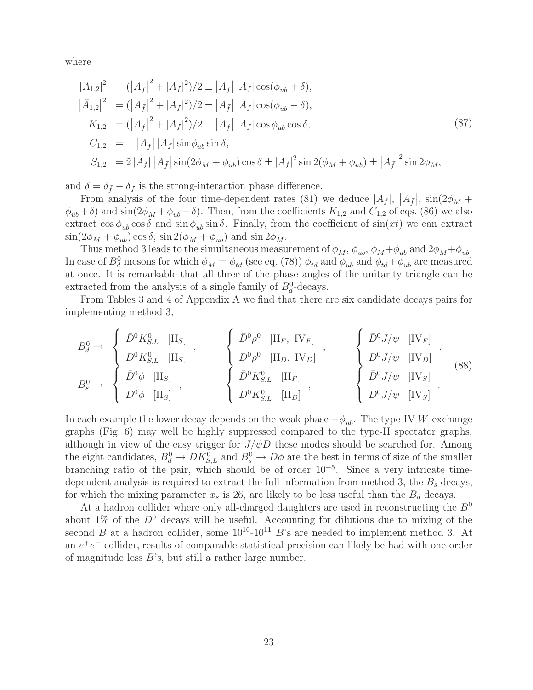where

$$
|A_{1,2}|^2 = (|A_{\bar{f}}|^2 + |A_{f}|^2)/2 \pm |A_{\bar{f}}| |A_{f}| \cos(\phi_{ub} + \delta),
$$
  
\n
$$
|\bar{A}_{1,2}|^2 = (|A_{\bar{f}}|^2 + |A_{f}|^2)/2 \pm |A_{\bar{f}}| |A_{f}| \cos(\phi_{ub} - \delta),
$$
  
\n
$$
K_{1,2} = (|A_{\bar{f}}|^2 + |A_{f}|^2)/2 \pm |A_{\bar{f}}| |A_{f}| \cos \phi_{ub} \cos \delta,
$$
  
\n
$$
C_{1,2} = \pm |A_{\bar{f}}| |A_{f}| \sin \phi_{ub} \sin \delta,
$$
  
\n
$$
S_{1,2} = 2 |A_{f}| |A_{\bar{f}}| \sin(2\phi_{M} + \phi_{ub}) \cos \delta \pm |A_{f}|^2 \sin 2(\phi_{M} + \phi_{ub}) \pm |A_{\bar{f}}|^2 \sin 2\phi_{M},
$$
\n(87)

and  $\delta = \delta_{\bar{f}} - \delta_f$  is the strong-interaction phase difference.

From analysis of the four time-dependent rates (81) we deduce  $|A_f|, |A_{\bar{f}}|, \sin(2\phi_M +$  $\phi_{ub} + \delta$ ) and sin(2 $\phi_M + \phi_{ub} - \delta$ ). Then, from the coefficients  $K_{1,2}$  and  $C_{1,2}$  of eqs. (86) we also extract  $\cos \phi_{ub} \cos \delta$  and  $\sin \phi_{ub} \sin \delta$ . Finally, from the coefficient of  $\sin(xt)$  we can extract  $\sin(2\phi_M + \phi_{ub}) \cos \delta$ ,  $\sin 2(\phi_M + \phi_{ub})$  and  $\sin 2\phi_M$ .

Thus method 3 leads to the simultaneous measurement of  $\phi_M$ ,  $\phi_{ub}$ ,  $\phi_M + \phi_{ub}$  and  $2\phi_M + \phi_{ub}$ . In case of  $B_d^0$  mesons for which  $\phi_M = \phi_{td}$  (see eq. (78))  $\phi_{td}$  and  $\phi_{ub}$  and  $\phi_{td} + \phi_{ub}$  are measured at once. It is remarkable that all three of the phase angles of the unitarity triangle can be extracted from the analysis of a single family of  $B_d^0$ -decays.

From Tables 3 and 4 of Appendix A we find that there are six candidate decays pairs for implementing method 3,

$$
B_d^0 \to \begin{cases} \bar{D}^0 K_{S,L}^0 & [\text{II}_S] \\ D^0 K_{S,L}^0 & [\text{II}_S] \\ \bar{D}^0 \phi & [\text{II}_S] \\ D^0 \phi & [\text{II}_S] \end{cases}, \qquad \begin{cases} \bar{D}^0 \rho^0 & [\text{II}_F, \text{ IV}_F] \\ D^0 \rho^0 & [\text{II}_D, \text{ IV}_D] \\ \bar{D}^0 \rho^0 & [\text{II}_D, \text{ IV}_D] \end{cases}, \qquad \begin{cases} \bar{D}^0 J/\psi & [\text{IV}_F] \\ D^0 J/\psi & [\text{IV}_D] \\ D^0 J/\psi & [\text{IV}_S] \\ \bar{D}^0 J/\psi & [\text{IV}_S] \\ D^0 J/\psi & [\text{IV}_S] \end{cases}, \qquad (88)
$$

In each example the lower decay depends on the weak phase  $-\phi_{ub}$ . The type-IV W-exchange graphs (Fig. 6) may well be highly suppressed compared to the type-II spectator graphs, although in view of the easy trigger for  $J/\psi D$  these modes should be searched for. Among the eight candidates,  $B_d^0 \to D K_{S,L}^0$  and  $B_s^0 \to D\phi$  are the best in terms of size of the smaller branching ratio of the pair, which should be of order  $10^{-5}$ . Since a very intricate timedependent analysis is required to extract the full information from method 3, the  $B<sub>s</sub>$  decays, for which the mixing parameter  $x_s$  is 26, are likely to be less useful than the  $B_d$  decays.

At a hadron collider where only all-charged daughters are used in reconstructing the  $B^0$ about  $1\%$  of the  $D^0$  decays will be useful. Accounting for dilutions due to mixing of the second B at a hadron collider, some  $10^{10}$ - $10^{11}$  B's are needed to implement method 3. At an  $e^+e^-$  collider, results of comparable statistical precision can likely be had with one order of magnitude less B's, but still a rather large number.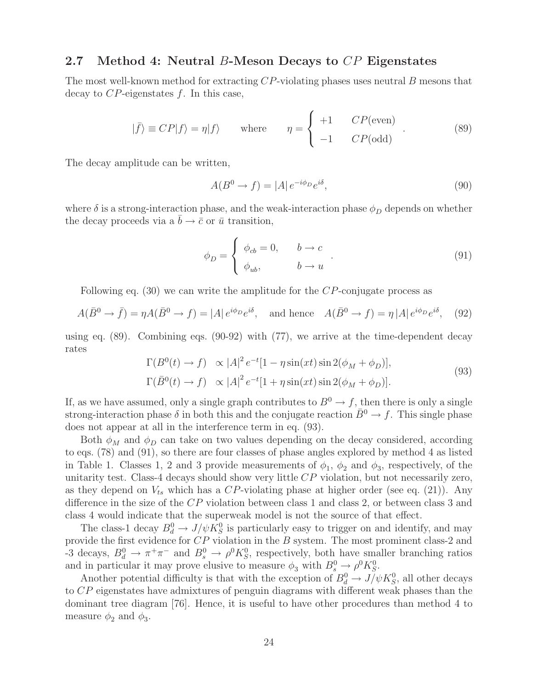### **2.7 Method 4: Neutral** B**-Meson Decays to** CP **Eigenstates**

The most well-known method for extracting CP-violating phases uses neutral B mesons that decay to  $CP$ -eigenstates f. In this case,

$$
|\bar{f}\rangle \equiv CP|f\rangle = \eta|f\rangle \quad \text{where} \quad \eta = \begin{cases} +1 & CP(\text{even}) \\ -1 & CP(\text{odd}) \end{cases} . \tag{89}
$$

The decay amplitude can be written,

$$
A(B^0 \to f) = |A| e^{-i\phi_D} e^{i\delta}, \qquad (90)
$$

where  $\delta$  is a strong-interaction phase, and the weak-interaction phase  $\phi_D$  depends on whether the decay proceeds via a  $\bar{b} \rightarrow \bar{c}$  or  $\bar{u}$  transition,

$$
\phi_D = \begin{cases} \phi_{cb} = 0, & b \to c \\ \phi_{ub}, & b \to u \end{cases} . \tag{91}
$$

Following eq. (30) we can write the amplitude for the CP-conjugate process as

$$
A(\bar{B}^0 \to \bar{f}) = \eta A(\bar{B}^0 \to f) = |A| e^{i\phi_D} e^{i\delta}, \text{ and hence } A(\bar{B}^0 \to f) = \eta |A| e^{i\phi_D} e^{i\delta}, \quad (92)
$$

using eq. (89). Combining eqs. (90-92) with (77), we arrive at the time-dependent decay rates

$$
\Gamma(B^0(t) \to f) \propto |A|^2 e^{-t} [1 - \eta \sin(xt) \sin 2(\phi_M + \phi_D)],
$$
  
\n
$$
\Gamma(\bar{B}^0(t) \to f) \propto |A|^2 e^{-t} [1 + \eta \sin(xt) \sin 2(\phi_M + \phi_D)].
$$
\n(93)

If, as we have assumed, only a single graph contributes to  $B^0 \to f$ , then there is only a single strong-interaction phase  $\delta$  in both this and the conjugate reaction  $\bar{B}^0 \to f$ . This single phase does not appear at all in the interference term in eq. (93).

Both  $\phi_M$  and  $\phi_D$  can take on two values depending on the decay considered, according to eqs. (78) and (91), so there are four classes of phase angles explored by method 4 as listed in Table 1. Classes 1, 2 and 3 provide measurements of  $\phi_1$ ,  $\phi_2$  and  $\phi_3$ , respectively, of the unitarity test. Class-4 decays should show very little  $CP$  violation, but not necessarily zero, as they depend on  $V_{ts}$  which has a CP-violating phase at higher order (see eq. (21)). Any difference in the size of the CP violation between class 1 and class 2, or between class 3 and class 4 would indicate that the superweak model is not the source of that effect.

The class-1 decay  $B_d^0 \to J/\psi \overline{K_S^0}$  is particularly easy to trigger on and identify, and may provide the first evidence for CP violation in the B system. The most prominent class-2 and -3 decays,  $B_d^0 \to \pi^+\pi^-$  and  $B_s^0 \to \rho^0 K_S^0$ , respectively, both have smaller branching ratios and in particular it may prove elusive to measure  $\phi_3$  with  $B_s^0 \to \rho^0 K_S^0$ .

Another potential difficulty is that with the exception of  $B_d^0 \to J/\psi K_S^0$ , all other decays to CP eigenstates have admixtures of penguin diagrams with different weak phases than the dominant tree diagram [76]. Hence, it is useful to have other procedures than method 4 to measure  $\phi_2$  and  $\phi_3$ .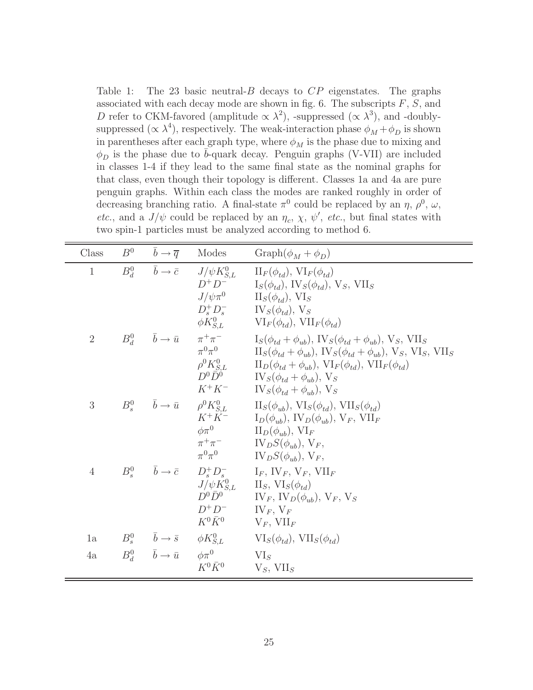Table 1: The 23 basic neutral- $B$  decays to  $CP$  eigenstates. The graphs associated with each decay mode are shown in fig. 6. The subscripts  $F, S$ , and D refer to CKM-favored (amplitude  $\propto \lambda^2$ ), -suppressed ( $\propto \lambda^3$ ), and -doublysuppressed ( $\propto \lambda^4$ ), respectively. The weak-interaction phase  $\phi_M + \phi_D$  is shown in parentheses after each graph type, where  $\phi_M$  is the phase due to mixing and  $\phi_D$  is the phase due to  $\bar{b}$ -quark decay. Penguin graphs (V-VII) are included in classes 1-4 if they lead to the same final state as the nominal graphs for that class, even though their topology is different. Classes 1a and 4a are pure penguin graphs. Within each class the modes are ranked roughly in order of decreasing branching ratio. A final-state  $\pi^0$  could be replaced by an  $\eta$ ,  $\rho^0$ ,  $\omega$ , *etc.*, and a  $J/\psi$  could be replaced by an  $\eta_c$ ,  $\chi$ ,  $\psi'$ , *etc.*, but final states with two spin-1 particles must be analyzed according to method 6.

| Class          | $B^0 \qquad \bar{b} \to \bar{q} \qquad$ Modes |                                                                                                      | $Graph(\phi_M + \phi_D)$                                                                                                                                                                                                                                                                                                                                                                                                                                                                                                     |
|----------------|-----------------------------------------------|------------------------------------------------------------------------------------------------------|------------------------------------------------------------------------------------------------------------------------------------------------------------------------------------------------------------------------------------------------------------------------------------------------------------------------------------------------------------------------------------------------------------------------------------------------------------------------------------------------------------------------------|
| $\mathbf{1}$   |                                               | $D^+D^-$                                                                                             | $B^0_d \qquad \bar{b} \rightarrow \bar{c} \qquad J/\psi K^0_{S,L} \qquad \Pi_F(\phi_{td}), \, \text{VI}_F(\phi_{td})$<br>$I_S(\phi_{td}), \, \text{IV}_S(\phi_{td}), \, \text{V}_S, \, \text{VII}_S$<br>$J/\psi \pi^0$ $\text{II}_S(\phi_{td}), \text{VI}_S$<br>$D_s^+ D_s^ IV_S(\phi_{td}), V_S$<br>$\phi K_{S,L}^0$ $VI_F(\phi_{td}), VII_F(\phi_{td})$                                                                                                                                                                    |
| $\overline{2}$ |                                               | $\pi^0\pi^0$                                                                                         | $B^0_d \qquad \bar{b} \to \bar{u} \qquad \pi^+ \pi^- \qquad \qquad \mathrm{I}_S(\phi_{td} + \phi_{ub}), \, \mathrm{IV}_S(\phi_{td} + \phi_{ub}), \, \mathrm{V}_S, \, \mathrm{VII}_S$<br>$\Pi_S(\phi_{td} + \phi_{ub}), \text{IV}_S(\phi_{td} + \phi_{ub}), \text{V}_S, \text{VI}_S, \text{VII}_S$<br>$\rho^0 K_{S,L}^0$ $\Pi_D(\phi_{td} + \phi_{ub}), \, \text{VI}_F(\phi_{td}), \, \text{VII}_F(\phi_{td})$<br>$D^0 \overline{\tilde{D}^0}$ $IV_S(\phi_{td} + \phi_{ub}), V_S$<br>$K^+K^ IV_S(\phi_{td} + \phi_{ub}), V_S$ |
| 3              |                                               | $K^+K^-$                                                                                             | $B_s^0 \qquad \bar{b} \rightarrow \bar{u} \qquad \rho^0 K_{S,L}^0 \qquad \  \  {\rm II}_S(\phi_{ub}),\, {\rm VI}_S(\phi_{td}),\, {\rm VII}_S(\phi_{td})$<br>$I_D(\phi_{ub}), \, \text{IV}_D(\phi_{ub}), \, \text{V}_F, \, \text{VII}_F$<br>$\phi \pi^0$ $\qquad \qquad \text{II}_D(\phi_{ub}), \text{ VI}_F$<br>$\pi^+\pi^ \qquad \qquad \text{IV}_D S(\phi_{ub}), \text{V}_F,$<br>$\pi^0 \pi^0$ $\qquad \qquad \text{IV}_D S(\phi_{ub}), \text{V}_F,$                                                                       |
| $\overline{4}$ |                                               | $J/\psi K_{S,L}^0$<br>$D^0\bar{D}^0$<br>$D^+D^-$ IV <sub>F</sub> , V <sub>F</sub><br>$K^0 \bar{K}^0$ | $B_s^0$ $\bar{b} \rightarrow \bar{c}$ $D_s^+ D_s^ I_F$ , $IV_F$ , $V_F$ , $VII_F$<br>$II_S$ , $VI_S(\phi_{td})$<br>$\Gamma$ $\Gamma$ <sub>F</sub> , $\Gamma$ $\Gamma$ <sub>D</sub> $(\phi_{ub})$ , $V_F$ , $V_S$<br>$V_F$ , $VII_F$                                                                                                                                                                                                                                                                                          |
| 1a             |                                               |                                                                                                      | $B_s^0$ $\bar{b} \to \bar{s}$ $\phi K_{S,L}^0$ $\text{VI}_S(\phi_{td}), \text{VII}_S(\phi_{td})$                                                                                                                                                                                                                                                                                                                                                                                                                             |
| 4a             | $B_d^0$ $\bar{b} \to \bar{u}$ $\phi \pi^0$    | $K^0 \bar{K}^0$                                                                                      | $VI_S$<br>$V_S$ , VII <sub>S</sub>                                                                                                                                                                                                                                                                                                                                                                                                                                                                                           |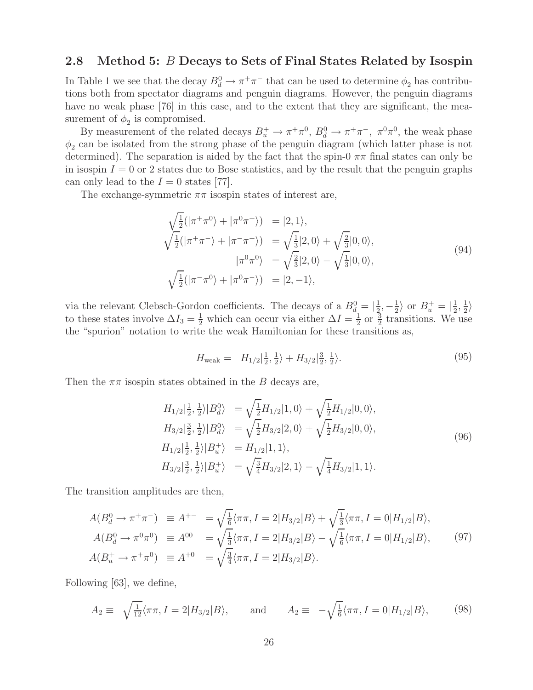### **2.8 Method 5:** B **Decays to Sets of Final States Related by Isospin**

In Table 1 we see that the decay  $B_d^0 \to \pi^+\pi^-$  that can be used to determine  $\phi_2$  has contributions both from spectator diagrams and penguin diagrams. However, the penguin diagrams have no weak phase [76] in this case, and to the extent that they are significant, the measurement of  $\phi_2$  is compromised.

By measurement of the related decays  $B_u^+ \to \pi^+\pi^0$ ,  $B_d^0 \to \pi^+\pi^-$ ,  $\pi^0\pi^0$ , the weak phase  $\phi_2$  can be isolated from the strong phase of the penguin diagram (which latter phase is not determined). The separation is aided by the fact that the spin-0  $\pi\pi$  final states can only be in isospin  $I = 0$  or 2 states due to Bose statistics, and by the result that the penguin graphs can only lead to the  $I = 0$  states [77].

The exchange-symmetric  $\pi\pi$  isospin states of interest are,

$$
\sqrt{\frac{1}{2}}(|\pi^+\pi^0\rangle + |\pi^0\pi^+\rangle) = |2,1\rangle,\n\sqrt{\frac{1}{2}}(|\pi^+\pi^-\rangle + |\pi^-\pi^+\rangle) = \sqrt{\frac{1}{3}}|2,0\rangle + \sqrt{\frac{2}{3}}|0,0\rangle,\n|\pi^0\pi^0\rangle = \sqrt{\frac{2}{3}}|2,0\rangle - \sqrt{\frac{1}{3}}|0,0\rangle,\n\sqrt{\frac{1}{2}}(|\pi^-\pi^0\rangle + |\pi^0\pi^-\rangle) = |2,-1\rangle,
$$
\n(94)

via the relevant Clebsch-Gordon coefficients. The decays of a  $B_d^0 = |\frac{1}{2}, -\frac{1}{2}\rangle$  or  $B_u^+ = |\frac{1}{2}, \frac{1}{2}\rangle$ to these states involve  $\Delta I_3 = \frac{1}{2}$  which can occur via either  $\Delta I = \frac{1}{2}$  or  $\frac{3}{2}$  transitions. We use the "spurion" notation to write the weak Hamiltonian for these transitions as,

$$
H_{\text{weak}} = H_{1/2}|\frac{1}{2}, \frac{1}{2}\rangle + H_{3/2}|\frac{3}{2}, \frac{1}{2}\rangle. \tag{95}
$$

Then the  $\pi\pi$  isospin states obtained in the B decays are,

$$
H_{1/2}|\frac{1}{2}, \frac{1}{2}\rangle |B_d^0\rangle = \sqrt{\frac{1}{2}} H_{1/2} |1, 0\rangle + \sqrt{\frac{1}{2}} H_{1/2} |0, 0\rangle,
$$
  
\n
$$
H_{3/2}|\frac{3}{2}, \frac{1}{2}\rangle |B_d^0\rangle = \sqrt{\frac{1}{2}} H_{3/2} |2, 0\rangle + \sqrt{\frac{1}{2}} H_{3/2} |0, 0\rangle,
$$
  
\n
$$
H_{1/2}|\frac{1}{2}, \frac{1}{2}\rangle |B_u^+\rangle = H_{1/2} |1, 1\rangle,
$$
  
\n
$$
H_{3/2}|\frac{3}{2}, \frac{1}{2}\rangle |B_u^+\rangle = \sqrt{\frac{3}{4}} H_{3/2} |2, 1\rangle - \sqrt{\frac{1}{4}} H_{3/2} |1, 1\rangle.
$$
\n(96)

The transition amplitudes are then,

$$
A(B_d^0 \to \pi^+ \pi^-) \equiv A^{+-} = \sqrt{\frac{1}{6}} \langle \pi \pi, I = 2 | H_{3/2} | B \rangle + \sqrt{\frac{1}{3}} \langle \pi \pi, I = 0 | H_{1/2} | B \rangle,
$$
  
\n
$$
A(B_d^0 \to \pi^0 \pi^0) \equiv A^{00} = \sqrt{\frac{1}{3}} \langle \pi \pi, I = 2 | H_{3/2} | B \rangle - \sqrt{\frac{1}{6}} \langle \pi \pi, I = 0 | H_{1/2} | B \rangle,
$$
  
\n
$$
A(B_u^+ \to \pi^+ \pi^0) \equiv A^{+0} = \sqrt{\frac{3}{4}} \langle \pi \pi, I = 2 | H_{3/2} | B \rangle.
$$
\n(97)

Following [63], we define,

$$
A_2 \equiv \sqrt{\frac{1}{12}} \langle \pi \pi, I = 2 | H_{3/2} | B \rangle, \quad \text{and} \quad A_2 \equiv -\sqrt{\frac{1}{6}} \langle \pi \pi, I = 0 | H_{1/2} | B \rangle, \quad (98)
$$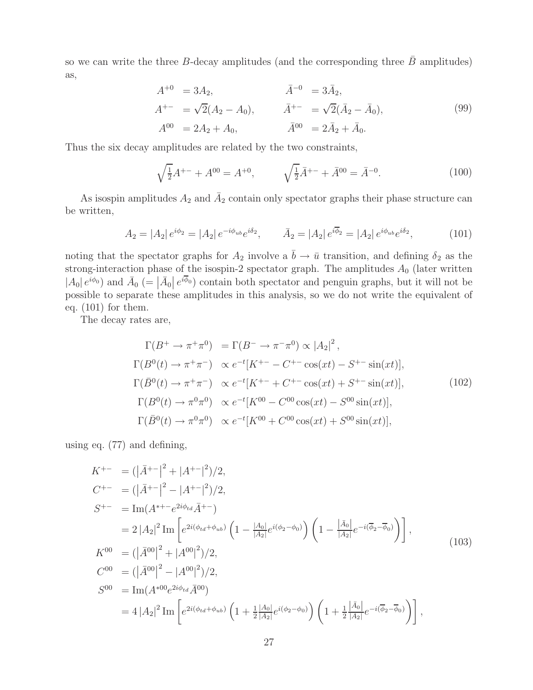so we can write the three B-decay amplitudes (and the corresponding three  $\bar{B}$  amplitudes) as,

$$
A^{+0} = 3A_2, \qquad \bar{A}^{-0} = 3\bar{A}_2, A^{+-} = \sqrt{2}(A_2 - A_0), \qquad \bar{A}^{+-} = \sqrt{2}(\bar{A}_2 - \bar{A}_0), A^{00} = 2A_2 + A_0, \qquad \bar{A}^{00} = 2\bar{A}_2 + \bar{A}_0.
$$
 (99)

Thus the six decay amplitudes are related by the two constraints,

$$
\sqrt{\frac{1}{2}}A^{+-} + A^{00} = A^{+0}, \qquad \sqrt{\frac{1}{2}}\bar{A}^{+-} + \bar{A}^{00} = \bar{A}^{-0}.
$$
 (100)

As isospin amplitudes  $A_2$  and  $\overline{A}_2$  contain only spectator graphs their phase structure can be written,

$$
A_2 = |A_2| e^{i\phi_2} = |A_2| e^{-i\phi_{ub}} e^{i\delta_2}, \qquad \bar{A}_2 = |A_2| e^{i\bar{\phi}_2} = |A_2| e^{i\phi_{ub}} e^{i\delta_2}, \tag{101}
$$

noting that the spectator graphs for  $A_2$  involve a  $\bar{b} \to \bar{u}$  transition, and defining  $\delta_2$  as the strong-interaction phase of the isospin-2 spectator graph. The amplitudes  $A_0$  (later written  $|A_0|e^{i\phi_0}$  and  $\bar{A}_0$  (=  $|\bar{A}_0|e^{i\phi_0}$ ) contain both spectator and penguin graphs, but it will not be possible to separate these amplitudes in this analysis, so we do not write the equivalent of eq. (101) for them.

The decay rates are,

$$
\Gamma(B^+ \to \pi^+ \pi^0) = \Gamma(B^- \to \pi^- \pi^0) \propto |A_2|^2,
$$
  
\n
$$
\Gamma(B^0(t) \to \pi^+ \pi^-) \propto e^{-t}[K^{+-} - C^{+-} \cos(xt) - S^{+-} \sin(xt)],
$$
  
\n
$$
\Gamma(\bar{B}^0(t) \to \pi^+ \pi^-) \propto e^{-t}[K^{+-} + C^{+-} \cos(xt) + S^{+-} \sin(xt)],
$$
  
\n
$$
\Gamma(B^0(t) \to \pi^0 \pi^0) \propto e^{-t}[K^{00} - C^{00} \cos(xt) - S^{00} \sin(xt)],
$$
  
\n
$$
\Gamma(\bar{B}^0(t) \to \pi^0 \pi^0) \propto e^{-t}[K^{00} + C^{00} \cos(xt) + S^{00} \sin(xt)],
$$
\n(102)

using eq. (77) and defining,

$$
K^{+-} = (|\bar{A}^{+-}|^2 + |A^{+-}|^2)/2,
$$
  
\n
$$
C^{+-} = (|\bar{A}^{+-}|^2 - |A^{+-}|^2)/2,
$$
  
\n
$$
S^{+-} = \text{Im}(A^{*+-}e^{2i\phi_{td}}\bar{A}^{+-})
$$
  
\n
$$
= 2|A_2|^2 \text{Im}\left[e^{2i(\phi_{td}+\phi_{ub})}\left(1 - \frac{|A_0|}{|A_2|}e^{i(\phi_2-\phi_0)}\right)\left(1 - \frac{|\bar{A}_0|}{|A_2|}e^{-i(\overline{\phi}_2-\overline{\phi}_0)}\right)\right],
$$
  
\n
$$
K^{00} = (|\bar{A}^{00}|^2 + |A^{00}|^2)/2,
$$
  
\n
$$
C^{00} = (|\bar{A}^{00}|^2 - |A^{00}|^2)/2,
$$
  
\n
$$
S^{00} = \text{Im}(A^{*00}e^{2i\phi_{td}}\bar{A}^{00})
$$
  
\n
$$
= 4|A_2|^2 \text{Im}\left[e^{2i(\phi_{td}+\phi_{ub})}\left(1 + \frac{1}{2}\frac{|A_0|}{|A_2|}e^{i(\phi_2-\phi_0)}\right)\left(1 + \frac{1}{2}\frac{|\bar{A}_0|}{|A_2|}e^{-i(\overline{\phi}_2-\overline{\phi}_0)}\right)\right],
$$
\n(103)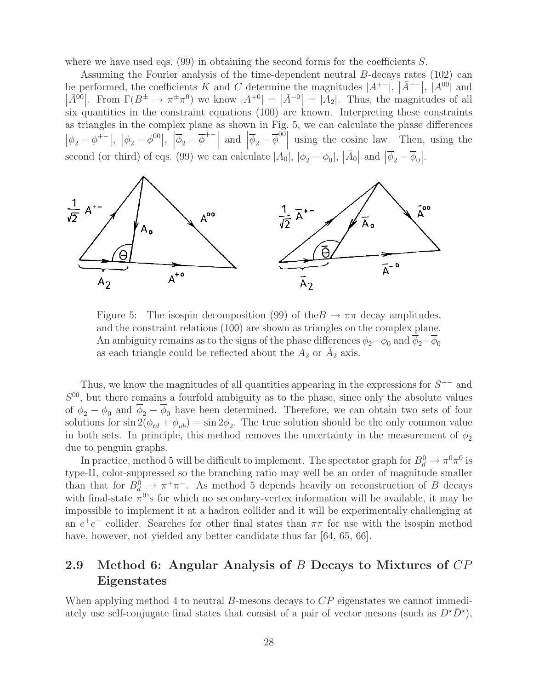where we have used eqs.  $(99)$  in obtaining the second forms for the coefficients S.

Assuming the Fourier analysis of the time-dependent neutral B-decays rates (102) can be performed, the coefficients K and C determine the magnitudes  $|A^{+-}|$ ,  $|\bar{A}^{+-}|$ ,  $|A^{00}|$  and  $|\bar{A}^{00}|$ . From  $\Gamma(B^{\pm} \to \pi^{\pm} \pi^{0})$  we know  $|A^{+0}| = |\bar{A}^{-0}| = |\bar{A}_2|$ . Thus, the magnitudes of all six quantities in the constraint equations (100) are known. Interpreting these constraints as triangles in the complex plane as shown in Fig. 5, we can calculate the phase differences  $|\phi_2 - \phi^{+-}|$ ,  $|\phi_2 - \phi^{00}|$ ,  $|\overline{\phi}_2 - \overline{\phi}^{+-}|$  and  $|\overline{\phi}_2 - \overline{\phi}^{00}|$  using the cosine law. Then, using the  $\frac{1}{2}$ second (or third) of eqs. (99) we can calculate  $|A_0|, |\phi_2 - \phi_0|, |\bar{A}_0|$  and  $|\bar{\phi}_2 - \bar{\phi}_0|$ .



Figure 5: The isospin decomposition (99) of the  $B \to \pi\pi$  decay amplitudes, and the constraint relations (100) are shown as triangles on the complex plane. An ambiguity remains as to the signs of the phase differences  $\phi_2-\phi_0$  and  $\overline{\phi}_2-\overline{\phi}_0$ as each triangle could be reflected about the  $A_2$  or  $\overline{A}_2$  axis.

Thus, we know the magnitudes of all quantities appearing in the expressions for  $S^{+-}$  and  $S^{00}$ , but there remains a fourfold ambiguity as to the phase, since only the absolute values of  $\phi_2 - \phi_0$  and  $\overline{\phi}_2 - \overline{\phi}_0$  have been determined. Therefore, we can obtain two sets of four solutions for  $\sin 2(\phi_{td} + \phi_{ub}) = \sin 2\phi_2$ . The true solution should be the only common value in both sets. In principle, this method removes the uncertainty in the measurement of  $\phi_2$ due to penguin graphs.

In practice, method 5 will be difficult to implement. The spectator graph for  $B_d^0 \to \pi^0 \pi^0$  is type-II, color-suppressed so the branching ratio may well be an order of magnitude smaller than that for  $B_d^0 \to \pi^+\pi^-$ . As method 5 depends heavily on reconstruction of B decays with final-state  $\pi^{0}$ 's for which no secondary-vertex information will be available, it may be impossible to implement it at a hadron collider and it will be experimentally challenging at an  $e^+e^-$  collider. Searches for other final states than  $\pi\pi$  for use with the isospin method have, however, not yielded any better candidate thus far [64, 65, 66].

### **2.9 Method 6: Angular Analysis of** B **Decays to Mixtures of** CP **Eigenstates**

When applying method 4 to neutral B-mesons decays to  $CP$  eigenstates we cannot immediately use self-conjugate final states that consist of a pair of vector mesons (such as  $D^{\star}\bar{D}^{\star}$ ),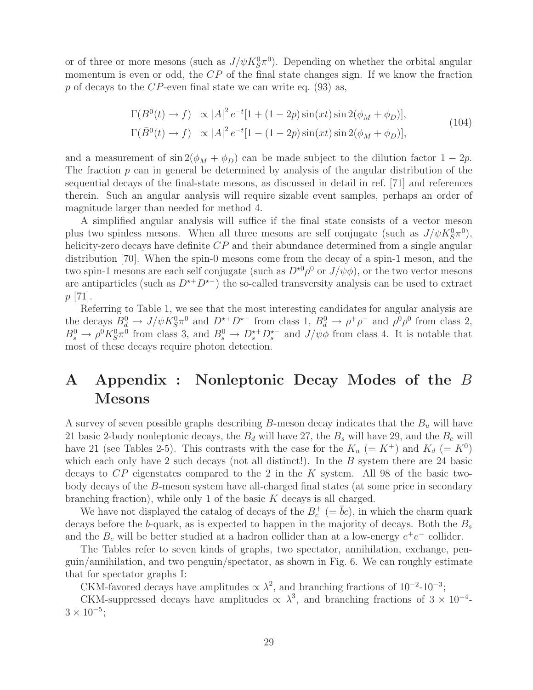or of three or more mesons (such as  $J/\psi K^0_S \pi^0$ ). Depending on whether the orbital angular momentum is even or odd, the  $\mathbb{CP}$  of the final state changes sign. If we know the fraction p of decays to the CP-even final state we can write eq.  $(93)$  as,

$$
\Gamma(B^0(t) \to f) \propto |A|^2 e^{-t} [1 + (1 - 2p) \sin(xt) \sin 2(\phi_M + \phi_D)],
$$
  
\n
$$
\Gamma(\bar{B}^0(t) \to f) \propto |A|^2 e^{-t} [1 - (1 - 2p) \sin(xt) \sin 2(\phi_M + \phi_D)],
$$
\n(104)

and a measurement of  $\sin 2(\phi_M + \phi_D)$  can be made subject to the dilution factor  $1 - 2p$ . The fraction  $p$  can in general be determined by analysis of the angular distribution of the sequential decays of the final-state mesons, as discussed in detail in ref. [71] and references therein. Such an angular analysis will require sizable event samples, perhaps an order of magnitude larger than needed for method 4.

A simplified angular analysis will suffice if the final state consists of a vector meson plus two spinless mesons. When all three mesons are self conjugate (such as  $J/\psi K^0_S \pi^0$ ), helicity-zero decays have definite CP and their abundance determined from a single angular distribution [70]. When the spin-0 mesons come from the decay of a spin-1 meson, and the two spin-1 mesons are each self conjugate (such as  $D^{*0} \rho^0$  or  $J/\psi \phi$ ), or the two vector mesons are antiparticles (such as  $D^{*+}D^{*-}$ ) the so-called transversity analysis can be used to extract p [71].

Referring to Table 1, we see that the most interesting candidates for angular analysis are the decays  $B_d^0 \to J/\psi K_S^0 \pi^0$  and  $D^{*+}D^{*-}$  from class 1,  $B_d^0 \to \rho^+ \rho^-$  and  $\rho^0 \rho^0$  from class 2,  $B_s^0 \to \rho^0 K_S^0 \pi^0$  from class 3, and  $B_s^0 \to D_s^{*+} D_s^{*-}$  and  $J/\psi \phi$  from class 4. It is notable that most of these decays require photon detection.

# **A Appendix : Nonleptonic Decay Modes of the** B **Mesons**

A survey of seven possible graphs describing B-meson decay indicates that the  $B<sub>u</sub>$  will have 21 basic 2-body nonleptonic decays, the  $B_d$  will have 27, the  $B_s$  will have 29, and the  $B_c$  will have 21 (see Tables 2-5). This contrasts with the case for the  $K_u$  (=  $K^+$ ) and  $K_d$  (=  $K^0$ ) which each only have 2 such decays (not all distinct!). In the  $B$  system there are 24 basic decays to CP eigenstates compared to the 2 in the K system. All 98 of the basic twobody decays of the B-meson system have all-charged final states (at some price in secondary branching fraction), while only 1 of the basic  $K$  decays is all charged.

We have not displayed the catalog of decays of the  $B_c^+$  (=  $\bar{b}c$ ), in which the charm quark decays before the b-quark, as is expected to happen in the majority of decays. Both the  $B_s$ and the  $B_c$  will be better studied at a hadron collider than at a low-energy  $e^+e^-$  collider.

The Tables refer to seven kinds of graphs, two spectator, annihilation, exchange, penguin/annihilation, and two penguin/spectator, as shown in Fig. 6. We can roughly estimate that for spectator graphs I:

CKM-favored decays have amplitudes  $\propto \lambda^2$ , and branching fractions of 10<sup>-2</sup>-10<sup>-3</sup>;

CKM-suppressed decays have amplitudes  $\propto \lambda^3$ , and branching fractions of  $3 \times 10^{-4}$ - $3 \times 10^{-5}$ ;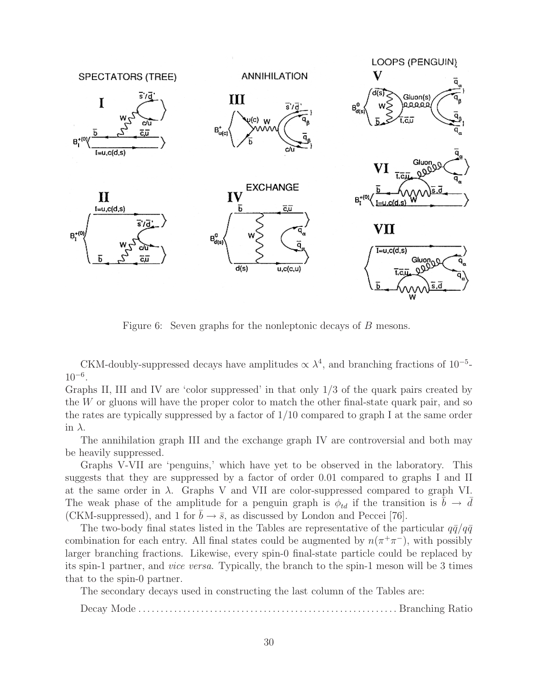

Figure 6: Seven graphs for the nonleptonic decays of B mesons.

CKM-doubly-suppressed decays have amplitudes  $\propto \lambda^4$ , and branching fractions of 10<sup>-5</sup>- $10^{-6}$ .

Graphs II, III and IV are 'color suppressed' in that only 1/3 of the quark pairs created by the W or gluons will have the proper color to match the other final-state quark pair, and so the rates are typically suppressed by a factor of 1/10 compared to graph I at the same order in  $\lambda$ .

The annihilation graph III and the exchange graph IV are controversial and both may be heavily suppressed.

Graphs V-VII are 'penguins,' which have yet to be observed in the laboratory. This suggests that they are suppressed by a factor of order 0.01 compared to graphs I and II at the same order in  $\lambda$ . Graphs V and VII are color-suppressed compared to graph VI. The weak phase of the amplitude for a penguin graph is  $\phi_{td}$  if the transition is  $\bar{b} \to \bar{d}$ (CKM-suppressed), and 1 for  $b \to \bar{s}$ , as discussed by London and Peccei [76].

The two-body final states listed in the Tables are representative of the particular  $q\bar{q}/q\bar{q}$ combination for each entry. All final states could be augmented by  $n(\pi^+\pi^-)$ , with possibly larger branching fractions. Likewise, every spin-0 final-state particle could be replaced by its spin-1 partner, and *vice versa*. Typically, the branch to the spin-1 meson will be 3 times that to the spin-0 partner.

The secondary decays used in constructing the last column of the Tables are:

Decay Mode . . . . . . . . . . . . . . . . . . . . . . . . . . . . . . . . . . . . . . . . . . . . . . . . . . . . . . . . . . Branching Ratio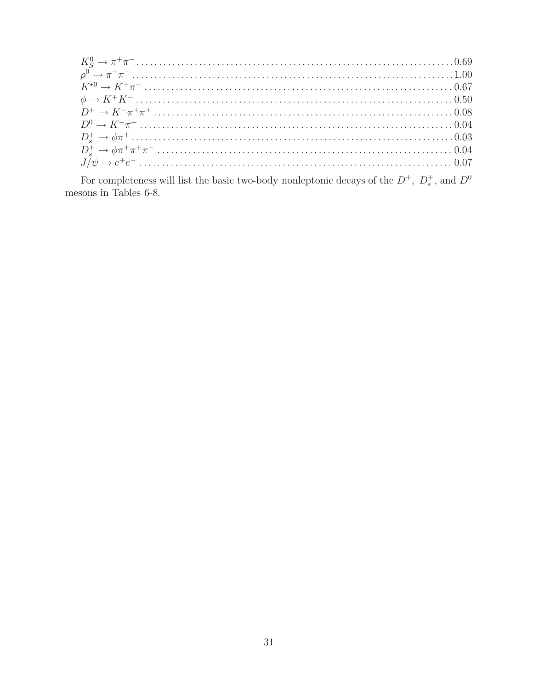For completeness will list the basic two-body nonleptonic decays of the  $D^+,\ D_s^+ ,$  and  $D^0$  mesons in Tables 6-8.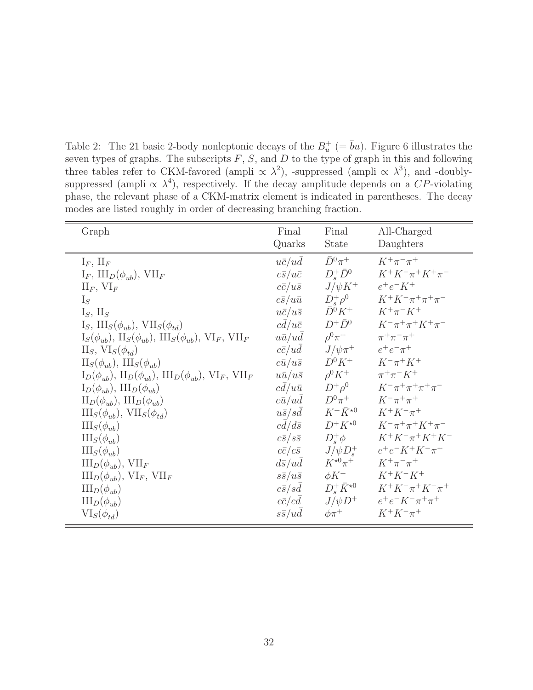Table 2: The 21 basic 2-body nonleptonic decays of the  $B_u^+$  (=  $\bar{b}u$ ). Figure 6 illustrates the seven types of graphs. The subscripts  $F, S$ , and  $D$  to the type of graph in this and following three tables refer to CKM-favored (ampli  $\propto \lambda^2$ ), -suppressed (ampli  $\propto \lambda^3$ ), and -doublysuppressed (ampli  $\propto \lambda^4$ ), respectively. If the decay amplitude depends on a CP-violating phase, the relevant phase of a CKM-matrix element is indicated in parentheses. The decay modes are listed roughly in order of decreasing branching fraction.

| Graph                                                                                                    | Final               | Final                         | All-Charged                         |
|----------------------------------------------------------------------------------------------------------|---------------------|-------------------------------|-------------------------------------|
|                                                                                                          | Quarks              | State                         | Daughters                           |
| $I_F$ , $II_F$                                                                                           | $u\bar{c}/u\bar{d}$ | $\bar{D}^0 \pi^+$             | $K^+\pi^-\pi^+$                     |
| $I_F$ , $III_D(\phi_{ub})$ , $VII_F$                                                                     | $c\bar{s}/u\bar{c}$ | $D_*^+\bar{D}^0$              | $K^+K^-\pi^+K^+\pi^-$               |
| $\mathbf{II}_F$ , $\mathbf{VI}_F$                                                                        | $c\bar{c}/u\bar{s}$ | $J/\psi K^+$                  | $e^+e^-K^+$                         |
| $I_S$                                                                                                    | $c\bar{s}/u\bar{u}$ | $D^+_{s} \rho^0$              | $K^+K^-\pi^+\pi^+\pi^-$             |
| $I_S$ , $II_S$                                                                                           | $u\bar{c}/u\bar{s}$ | $\bar{D}^0 K^+$               | $K^+\pi^-K^+$                       |
| $I_S$ , $III_S(\phi_{ub})$ , $VII_S(\phi_{td})$                                                          | $cd/u\bar{c}$       | $D^+\bar{D}^0$                | $K^{-}\pi^{+}\pi^{+}K^{+}\pi^{-}$   |
| $I_S(\phi_{ub}), \, \text{II}_S(\phi_{ub}), \, \text{III}_S(\phi_{ub}), \, \text{VI}_F, \, \text{VII}_F$ | $u\bar{u}/ud$       | $\rho^0 \pi^+$                | $\pi^{+}\pi^{-}\pi^{+}$             |
| $II_S, VI_S(\phi_{td})$                                                                                  | $c\bar{c}/u\bar{d}$ | $J/\psi\pi^+$                 | $e^+e^-\pi^+$                       |
| $\text{II}_S(\phi_{ub}), \text{III}_S(\phi_{ub})$                                                        | $c\bar{u}/u\bar{s}$ | $D^0 K^+$                     | $K^{-}\pi^{+}K^{+}$                 |
| $\Pi_D(\phi_{ub}), \Pi_D(\phi_{ub}), \Pi\Pi_D(\phi_{ub}), \text{ VI}_F, \text{ VII}_F$                   | $u\bar{u}/u\bar{s}$ | $\rho^0 K^+$                  | $\pi^{+}\pi^{-}K^{+}$               |
| $I_D(\phi_{ub}), III_D(\phi_{ub})$                                                                       | $c\bar{d}/u\bar{u}$ | $D^+\rho^0$                   | $K^{-}\pi^{+}\pi^{+}\pi^{+}\pi^{-}$ |
| $\text{II}_D(\phi_{ub}), \text{III}_D(\phi_{ub})$                                                        | $c\bar{u}/u\bar{d}$ | $D^0\pi^+$                    | $K^{-}\pi^{+}\pi^{+}$               |
| $\mathrm{III}_S(\phi_{ub}), \mathrm{VII}_S(\phi_{td})$                                                   | $u\bar{s}/s\bar{d}$ | $K^+\bar K^{\star 0}$         | $K^+K^-\pi^+$                       |
| $\mathrm{III}_S(\phi_{ub})$                                                                              | $cd/d\bar{s}$       | $D^+K^{\star0}$               | $K^{-}\pi^{+}\pi^{+}K^{+}\pi^{-}$   |
| $\mathrm{III}_S(\phi_{ub})$                                                                              | $c\bar{s}/s\bar{s}$ | $D^*_{s}\phi$                 | $K^+K^-\pi^+K^+K^-$                 |
| $\mathrm{III}_S(\phi_{ub})$                                                                              | $c\bar{c}/c\bar{s}$ | $J/\psi D_s^+$                | $e^+e^-K^+K^-\pi^+$                 |
| $III_D(\phi_{uh}), VII_F$                                                                                | $d\bar{s}/u\bar{d}$ | $K^{\star 0} \pi^+$           | $K^+\pi^-\pi^+$                     |
| $III_D(\phi_{ub}), VI_F, VII_F$                                                                          | $s\bar{s}/u\bar{s}$ | $\phi K^+$                    | $K^+K^-K^+$                         |
| $\text{III}_D(\phi_{ub})$                                                                                | $c\bar{s}/sd$       | $D^+_{\rm s}\bar{K}^{\star0}$ | $K^+K^-\pi^+K^-\pi^+$               |
| $\text{III}_D(\phi_{ub})$                                                                                | $c\bar{c}/cd$       | $J/\psi D^+$                  | $e^+e^-K^-\pi^+\pi^+$               |
| $VI_S(\phi_{td})$                                                                                        | $s\bar{s}/ud$       | $\phi\pi^+$                   | $K^+K^-\pi^+$                       |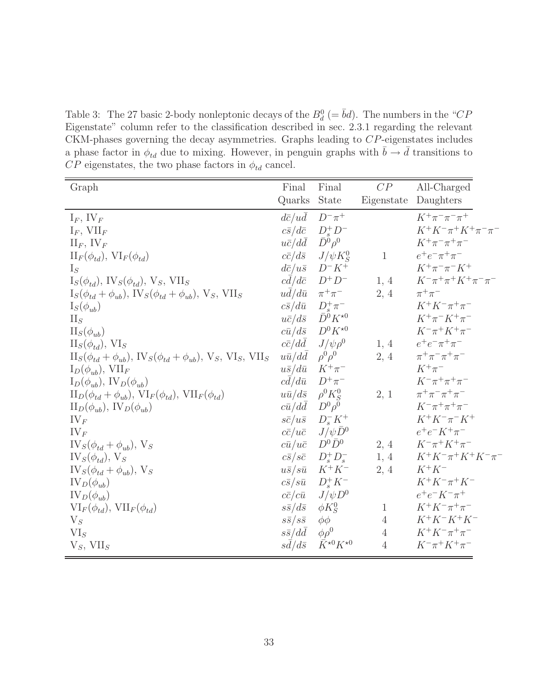Table 3: The 27 basic 2-body nonleptonic decays of the  $B_d^0$  (=  $\bar{b}d$ ). The numbers in the "CP Eigenstate" column refer to the classification described in sec. 2.3.1 regarding the relevant CKM-phases governing the decay asymmetries. Graphs leading to CP-eigenstates includes a phase factor in  $\phi_{td}$  due to mixing. However, in penguin graphs with  $\bar{b} \to \bar{d}$  transitions to  $CP$  eigenstates, the two phase factors in  $\phi_{td}$  cancel.

| Graph                                                                                      | Final                         | Final                        | CP             | All-Charged                    |
|--------------------------------------------------------------------------------------------|-------------------------------|------------------------------|----------------|--------------------------------|
|                                                                                            | Quarks                        | State                        | Eigenstate     | Daughters                      |
| $I_F$ , IV <sub>F</sub>                                                                    | $d\bar{c}/u\bar{d}$           | $D^{-}\pi^{+}$               |                | $K^+\pi^-\pi^-\pi^+$           |
| $I_F$ , VII <sub>F</sub>                                                                   | $c\bar{s}/d\bar{c}$           | $D_s^+D^-$                   |                | $K^+K^-\pi^+K^+\pi^-\pi^-$     |
| $\prod_F$ , $\prod_F$                                                                      | $u\bar{c}/d\bar{d}$           | $\bar{D}^0 \rho^0$           |                | $K^+\pi^-\pi^+\pi^-$           |
| $\Pi_F(\phi_{td}), \, \text{VI}_F(\phi_{td})$                                              | $c\bar{c}/d\bar{s}$           | $J/\psi K_S^0$               | $\mathbf{1}$   | $e^+e^-\pi^+\pi^-$             |
| $I_S$                                                                                      | $d\bar{c}/u\bar{s}$           | $D^-K^+$                     |                | $K^+\pi^-\pi^-K^+$             |
| $I_S(\phi_{td}), \, \text{IV}_S(\phi_{td}), \, \text{V}_S, \, \text{VII}_S$                | $c\bar{d}/d\bar{c}$           | $D^+D^-$                     | 1, 4           | $K^-\pi^+\pi^+K^+\pi^-\pi^-$   |
| $I_S(\phi_{td} + \phi_{ub}), \text{IV}_S(\phi_{td} + \phi_{ub}), \text{V}_S, \text{VII}_S$ | $u\overline{d}/d\overline{u}$ | $\pi^+\pi^-$                 | 2, 4           | $\pi^+\pi^-$                   |
| $I_S(\phi_{ub})$                                                                           | $c\bar{s}/d\bar{u}$           | $D_s^+\pi^-$                 |                | $K^+K^-\pi^+\pi^-$             |
| $\prod_S$                                                                                  | $u\bar{c}/d\bar{s}$           | $\bar{D}^0 K^{\star 0}$      |                | $K^+\pi^-K^+\pi^-$             |
| $\text{II}_S(\phi_{ub})$                                                                   | $c\bar{u}/d\bar{s}$           | $D^0 K^{\star 0}$            |                | $K^{-}\pi^{+}K^{+}\pi^{-}$     |
| $II_S(\phi_{td}), VI_S$                                                                    | $c\bar{c}/d\bar{d}$           | $J/\psi \rho^0$              | 1, 4           | $e^+e^-\pi^+\pi^-$             |
| $II_S(\phi_{td} + \phi_{ub}), IV_S(\phi_{td} + \phi_{ub}), V_S, VI_S, VII_S$               | $u\bar{u}/d\bar{d}$           | $\rho^0 \rho^0$              | 2, 4           | $\pi^{+}\pi^{-}\pi^{+}\pi^{-}$ |
| $I_D(\phi_{ub}), \text{ VII}_F$                                                            | $u\bar{s}/d\bar{u}$           | $K^+\pi^-$                   |                | $K^+\pi^-$                     |
| $I_D(\phi_{ub}), \, IV_D(\phi_{ub})$                                                       | $cd/d\bar{u}$                 | $D^+\pi^-$                   |                | $K^{-}\pi^{+}\pi^{+}\pi^{-}$   |
| $\Pi_D(\phi_{td} + \phi_{ub}), \, \text{VI}_F(\phi_{td}), \, \text{VII}_F(\phi_{td})$      | $u\bar{u}/d\bar{s}$           | $\rho^0 K_S^0$               | 2, 1           | $\pi^+\pi^-\pi^+\pi^-$         |
| $\Pi_D(\phi_{ub}), \, \text{IV}_D(\phi_{ub})$                                              | $c\bar{u}/d\bar{d}$           | $D^0\rho^0$                  |                | $K^{-}\pi^{+}\pi^{+}\pi^{-}$   |
| $IV_F$                                                                                     | $s\bar{c}/u\bar{s}$           | $D_s^-K^+$                   |                | $K^+K^-\pi^-K^+$               |
| $IV_F$                                                                                     | $c\bar{c}/u\bar{c}$           | $J/\psi \bar{D}^0$           |                | $e^+e^-K^+\pi^-$               |
| $IV_S(\phi_{td} + \phi_{ub}), V_S$                                                         | $c\bar{u}/u\bar{c}$           | $D^0\bar{D}^0$               | 2, 4           | $K^{-}\pi^{+}K^{+}\pi^{-}$     |
| $IV_S(\phi_{td}), V_S$                                                                     | $c\bar{s}/s\bar{c}$           | $D_s^+D_s^-$                 | 1, 4           | $K^+K^-\pi^+K^+K^-\pi^-$       |
| $IV_S(\phi_{td} + \phi_{ub}), V_S$                                                         | $u\bar{s}/s\bar{u}$           | $K^+K^-$                     | 2, 4           | $K^+K^-$                       |
| $IV_D(\phi_{ub})$                                                                          | $c\bar{s}/s\bar{u}$           | $D_s^+ K^-$                  |                | $K^+K^-\pi^+K^-$               |
| $IV_D(\phi_{ub})$                                                                          | $c\bar{c}/c\bar{u}$           | $J/\psi D^0$                 |                | $e^+e^-K^-\pi^+$               |
| $\text{VI}_F(\phi_{td}), \text{VII}_F(\phi_{td})$                                          | $s\bar{s}/d\bar{s}$           | $\phi K_S^0$                 | $\mathbf{1}$   | $K^+K^-\pi^+\pi^-$             |
| $V_S$                                                                                      | $s\bar{s}/s\bar{s}$           | $\phi\phi$                   | $\overline{4}$ | $K^+K^-K^+K^-$                 |
| $VI_S$                                                                                     | $s\bar{s}/d\bar{d}$           | $\phi \rho^0$                | $\overline{4}$ | $K^+K^-\pi^+\pi^-$             |
| $V_S$ , VII <sub>S</sub>                                                                   | $sd/d\bar{s}$                 | $\bar K^{\star0} K^{\star0}$ | $\overline{4}$ | $K^-\pi^+K^+\pi^-$             |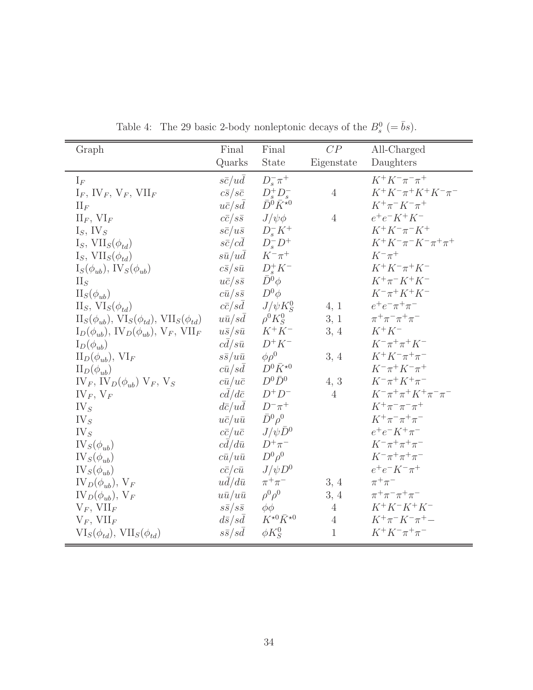| Graph                                                                       | Final               | Final                                                                 | CP             | All-Charged                    |
|-----------------------------------------------------------------------------|---------------------|-----------------------------------------------------------------------|----------------|--------------------------------|
|                                                                             | Quarks              | State                                                                 | Eigenstate     | Daughters                      |
| $I_F$                                                                       | $s\bar{c}/u\bar{d}$ | $D_s^- \pi^+$                                                         |                | $K^+K^-\pi^-\pi^+$             |
| $I_F$ , $IV_F$ , $V_F$ , $VII_F$                                            | $c\bar{s}/s\bar{c}$ |                                                                       | $\overline{4}$ | $K^+K^-\pi^+K^+K^-\pi^-$       |
| $\prod_F$                                                                   | $u\bar{c}/s\bar{d}$ | $\begin{array}{c} D^+_sD^-_s\\ \bar{D}^0\bar{K}^{\star0} \end{array}$ |                | $K^+\pi^-K^-\pi^+$             |
| $\prod_F, \text{ VI}_F$                                                     | $c\bar{c}/s\bar{s}$ | $J/\psi\phi$                                                          | $\overline{4}$ | $e^+e^-K^+K^-$                 |
| $I_S$ , IV <sub>S</sub>                                                     | $s\bar{c}/u\bar{s}$ | $D_s^-K^+$                                                            |                | $K^+K^-\pi^-K^+$               |
| $I_S$ , $VII_S(\phi_{td})$                                                  | $s\bar{c}/c\bar{d}$ | $D_s^-D^+$                                                            |                | $K^+K^-\pi^-K^-\pi^+\pi^+$     |
| $I_S$ , $VII_S(\phi_{td})$                                                  | $s\bar{u}/u\bar{d}$ | $K^-\pi^+$                                                            |                | $K^-\pi^+$                     |
| $I_S(\phi_{ub}), \, \text{IV}_S(\phi_{ub})$                                 | $c\bar{s}/s\bar{u}$ | $D_s^+ K^-$                                                           |                | $K^+K^-\pi^+K^-$               |
| $\prod_S$                                                                   | $u\bar{c}/s\bar{s}$ | $\bar{D}^0 \phi$                                                      |                | $K^{+}\pi^{-}K^{+}K^{-}$       |
| $\mathrm{II}_S(\phi_{ub})$                                                  | $c\bar{u}/s\bar{s}$ | $D^0\phi$                                                             |                | $K^{-}\pi^{+}K^{+}K^{-}$       |
| $II_S, VI_S(\phi_{td})$                                                     | $c\bar{c}/s\bar{d}$ | $J/\psi K_S^0$                                                        | 4, 1           | $e^+e^-\pi^+\pi^-$             |
| $\text{II}_S(\phi_{ub}), \text{VI}_S(\phi_{td}), \text{VII}_S(\phi_{td})$   | $u\bar{u}/sd$       | $\rho^0 K_S^0$                                                        | 3, 1           | $\pi^{+}\pi^{-}\pi^{+}\pi^{-}$ |
| $I_D(\phi_{ub}), \, \text{IV}_D(\phi_{ub}), \, \text{V}_F, \, \text{VII}_F$ | $u\bar{s}/s\bar{u}$ | $K^+K^-$                                                              | 3, 4           | $K^+K^-$                       |
| $I_D(\phi_{ub})$                                                            | $c\bar{d}/s\bar{u}$ | $D^+K^-$                                                              |                | $K^{-}\pi^{+}\pi^{+}K^{-}$     |
| $\text{II}_D(\phi_{ub}), \text{VI}_F$                                       | $s\bar{s}/u\bar{u}$ | $\phi \rho^0$                                                         | 3, 4           | $K^+K^-\pi^+\pi^-$             |
| $\Pi_D(\phi_{ub})$                                                          | $c\bar{u}/sd$       | $D^0 \bar K^{\star 0}$                                                |                | $K^{-}\pi^{+}K^{-}\pi^{+}$     |
| $IV_F$ , $IV_D(\phi_{ub})$ $V_F$ , $V_S$                                    | $c\bar{u}/u\bar{c}$ | $D^0\bar{D}^0$                                                        | 4, 3           | $K^{-}\pi^{+}K^{+}\pi^{-}$     |
| $IV_F, V_F$                                                                 | $cd/d\bar{c}$       | $D^+D^-$                                                              | $\overline{4}$ | $K^-\pi^+\pi^+K^+\pi^-\pi^-$   |
| IV <sub>S</sub>                                                             | $d\bar{c}/u\bar{d}$ | $D^{-}\pi^{+}$                                                        |                | $K^+\pi^-\pi^-\pi^+$           |
| $IV_S$                                                                      | $u\bar{c}/u\bar{u}$ | $\bar{D}^0\rho^0$                                                     |                | $K^+\pi^-\pi^+\pi^-$           |
| $IV_{S}$                                                                    | $c\bar{c}/u\bar{c}$ | $J/\psi \bar{D}^0$                                                    |                | $e^+e^-K^+\pi^-$               |
| $IV_S(\phi_{ub})$                                                           | $c\bar{d}/d\bar{u}$ | $D^+\pi^-$                                                            |                | $K^{-}\pi^{+}\pi^{+}\pi^{-}$   |
| $IV_S(\phi_{ub})$                                                           | $c\bar{u}/u\bar{u}$ | $D^0\rho^0$                                                           |                | $K^{-}\pi^{+}\pi^{+}\pi^{-}$   |
| $IV_S(\phi_{ub})$                                                           | $c\bar{c}/c\bar{u}$ | $J/\psi D^0$                                                          |                | $e^+e^-K^-\pi^+$               |
| $IV_D(\phi_{ub}), V_F$                                                      | $ud/d\bar{u}$       | $\pi^+\pi^-$                                                          | 3, 4           | $\pi^+\pi^-$                   |
| $IV_D(\phi_{ub}), V_F$                                                      | $u\bar{u}/u\bar{u}$ | $\rho^0 \rho^0$                                                       | 3, 4           | $\pi^{+}\pi^{-}\pi^{+}\pi^{-}$ |
| $V_F$ , $VII_F$                                                             | $s\bar{s}/s\bar{s}$ | $\phi\phi$                                                            | $\overline{4}$ | $K^+K^-K^+K^-$                 |
| $V_F$ , $VII_F$                                                             | $d\bar{s}/s\bar{d}$ | $K^{\star0}\bar{K}^{\star0}$                                          | $\overline{4}$ | $K^+\pi^-K^-\pi^+ -$           |
| $VI_S(\phi_{td}), VII_S(\phi_{td})$                                         | $s\bar{s}/sd$       | $\phi K_S^0$                                                          | $\mathbf{1}$   | $K^+K^-\pi^+\pi^-$             |

Table 4: The 29 basic 2-body nonleptonic decays of the  $B_s^0$  (=  $\bar{b}s$ ).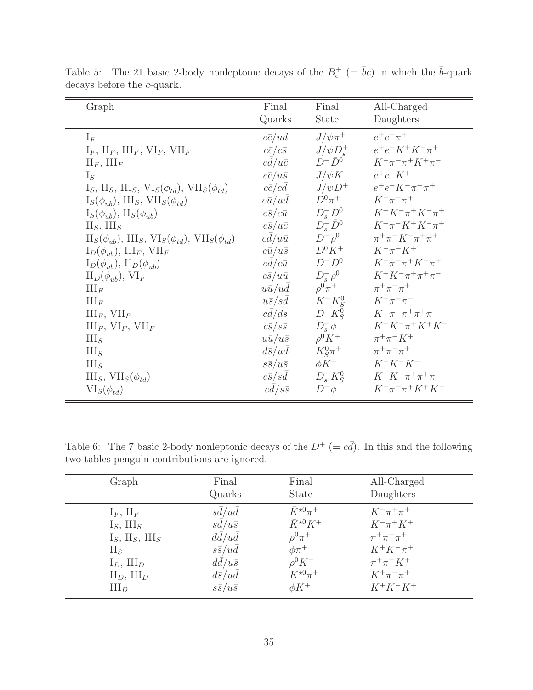| Graph                                                                                   | Final               | Final            | All-Charged                         |
|-----------------------------------------------------------------------------------------|---------------------|------------------|-------------------------------------|
|                                                                                         | Quarks              | <b>State</b>     | Daughters                           |
| $I_F$                                                                                   | $c\bar{c}/u\bar{d}$ | $J/\psi\pi^+$    | $e^+e^-\pi^+$                       |
| $I_F$ , $II_F$ , $III_F$ , $VI_F$ , $VII_F$                                             | $c\bar{c}/c\bar{s}$ | $J/\psi D_*^+$   | $e^+e^-K^+K^-\pi^+$                 |
| $\prod_F, \prod_F$                                                                      | $cd/u\bar{c}$       | $D^+\bar{D}^0$   | $K^{-}\pi^{+}\pi^{+}K^{+}\pi^{-}$   |
| $I_S$                                                                                   | $c\bar{c}/u\bar{s}$ | $J/\psi K^+$     | $e^+e^-K^+$                         |
| $I_S$ , $II_S$ , $III_S$ , $VI_S(\phi_{td})$ , $VII_S(\phi_{td})$                       | $c\bar{c}/c\bar{d}$ | $J/\psi D^+$     | $e^+e^-K^-\pi^+\pi^+$               |
| $I_S(\phi_{ub}), \, III_S, \, VII_S(\phi_{td})$                                         | $c\bar{u}/u\bar{d}$ | $D^0\pi^+$       | $K^{-}\pi^{+}\pi^{+}$               |
| $I_S(\phi_{ub}), \, \Pi_S(\phi_{ub})$                                                   | $c\bar{s}/c\bar{u}$ | $D^+_sD^0$       | $K^+K^-\pi^+K^-\pi^+$               |
| $II_S$ , $III_S$                                                                        | $c\bar{s}/u\bar{c}$ | $D^+_s\bar{D}^0$ | $K^+\pi^-K^+K^-\pi^+$               |
| $\text{II}_S(\phi_{ub}), \text{III}_S, \text{VI}_S(\phi_{td}), \text{VII}_S(\phi_{td})$ | $cd/u\bar{u}$       | $D^+\rho^0$      | $\pi^+\pi^- K^-\pi^+\pi^+$          |
| $I_D(\phi_{ub}), III_F, VII_F$                                                          | $c\bar{u}/u\bar{s}$ | $D^0 K^+$        | $K^-\pi^+K^+$                       |
| $I_D(\phi_{ub}), \, \Pi_D(\phi_{ub})$                                                   | $c\bar{d}/c\bar{u}$ | $D^+D^0$         | $K^{-}\pi^{+}\pi^{+}K^{-}\pi^{+}$   |
| $\text{II}_D(\phi_{uh}), \text{VI}_F$                                                   | $c\bar{s}/u\bar{u}$ | $D^+_s \rho^0$   | $K^+K^-\pi^+\pi^+\pi^-$             |
| $\coprod_F$                                                                             | $u\bar{u}/u\bar{d}$ | $\rho^0 \pi^+$   | $\pi^{+}\pi^{-}\pi^{+}$             |
| $\coprod_F$                                                                             | $u\bar{s}/sd$       | $K^+K^0_S$       | $K^+\pi^+\pi^-$                     |
| $III_F$ , $VII_F$                                                                       | $c\bar{d}/d\bar{s}$ | $D^+K^0_S$       | $K^{-}\pi^{+}\pi^{+}\pi^{+}\pi^{-}$ |
| $III_F$ , $VI_F$ , $VII_F$                                                              | $c\bar{s}/s\bar{s}$ | $D_s^+\phi$      | $K^+K^-\pi^+K^+K^-$                 |
| $\text{III}_S$                                                                          | $u\bar{u}/u\bar{s}$ | $\rho^0 K^+$     | $\pi^{+}\pi^{-}K^{+}$               |
| $\text{III}_S$                                                                          | $d\bar{s}/ud$       | $K_S^0 \pi^+$    | $\pi^+\pi^-\pi^+$                   |
| III <sub>S</sub>                                                                        | $s\bar{s}/u\bar{s}$ | $\phi K^+$       | $K^+K^-K^+$                         |
| $III_S, VII_S(\phi_{td})$                                                               | $c\bar{s}/s\bar{d}$ | $D_s^+K_S^0$     | $K^+K^-\pi^+\pi^+\pi^-$             |
| $VI_S(\phi_{td})$                                                                       | $c\bar{d}/s\bar{s}$ | $D^+\phi$        | $K^{-}\pi^{+}\pi^{+}K^{+}K^{-}$     |

Table 5: The 21 basic 2-body nonleptonic decays of the  $B_c^+$  (=  $\bar{b}c$ ) in which the  $\bar{b}$ -quark decays before the  $c$ -quark.

Table 6: The 7 basic 2-body nonleptonic decays of the  $D^+ (= c\bar{d})$ . In this and the following two tables penguin contributions are ignored.

| Graph                                | Final               | Final                     | All-Charged           |
|--------------------------------------|---------------------|---------------------------|-----------------------|
|                                      | Quarks              | <b>State</b>              | Daughters             |
| $I_F$ , $II_F$                       | $s\bar{d}/u\bar{d}$ | $\bar{K}^{\star 0} \pi^+$ | $K^{-}\pi^{+}\pi^{+}$ |
| $I_S$ , III <sub>S</sub>             | $s\bar{d}/u\bar{s}$ | $\bar{K}^{\star 0} K^+$   | $K^{-}\pi^{+}K^{+}$   |
| $I_S$ , $II_S$ , $III_S$             | $d\bar{d}/u\bar{d}$ | $\rho^0 \pi^+$            | $\pi^+\pi^-\pi^+$     |
| $\prod_S$                            | $s\bar{s}/u\bar{d}$ | $\phi\pi^+$               | $K^+K^-\pi^+$         |
| $I_D$ , $III_D$                      | $d\bar{d}/u\bar{s}$ | $\rho^0 K^+$              | $\pi^{+}\pi^{-}K^{+}$ |
| $\mathcal{II}_D$ , $\mathcal{III}_D$ | $d\bar{s}/u\bar{d}$ | $K^{\star 0} \pi^+$       | $K^+\pi^-\pi^+$       |
| $III_D$                              | $s\bar{s}/u\bar{s}$ | $\phi K^+$                | $K^+K^-K^+$           |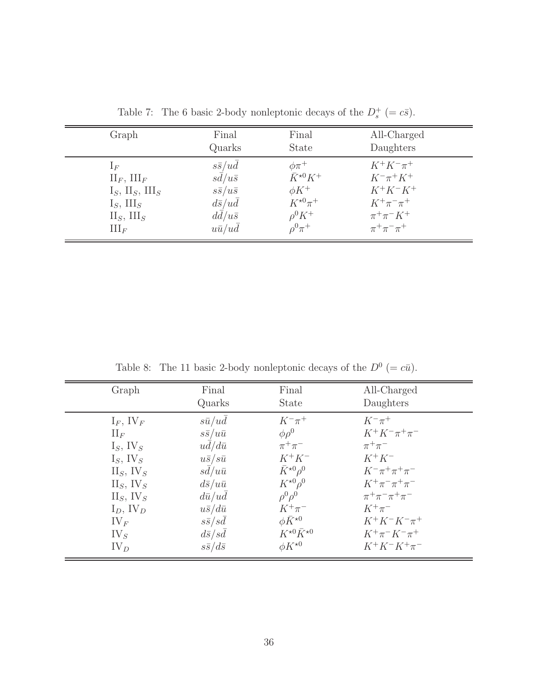| Graph                    | Final               | Final                   | All-Charged             |
|--------------------------|---------------------|-------------------------|-------------------------|
|                          | Quarks              | <b>State</b>            | Daughters               |
| $1_F$                    | $s\bar{s}/u\bar{d}$ | $\phi\pi^+$             | $K^+K^-\pi^+$           |
| $\prod_F, \prod_F$       | $s\bar{d}/u\bar{s}$ | $\bar{K}^{\star 0} K^+$ | $K^{-}\pi^{+}K^{+}$     |
| $I_S$ , $II_S$ , $III_S$ | $s\bar{s}/u\bar{s}$ | $\phi K^+$              | $K^+K^-K^+$             |
| $I_S$ , III <sub>S</sub> | $d\bar{s}/u\bar{d}$ | $K^{\star 0} \pi^+$     | $K^+\pi^-\pi^+$         |
| $II_S$ , $III_S$         | $d\bar{d}/u\bar{s}$ | $\rho^0 K^+$            | $\pi^{+}\pi^{-}K^{+}$   |
| $\coprod_F$              | $u\bar{u}/u\bar{d}$ | $\rho^0 \pi^+$          | $\pi^{+}\pi^{-}\pi^{+}$ |

Table 7: The 6 basic 2-body nonleptonic decays of the  $D_s^+$  (=  $c\bar{s}$ ).

Table 8: The 11 basic 2-body nonleptonic decays of the  $D^0$  (=  $c\bar{u}$ ).

| Graph                   | Final               | Final                        | All-Charged                    |
|-------------------------|---------------------|------------------------------|--------------------------------|
|                         | Quarks              | <b>State</b>                 | Daughters                      |
| $I_F$ , IV <sub>F</sub> | $s\bar{u}/u\bar{d}$ | $K^{-}\pi^{+}$               | $K^{-}\pi^{+}$                 |
| $\prod_F$               | $s\bar{s}/u\bar{u}$ | $\phi \rho^0$                | $K^+K^-\pi^+\pi^-$             |
| $I_S$ , IV <sub>S</sub> | $u\bar{d}/d\bar{u}$ | $\pi^+\pi^-$                 | $\pi^+\pi^-$                   |
| $I_S$ , IV <sub>S</sub> | $u\bar{s}/s\bar{u}$ | $K^+K^-$                     | $K^+K^-$                       |
| $II_S$ , $IV_S$         | $sd/u\bar{u}$       | $\bar{K}^{\star 0} \rho^0$   | $K^{-}\pi^{+}\pi^{+}\pi^{-}$   |
| $II_S$ , $IV_S$         | $d\bar{s}/u\bar{u}$ | $K^{\star 0} \rho^0$         | $K^+\pi^-\pi^+\pi^-$           |
| $II_S$ , $IV_S$         | $d\bar{u}/ud$       | $\rho^0 \rho^0$              | $\pi^{+}\pi^{-}\pi^{+}\pi^{-}$ |
| $I_D$ , IV <sub>D</sub> | $u\bar{s}/d\bar{u}$ | $K^+\pi^-$                   | $K^+\pi^-$                     |
| $IV_F$                  | $s\bar{s}/s\bar{d}$ | $\phi \bar K^{\star 0}$      | $K^+K^-K^-\pi^+$               |
| $IV_{S}$                | $d\bar{s}/s\bar{d}$ | $K^{\star0}\bar{K}^{\star0}$ | $K^+\pi^-K^-\pi^+$             |
| $IV_D$                  | $s\bar{s}/d\bar{s}$ | $\phi K^{\star 0}$           | $K^+K^-K^+\pi^-$               |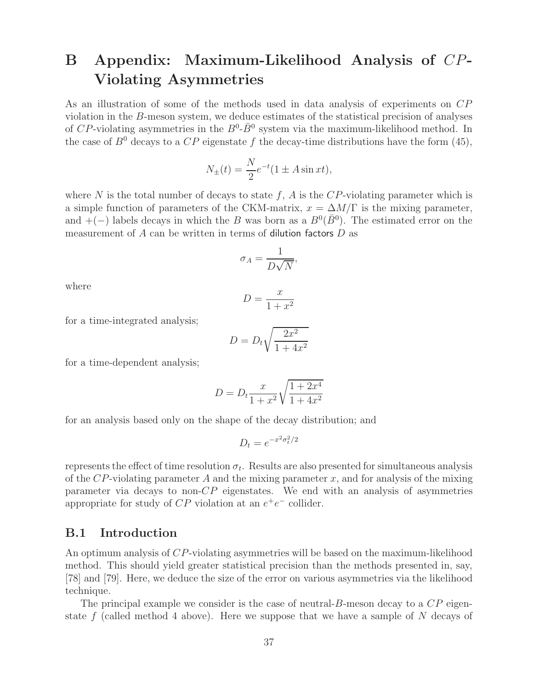# **B Appendix: Maximum-Likelihood Analysis of** CP**-Violating Asymmetries**

As an illustration of some of the methods used in data analysis of experiments on CP violation in the B-meson system, we deduce estimates of the statistical precision of analyses of CP-violating asymmetries in the  $B^0$ - $\bar{B}^0$  system via the maximum-likelihood method. In the case of  $B^0$  decays to a  $CP$  eigenstate f the decay-time distributions have the form (45),

$$
N_{\pm}(t) = \frac{N}{2}e^{-t}(1 \pm A\sin xt),
$$

where N is the total number of decays to state f, A is the  $CP$ -violating parameter which is a simple function of parameters of the CKM-matrix,  $x = \Delta M/\Gamma$  is the mixing parameter, and  $+(-)$  labels decays in which the B was born as a  $B^0(\bar{B}^0)$ . The estimated error on the measurement of  $A$  can be written in terms of dilution factors  $D$  as

$$
\sigma_A = \frac{1}{D\sqrt{N}},
$$

where

$$
D = \frac{x}{1 + x^2}
$$

for a time-integrated analysis;

$$
D = D_t \sqrt{\frac{2x^2}{1 + 4x^2}}
$$

for a time-dependent analysis;

$$
D = D_t \frac{x}{1 + x^2} \sqrt{\frac{1 + 2x^4}{1 + 4x^2}}
$$

for an analysis based only on the shape of the decay distribution; and

$$
D_t = e^{-x^2 \sigma_t^2/2}
$$

represents the effect of time resolution  $\sigma_t$ . Results are also presented for simultaneous analysis of the  $CP$ -violating parameter A and the mixing parameter x, and for analysis of the mixing parameter via decays to non- $CP$  eigenstates. We end with an analysis of asymmetries appropriate for study of  $CP$  violation at an  $e^+e^-$  collider.

### **B.1 Introduction**

An optimum analysis of CP-violating asymmetries will be based on the maximum-likelihood method. This should yield greater statistical precision than the methods presented in, say, [78] and [79]. Here, we deduce the size of the error on various asymmetries via the likelihood technique.

The principal example we consider is the case of neutral- $B$ -meson decay to a  $\mathbb{CP}$  eigenstate f (called method 4 above). Here we suppose that we have a sample of  $N$  decays of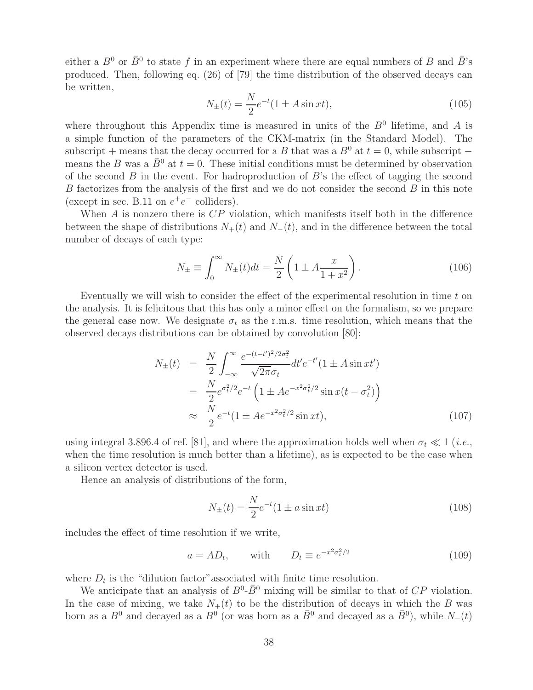either a  $B^0$  or  $\bar{B}^0$  to state f in an experiment where there are equal numbers of B and  $\bar{B}$ 's produced. Then, following eq. (26) of [79] the time distribution of the observed decays can be written,

$$
N_{\pm}(t) = \frac{N}{2}e^{-t}(1 \pm A\sin xt),
$$
\n(105)

where throughout this Appendix time is measured in units of the  $B<sup>0</sup>$  lifetime, and A is a simple function of the parameters of the CKM-matrix (in the Standard Model). The subscript + means that the decay occurred for a B that was a  $B^0$  at  $t = 0$ , while subscript – means the B was a  $\bar{B}^0$  at  $t = 0$ . These initial conditions must be determined by observation of the second  $B$  in the event. For hadroproduction of  $B$ 's the effect of tagging the second B factorizes from the analysis of the first and we do not consider the second B in this note (except in sec. B.11 on  $e^+e^-$  colliders).

When  $A$  is nonzero there is  $CP$  violation, which manifests itself both in the difference between the shape of distributions  $N_{+}(t)$  and  $N_{-}(t)$ , and in the difference between the total number of decays of each type:

$$
N_{\pm} \equiv \int_0^\infty N_{\pm}(t)dt = \frac{N}{2} \left( 1 \pm A \frac{x}{1+x^2} \right). \tag{106}
$$

Eventually we will wish to consider the effect of the experimental resolution in time  $t$  on the analysis. It is felicitous that this has only a minor effect on the formalism, so we prepare the general case now. We designate  $\sigma_t$  as the r.m.s. time resolution, which means that the observed decays distributions can be obtained by convolution [80]:

$$
N_{\pm}(t) = \frac{N}{2} \int_{-\infty}^{\infty} \frac{e^{-(t-t')^2/2\sigma_t^2}}{\sqrt{2\pi}\sigma_t} dt' e^{-t'} (1 \pm A \sin xt')
$$
  
= 
$$
\frac{N}{2} e^{\sigma_t^2/2} e^{-t} \left(1 \pm A e^{-x^2 \sigma_t^2/2} \sin x (t - \sigma_t^2)\right)
$$
  

$$
\approx \frac{N}{2} e^{-t} (1 \pm A e^{-x^2 \sigma_t^2/2} \sin xt),
$$
 (107)

using integral 3.896.4 of ref. [81], and where the approximation holds well when  $\sigma_t \ll 1$  (*i.e.*, when the time resolution is much better than a lifetime), as is expected to be the case when a silicon vertex detector is used.

Hence an analysis of distributions of the form,

$$
N_{\pm}(t) = \frac{N}{2}e^{-t}(1 \pm a\sin xt)
$$
\n(108)

includes the effect of time resolution if we write,

$$
a = AD_t, \qquad \text{with} \qquad D_t \equiv e^{-x^2 \sigma_t^2/2} \tag{109}
$$

where  $D_t$  is the "dilution factor" associated with finite time resolution.

We anticipate that an analysis of  $B^0$ - $\bar{B}^0$  mixing will be similar to that of CP violation. In the case of mixing, we take  $N_{+}(t)$  to be the distribution of decays in which the B was born as a  $B^0$  and decayed as a  $B^0$  (or was born as a  $\bar{B}^0$  and decayed as a  $\bar{B}^0$ ), while  $N_-(t)$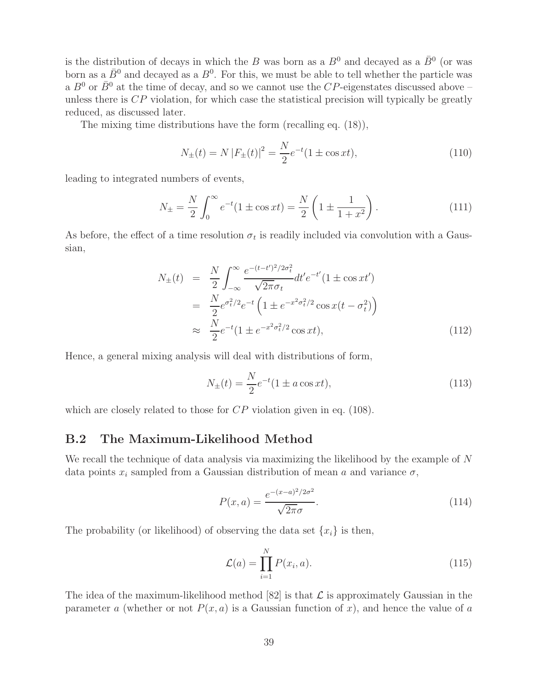is the distribution of decays in which the B was born as a  $B^0$  and decayed as a  $\bar{B}^0$  (or was born as a  $\bar{B}^0$  and decayed as a  $B^0$ . For this, we must be able to tell whether the particle was a  $B^0$  or  $\bar{B}^0$  at the time of decay, and so we cannot use the CP-eigenstates discussed above – unless there is  $\mathbb{CP}$  violation, for which case the statistical precision will typically be greatly reduced, as discussed later.

The mixing time distributions have the form (recalling eq. (18)),

$$
N_{\pm}(t) = N |F_{\pm}(t)|^2 = \frac{N}{2} e^{-t} (1 \pm \cos xt), \qquad (110)
$$

leading to integrated numbers of events,

$$
N_{\pm} = \frac{N}{2} \int_0^\infty e^{-t} (1 \pm \cos xt) = \frac{N}{2} \left( 1 \pm \frac{1}{1 + x^2} \right). \tag{111}
$$

As before, the effect of a time resolution  $\sigma_t$  is readily included via convolution with a Gaussian,

$$
N_{\pm}(t) = \frac{N}{2} \int_{-\infty}^{\infty} \frac{e^{-(t-t')^2/2\sigma_t^2}}{\sqrt{2\pi}\sigma_t} dt' e^{-t'} (1 \pm \cos xt')
$$
  
= 
$$
\frac{N}{2} e^{\sigma_t^2/2} e^{-t} \left(1 \pm e^{-x^2\sigma_t^2/2} \cos x(t - \sigma_t^2)\right)
$$
  

$$
\approx \frac{N}{2} e^{-t} (1 \pm e^{-x^2\sigma_t^2/2} \cos xt),
$$
 (112)

Hence, a general mixing analysis will deal with distributions of form,

$$
N_{\pm}(t) = \frac{N}{2}e^{-t}(1 \pm a\cos xt),
$$
\n(113)

which are closely related to those for  $CP$  violation given in eq. (108).

### **B.2 The Maximum-Likelihood Method**

We recall the technique of data analysis via maximizing the likelihood by the example of N data points  $x_i$  sampled from a Gaussian distribution of mean a and variance  $\sigma$ ,

$$
P(x,a) = \frac{e^{-(x-a)^2/2\sigma^2}}{\sqrt{2\pi}\sigma}.
$$
\n(114)

The probability (or likelihood) of observing the data set  $\{x_i\}$  is then,

$$
\mathcal{L}(a) = \prod_{i=1}^{N} P(x_i, a). \tag{115}
$$

The idea of the maximum-likelihood method [82] is that  $\mathcal L$  is approximately Gaussian in the parameter a (whether or not  $P(x, a)$  is a Gaussian function of x), and hence the value of a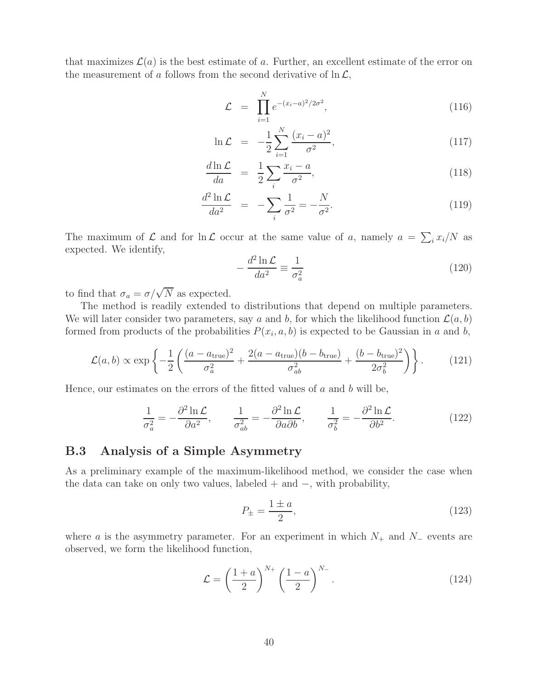that maximizes  $\mathcal{L}(a)$  is the best estimate of a. Further, an excellent estimate of the error on the measurement of a follows from the second derivative of  $\ln \mathcal{L}$ ,

$$
\mathcal{L} = \prod_{i=1}^{N} e^{-(x_i - a)^2 / 2\sigma^2}, \qquad (116)
$$

$$
\ln \mathcal{L} = -\frac{1}{2} \sum_{i=1}^{N} \frac{(x_i - a)^2}{\sigma^2},
$$
\n(117)

$$
\frac{d\ln\mathcal{L}}{da} = \frac{1}{2}\sum_{i}\frac{x_i - a}{\sigma^2},\tag{118}
$$

$$
\frac{d^2 \ln \mathcal{L}}{da^2} = -\sum_{i} \frac{1}{\sigma^2} = -\frac{N}{\sigma^2}.
$$
\n(119)

The maximum of  $\mathcal L$  and for  $\ln \mathcal L$  occur at the same value of a, namely  $a = \sum_i x_i/N$  as expected. We identify,

$$
-\frac{d^2 \ln \mathcal{L}}{da^2} \equiv \frac{1}{\sigma_a^2} \tag{120}
$$

to find that  $\sigma_a = \sigma/\sqrt{N}$  as expected.

The method is readily extended to distributions that depend on multiple parameters. We will later consider two parameters, say a and b, for which the likelihood function  $\mathcal{L}(a, b)$ formed from products of the probabilities  $P(x_i, a, b)$  is expected to be Gaussian in a and b,

$$
\mathcal{L}(a,b) \propto \exp\left\{-\frac{1}{2}\left(\frac{(a-a_{\text{true}})^2}{\sigma_a^2} + \frac{2(a-a_{\text{true}})(b-b_{\text{true}})}{\sigma_{ab}^2} + \frac{(b-b_{\text{true}})^2}{2\sigma_b^2}\right)\right\}.
$$
 (121)

Hence, our estimates on the errors of the fitted values of  $a$  and  $b$  will be,

$$
\frac{1}{\sigma_a^2} = -\frac{\partial^2 \ln \mathcal{L}}{\partial a^2}, \qquad \frac{1}{\sigma_{ab}^2} = -\frac{\partial^2 \ln \mathcal{L}}{\partial a \partial b}, \qquad \frac{1}{\sigma_b^2} = -\frac{\partial^2 \ln \mathcal{L}}{\partial b^2}.
$$
 (122)

### **B.3 Analysis of a Simple Asymmetry**

As a preliminary example of the maximum-likelihood method, we consider the case when the data can take on only two values, labeled  $+$  and  $-$ , with probability,

$$
P_{\pm} = \frac{1 \pm a}{2},\tag{123}
$$

where a is the asymmetry parameter. For an experiment in which  $N_+$  and  $N_-$  events are observed, we form the likelihood function,

$$
\mathcal{L} = \left(\frac{1+a}{2}\right)^{N_+} \left(\frac{1-a}{2}\right)^{N_-}.\tag{124}
$$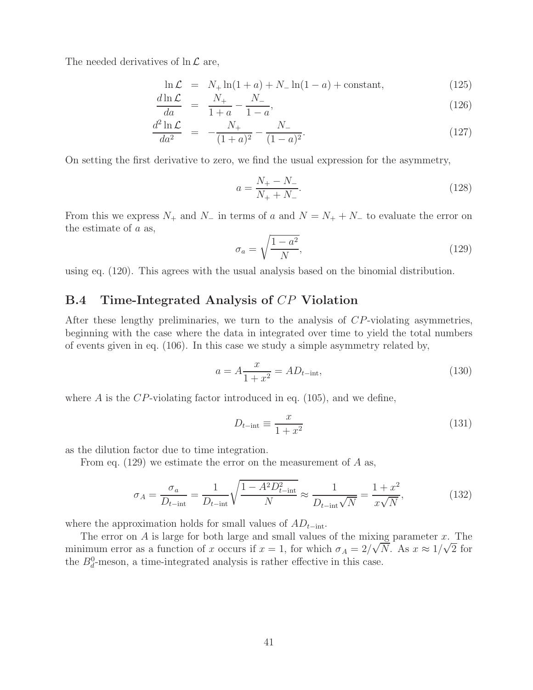The needed derivatives of  $\ln \mathcal{L}$  are,

$$
\ln \mathcal{L} = N_+ \ln(1 + a) + N_- \ln(1 - a) + \text{constant}, \tag{125}
$$

$$
\frac{d\ln \mathcal{L}}{da} = \frac{N_+}{1+a} - \frac{N_-}{1-a},\tag{126}
$$

$$
\frac{d^2 \ln \mathcal{L}}{da^2} = -\frac{N_+}{(1+a)^2} - \frac{N_-}{(1-a)^2}.
$$
\n(127)

On setting the first derivative to zero, we find the usual expression for the asymmetry,

$$
a = \frac{N_+ - N_-}{N_+ + N_-}.\tag{128}
$$

From this we express  $N_+$  and  $N_-$  in terms of a and  $N = N_+ + N_-$  to evaluate the error on the estimate of a as,

$$
\sigma_a = \sqrt{\frac{1 - a^2}{N}},\tag{129}
$$

using eq. (120). This agrees with the usual analysis based on the binomial distribution.

### **B.4 Time-Integrated Analysis of** CP **Violation**

After these lengthy preliminaries, we turn to the analysis of CP-violating asymmetries, beginning with the case where the data in integrated over time to yield the total numbers of events given in eq. (106). In this case we study a simple asymmetry related by,

$$
a = A \frac{x}{1 + x^2} = AD_{t-\text{int}},
$$
\n(130)

where  $\hat{A}$  is the CP-violating factor introduced in eq. (105), and we define,

$$
D_{t-\text{int}} \equiv \frac{x}{1+x^2} \tag{131}
$$

as the dilution factor due to time integration.

From eq.  $(129)$  we estimate the error on the measurement of A as,

$$
\sigma_A = \frac{\sigma_a}{D_{t-\text{int}}} = \frac{1}{D_{t-\text{int}}} \sqrt{\frac{1 - A^2 D_{t-\text{int}}^2}{N}} \approx \frac{1}{D_{t-\text{int}}\sqrt{N}} = \frac{1 + x^2}{x\sqrt{N}},\tag{132}
$$

where the approximation holds for small values of  $AD_{t-{\text{int}}}$ .

The error on A is large for both large and small values of the mixing parameter x. The minimum error as a function of x occurs if  $x = 1$ , for which  $\sigma_A = 2/\sqrt{N}$ . As  $x \approx 1/\sqrt{2}$  for the  $B_d^0$ -meson, a time-integrated analysis is rather effective in this case.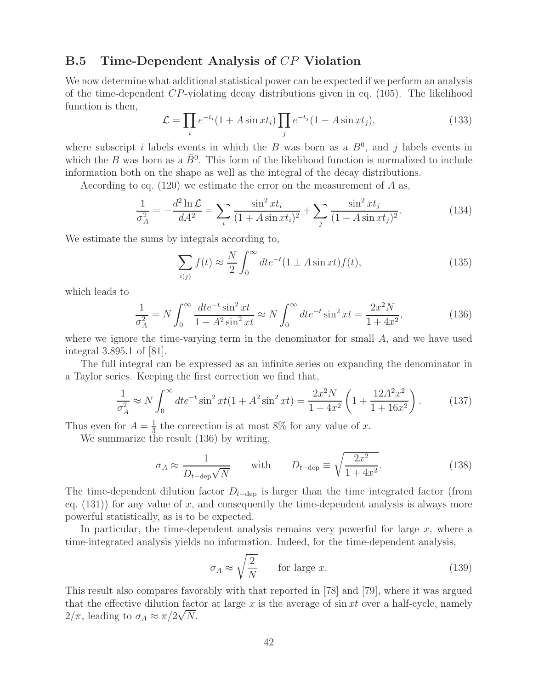### **B.5 Time-Dependent Analysis of** CP **Violation**

We now determine what additional statistical power can be expected if we perform an analysis of the time-dependent  $CP$ -violating decay distributions given in eq. (105). The likelihood function is then,

$$
\mathcal{L} = \prod_i e^{-t_i} (1 + A \sin xt_i) \prod_j e^{-t_j} (1 - A \sin xt_j), \qquad (133)
$$

where subscript i labels events in which the B was born as a  $B^0$ , and j labels events in which the B was born as a  $\bar{B}^0$ . This form of the likelihood function is normalized to include information both on the shape as well as the integral of the decay distributions.

According to eq.  $(120)$  we estimate the error on the measurement of A as,

$$
\frac{1}{\sigma_A^2} = -\frac{d^2 \ln \mathcal{L}}{dA^2} = \sum_i \frac{\sin^2 xt_i}{(1 + A \sin xt_i)^2} + \sum_j \frac{\sin^2 xt_j}{(1 - A \sin xt_j)^2}.
$$
(134)

We estimate the sums by integrals according to,

$$
\sum_{i(j)} f(t) \approx \frac{N}{2} \int_0^\infty dt e^{-t} (1 \pm A \sin xt) f(t), \tag{135}
$$

which leads to

$$
\frac{1}{\sigma_A^2} = N \int_0^\infty \frac{dt e^{-t} \sin^2 xt}{1 - A^2 \sin^2 xt} \approx N \int_0^\infty dt e^{-t} \sin^2 xt = \frac{2x^2 N}{1 + 4x^2},\tag{136}
$$

where we ignore the time-varying term in the denominator for small A, and we have used integral 3.895.1 of [81].

The full integral can be expressed as an infinite series on expanding the denominator in a Taylor series. Keeping the first correction we find that,

$$
\frac{1}{\sigma_A^2} \approx N \int_0^\infty dt e^{-t} \sin^2 xt (1 + A^2 \sin^2 xt) = \frac{2x^2 N}{1 + 4x^2} \left( 1 + \frac{12A^2 x^2}{1 + 16x^2} \right). \tag{137}
$$

Thus even for  $A = \frac{1}{3}$  the correction is at most 8% for any value of x.

We summarize the result (136) by writing,

$$
\sigma_A \approx \frac{1}{D_{t-\text{dep}}\sqrt{N}} \quad \text{with} \quad D_{t-\text{dep}} \equiv \sqrt{\frac{2x^2}{1+4x^2}}. \tag{138}
$$

The time-dependent dilution factor  $D_{t-\text{dep}}$  is larger than the time integrated factor (from eq.  $(131)$  for any value of x, and consequently the time-dependent analysis is always more powerful statistically, as is to be expected.

In particular, the time-dependent analysis remains very powerful for large  $x$ , where a time-integrated analysis yields no information. Indeed, for the time-dependent analysis,

$$
\sigma_A \approx \sqrt{\frac{2}{N}} \qquad \text{for large } x. \tag{139}
$$

This result also compares favorably with that reported in [78] and [79], where it was argued that the effective dilution factor at large x is the average of  $\sin xt$  over a half-cycle, namely That the effective diffusion fact<br> $2/\pi$ , leading to  $\sigma_A \approx \pi/2\sqrt{N}$ .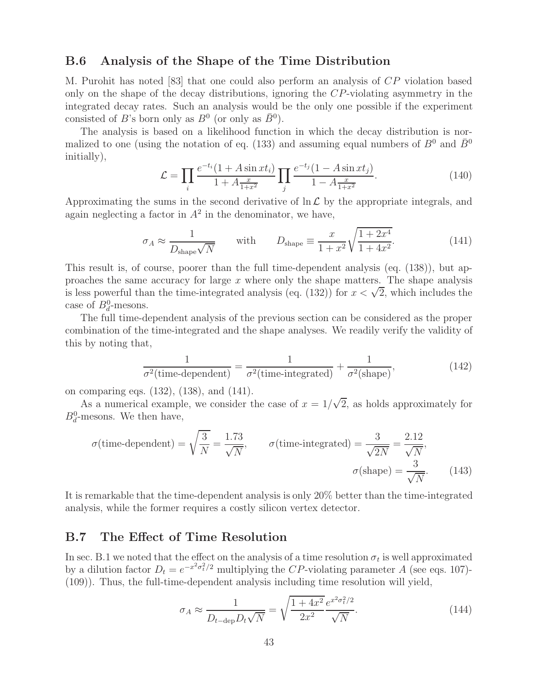### **B.6 Analysis of the Shape of the Time Distribution**

M. Purohit has noted [83] that one could also perform an analysis of CP violation based only on the shape of the decay distributions, ignoring the CP-violating asymmetry in the integrated decay rates. Such an analysis would be the only one possible if the experiment consisted of B's born only as  $B^0$  (or only as  $\bar{B}^0$ ).

The analysis is based on a likelihood function in which the decay distribution is normalized to one (using the notation of eq. (133) and assuming equal numbers of  $B^0$  and  $\bar{B}^0$ initially),

$$
\mathcal{L} = \prod_{i} \frac{e^{-t_i} (1 + A \sin xt_i)}{1 + A \frac{x}{1 + x^2}} \prod_{j} \frac{e^{-t_j} (1 - A \sin xt_j)}{1 - A \frac{x}{1 + x^2}}.
$$
(140)

Approximating the sums in the second derivative of  $\ln \mathcal{L}$  by the appropriate integrals, and again neglecting a factor in  $A^2$  in the denominator, we have,

$$
\sigma_A \approx \frac{1}{D_{\text{shape}}\sqrt{N}} \quad \text{with} \quad D_{\text{shape}} \equiv \frac{x}{1+x^2} \sqrt{\frac{1+2x^4}{1+4x^2}}. \tag{141}
$$

This result is, of course, poorer than the full time-dependent analysis (eq. (138)), but approaches the same accuracy for large  $x$  where only the shape matters. The shape analysis is less powerful than the time-integrated analysis (eq. (132)) for  $x < \sqrt{2}$ , which includes the case of  $B_d^0$ -mesons.

The full time-dependent analysis of the previous section can be considered as the proper combination of the time-integrated and the shape analyses. We readily verify the validity of this by noting that,

$$
\frac{1}{\sigma^2(\text{time-dependent})} = \frac{1}{\sigma^2(\text{time-integrated})} + \frac{1}{\sigma^2(\text{shape})},\tag{142}
$$

on comparing eqs. (132), (138), and (141).

comparing eqs. (132), (138), and (141).<br>As a numerical example, we consider the case of  $x = 1/\sqrt{2}$ , as holds approximately for  $B_d^0$ -mesons. We then have,

$$
\sigma(\text{time-dependent}) = \sqrt{\frac{3}{N}} = \frac{1.73}{\sqrt{N}}, \qquad \sigma(\text{time-integrated}) = \frac{3}{\sqrt{2N}} = \frac{2.12}{\sqrt{N}},
$$

$$
\sigma(\text{shape}) = \frac{3}{\sqrt{N}}.
$$
(143)

It is remarkable that the time-dependent analysis is only 20% better than the time-integrated analysis, while the former requires a costly silicon vertex detector.

### **B.7 The Effect of Time Resolution**

In sec. B.1 we noted that the effect on the analysis of a time resolution  $\sigma_t$  is well approximated by a dilution factor  $D_t = e^{-x^2 \sigma_t^2/2}$  multiplying the CP-violating parameter A (see eqs. 107)-(109)). Thus, the full-time-dependent analysis including time resolution will yield,

$$
\sigma_A \approx \frac{1}{D_{t-\text{dep}} D_t \sqrt{N}} = \sqrt{\frac{1+4x^2}{2x^2}} \frac{e^{x^2 \sigma_t^2/2}}{\sqrt{N}}.
$$
\n(144)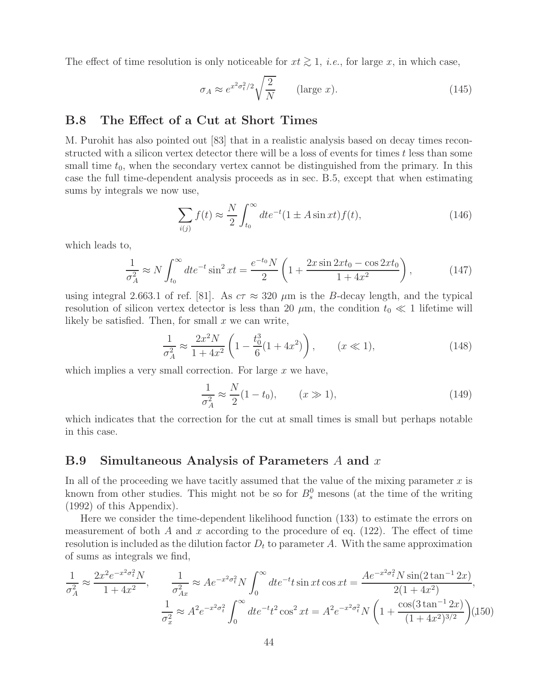The effect of time resolution is only noticeable for  $xt \geq 1$ , *i.e.*, for large x, in which case,

$$
\sigma_A \approx e^{x^2 \sigma_t^2/2} \sqrt{\frac{2}{N}} \qquad \text{(large } x\text{)}.
$$
\n(145)

### **B.8 The Effect of a Cut at Short Times**

M. Purohit has also pointed out [83] that in a realistic analysis based on decay times reconstructed with a silicon vertex detector there will be a loss of events for times t less than some small time  $t_0$ , when the secondary vertex cannot be distinguished from the primary. In this case the full time-dependent analysis proceeds as in sec. B.5, except that when estimating sums by integrals we now use,

$$
\sum_{i(j)} f(t) \approx \frac{N}{2} \int_{t_0}^{\infty} dt e^{-t} (1 \pm A \sin xt) f(t), \qquad (146)
$$

which leads to,

$$
\frac{1}{\sigma_A^2} \approx N \int_{t_0}^{\infty} dt e^{-t} \sin^2 xt = \frac{e^{-t_0} N}{2} \left( 1 + \frac{2x \sin 2xt_0 - \cos 2xt_0}{1 + 4x^2} \right),\tag{147}
$$

using integral 2.663.1 of ref. [81]. As  $c\tau \approx 320 \ \mu \text{m}$  is the B-decay length, and the typical resolution of silicon vertex detector is less than 20  $\mu$ m, the condition  $t_0 \ll 1$  lifetime will likely be satisfied. Then, for small  $x$  we can write,

$$
\frac{1}{\sigma_A^2} \approx \frac{2x^2 N}{1 + 4x^2} \left( 1 - \frac{t_0^3}{6} (1 + 4x^2) \right), \qquad (x \ll 1), \tag{148}
$$

which implies a very small correction. For large  $x$  we have,

$$
\frac{1}{\sigma_A^2} \approx \frac{N}{2} (1 - t_0), \qquad (x \gg 1), \tag{149}
$$

which indicates that the correction for the cut at small times is small but perhaps notable in this case.

#### **B.9 Simultaneous Analysis of Parameters** A **and** x

In all of the proceeding we have tacitly assumed that the value of the mixing parameter  $x$  is known from other studies. This might not be so for  $B_s^0$  mesons (at the time of the writing (1992) of this Appendix).

Here we consider the time-dependent likelihood function (133) to estimate the errors on measurement of both A and x according to the procedure of eq.  $(122)$ . The effect of time resolution is included as the dilution factor  $D_t$  to parameter A. With the same approximation of sums as integrals we find,

$$
\frac{1}{\sigma_A^2} \approx \frac{2x^2 e^{-x^2 \sigma_t^2} N}{1 + 4x^2}, \qquad \frac{1}{\sigma_{Ax}^2} \approx A e^{-x^2 \sigma_t^2} N \int_0^\infty dt e^{-t} t \sin xt \cos xt = \frac{A e^{-x^2 \sigma_t^2} N \sin(2 \tan^{-1} 2x)}{2(1 + 4x^2)},
$$

$$
\frac{1}{\sigma_x^2} \approx A^2 e^{-x^2 \sigma_t^2} \int_0^\infty dt e^{-t} t^2 \cos^2 xt = A^2 e^{-x^2 \sigma_t^2} N \left(1 + \frac{\cos(3 \tan^{-1} 2x)}{(1 + 4x^2)^{3/2}}\right) (150)
$$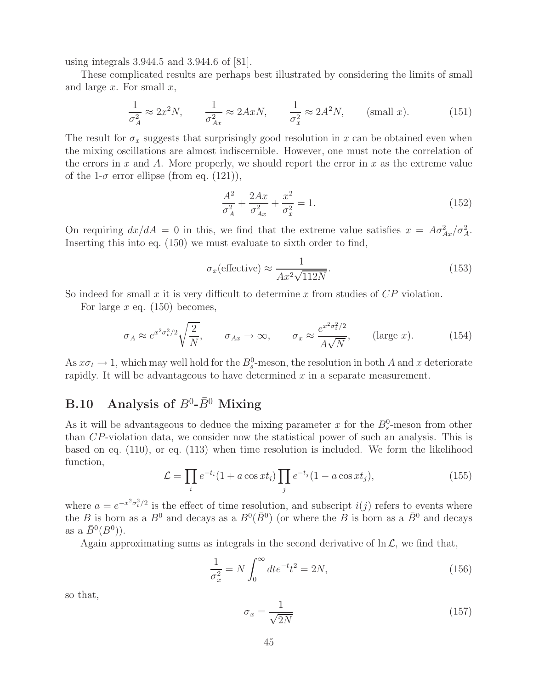using integrals 3.944.5 and 3.944.6 of [81].

These complicated results are perhaps best illustrated by considering the limits of small and large  $x$ . For small  $x$ ,

$$
\frac{1}{\sigma_A^2} \approx 2x^2 N, \qquad \frac{1}{\sigma_{Ax}^2} \approx 2AxN, \qquad \frac{1}{\sigma_x^2} \approx 2A^2 N, \qquad \text{(small } x\text{)}.
$$
 (151)

The result for  $\sigma_x$  suggests that surprisingly good resolution in x can be obtained even when the mixing oscillations are almost indiscernible. However, one must note the correlation of the errors in x and A. More properly, we should report the error in x as the extreme value of the 1- $\sigma$  error ellipse (from eq. (121)),

$$
\frac{A^2}{\sigma_A^2} + \frac{2Ax}{\sigma_{Ax}^2} + \frac{x^2}{\sigma_x^2} = 1.
$$
 (152)

On requiring  $dx/dA = 0$  in this, we find that the extreme value satisfies  $x = A\sigma_{Ax}^2/\sigma_A^2$ . Inserting this into eq. (150) we must evaluate to sixth order to find,

$$
\sigma_x(\text{effective}) \approx \frac{1}{Ax^2\sqrt{112N}}.\tag{153}
$$

So indeed for small  $x$  it is very difficult to determine  $x$  from studies of  $CP$  violation.

For large x eq.  $(150)$  becomes,

$$
\sigma_A \approx e^{x^2 \sigma_t^2/2} \sqrt{\frac{2}{N}}, \qquad \sigma_{Ax} \to \infty, \qquad \sigma_x \approx \frac{e^{x^2 \sigma_t^2/2}}{A\sqrt{N}}, \qquad \text{(large } x\text{)}.
$$
 (154)

As  $x\sigma_t \to 1$ , which may well hold for the  $B_s^0$ -meson, the resolution in both A and x deteriorate rapidly. It will be advantageous to have determined  $x$  in a separate measurement.

## **B.10** Analysis of  $B^0$ - $\bar{B}^0$  Mixing

As it will be advantageous to deduce the mixing parameter x for the  $B_s^0$ -meson from other than CP-violation data, we consider now the statistical power of such an analysis. This is based on eq. (110), or eq. (113) when time resolution is included. We form the likelihood function,

$$
\mathcal{L} = \prod_i e^{-t_i} (1 + a \cos xt_i) \prod_j e^{-t_j} (1 - a \cos xt_j), \qquad (155)
$$

where  $a = e^{-x^2 \sigma_t^2/2}$  is the effect of time resolution, and subscript  $i(j)$  refers to events where the B is born as a  $B^0$  and decays as a  $B^0(\bar{B}^0)$  (or where the B is born as a  $\bar{B}^0$  and decays as a  $B^0(B^0)$ .

Again approximating sums as integrals in the second derivative of  $\ln \mathcal{L}$ , we find that,

$$
\frac{1}{\sigma_x^2} = N \int_0^\infty dt e^{-t} t^2 = 2N,
$$
\n(156)

so that,

$$
\sigma_x = \frac{1}{\sqrt{2N}}\tag{157}
$$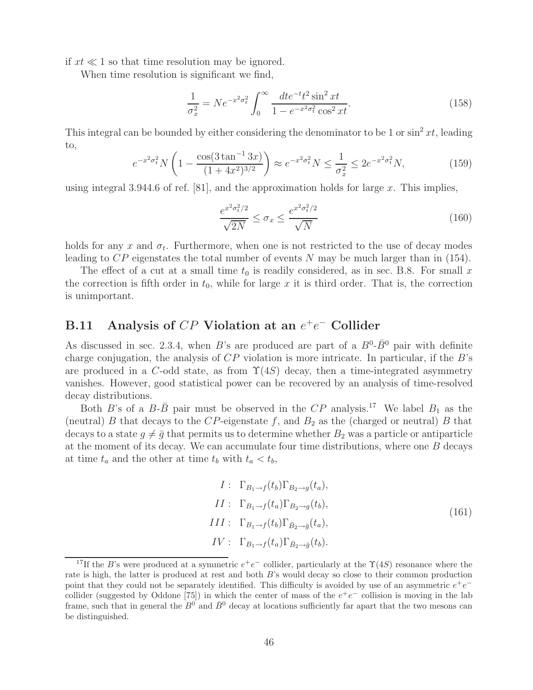if  $xt \ll 1$  so that time resolution may be ignored.

When time resolution is significant we find,

$$
\frac{1}{\sigma_x^2} = N e^{-x^2 \sigma_t^2} \int_0^\infty \frac{dt e^{-t} t^2 \sin^2 x t}{1 - e^{-x^2 \sigma_t^2} \cos^2 x t}.
$$
\n(158)

This integral can be bounded by either considering the denominator to be 1 or  $\sin^2 xt$ , leading to,

$$
e^{-x^2\sigma_t^2} N \left( 1 - \frac{\cos(3\tan^{-1}3x)}{(1+4x^2)^{3/2}} \right) \approx e^{-x^2\sigma_t^2} N \le \frac{1}{\sigma_x^2} \le 2e^{-x^2\sigma_t^2} N,\tag{159}
$$

using integral 3.944.6 of ref. [81], and the approximation holds for large  $x$ . This implies,

$$
\frac{e^{x^2 \sigma_t^2/2}}{\sqrt{2N}} \le \sigma_x \le \frac{e^{x^2 \sigma_t^2/2}}{\sqrt{N}}\tag{160}
$$

holds for any x and  $\sigma_t$ . Furthermore, when one is not restricted to the use of decay modes leading to CP eigenstates the total number of events N may be much larger than in (154).

The effect of a cut at a small time  $t_0$  is readily considered, as in sec. B.8. For small x the correction is fifth order in  $t_0$ , while for large x it is third order. That is, the correction is unimportant.

### **B.11** Analysis of CP Violation at an  $e^+e^-$  Collider

As discussed in sec. 2.3.4, when B's are produced are part of a  $B^0$ - $\bar{B}^0$  pair with definite charge conjugation, the analysis of  $CP$  violation is more intricate. In particular, if the  $B$ 's are produced in a C-odd state, as from  $\Upsilon(4S)$  decay, then a time-integrated asymmetry vanishes. However, good statistical power can be recovered by an analysis of time-resolved decay distributions.

Both B's of a  $B$ - $\bar{B}$  pair must be observed in the CP analysis.<sup>17</sup> We label  $B_1$  as the (neutral) B that decays to the CP-eigenstate f, and  $B_2$  as the (charged or neutral) B that decays to a state  $g \neq \bar{g}$  that permits us to determine whether  $B_2$  was a particle or antiparticle at the moment of its decay. We can accumulate four time distributions, where one B decays at time  $t_a$  and the other at time  $t_b$  with  $t_a < t_b$ ,

$$
I: \Gamma_{B_1 \to f}(t_b) \Gamma_{B_2 \to g}(t_a),
$$
  
\n
$$
II: \Gamma_{B_1 \to f}(t_a) \Gamma_{B_2 \to g}(t_b),
$$
  
\n
$$
III: \Gamma_{B_1 \to f}(t_b) \Gamma_{\bar{B}_2 \to \bar{g}}(t_a),
$$
  
\n
$$
IV: \Gamma_{B_1 \to f}(t_a) \Gamma_{\bar{B}_2 \to \bar{g}}(t_b).
$$
\n
$$
(161)
$$

<sup>&</sup>lt;sup>17</sup>If the B's were produced at a symmetric  $e^+e^-$  collider, particularly at the  $\Upsilon(4S)$  resonance where the rate is high, the latter is produced at rest and both B's would decay so close to their common production point that they could not be separately identified. This difficulty is avoided by use of an asymmetric  $e^+e^$ collider (suggested by Oddone [75]) in which the center of mass of the  $e^+e^-$  collision is moving in the lab frame, such that in general the  $B^0$  and  $\bar{B}^0$  decay at locations sufficiently far apart that the two mesons can be distinguished.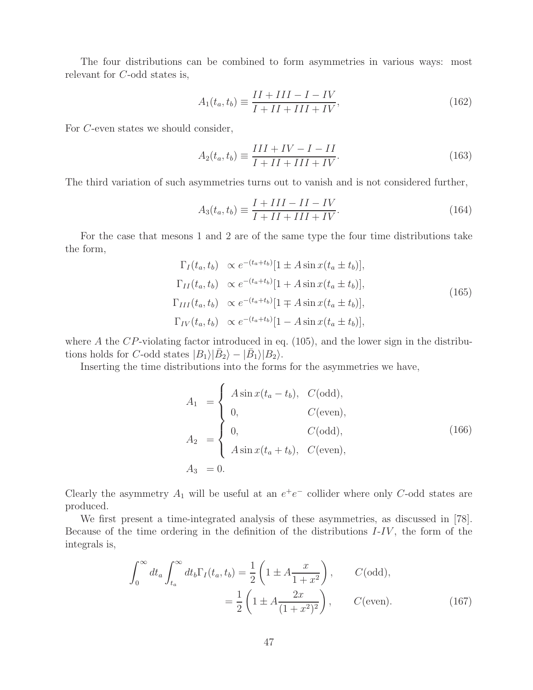The four distributions can be combined to form asymmetries in various ways: most relevant for C-odd states is,

$$
A_1(t_a, t_b) \equiv \frac{II + III - I - IV}{I + II + III + IV},\tag{162}
$$

For C-even states we should consider,

$$
A_2(t_a, t_b) \equiv \frac{III + IV - I - II}{I + II + III + IV}.
$$
\n(163)

The third variation of such asymmetries turns out to vanish and is not considered further,

$$
A_3(t_a, t_b) \equiv \frac{I + III - II - IV}{I + II + III + IV}.
$$
\n(164)

For the case that mesons 1 and 2 are of the same type the four time distributions take the form,

$$
\Gamma_I(t_a, t_b) \propto e^{-(t_a+t_b)}[1 \pm A \sin x(t_a \pm t_b)],
$$
  
\n
$$
\Gamma_{II}(t_a, t_b) \propto e^{-(t_a+t_b)}[1 + A \sin x(t_a \pm t_b)],
$$
  
\n
$$
\Gamma_{III}(t_a, t_b) \propto e^{-(t_a+t_b)}[1 \mp A \sin x(t_a \pm t_b)],
$$
  
\n
$$
\Gamma_{IV}(t_a, t_b) \propto e^{-(t_a+t_b)}[1 - A \sin x(t_a \pm t_b)],
$$
\n(165)

where A the CP-violating factor introduced in eq.  $(105)$ , and the lower sign in the distributions holds for C-odd states  $|B_1\rangle|\bar{B}_2\rangle - |\bar{B}_1\rangle|B_2\rangle$ .

Inserting the time distributions into the forms for the asymmetries we have,

$$
A_1 = \begin{cases} A \sin x (t_a - t_b), & C(odd), \\ 0, & C(\text{even}), \\ 0, & C(odd), \\ A \sin x (t_a + t_b), & C(\text{even}), \end{cases}
$$
(166)  

$$
A_3 = 0.
$$

Clearly the asymmetry  $A_1$  will be useful at an  $e^+e^-$  collider where only C-odd states are produced.

We first present a time-integrated analysis of these asymmetries, as discussed in [78]. Because of the time ordering in the definition of the distributions I-IV , the form of the integrals is,

$$
\int_0^\infty dt_a \int_{t_a}^\infty dt_b \Gamma_I(t_a, t_b) = \frac{1}{2} \left( 1 \pm A \frac{x}{1+x^2} \right), \qquad C(\text{odd}),
$$

$$
= \frac{1}{2} \left( 1 \pm A \frac{2x}{(1+x^2)^2} \right), \qquad C(\text{even}). \tag{167}
$$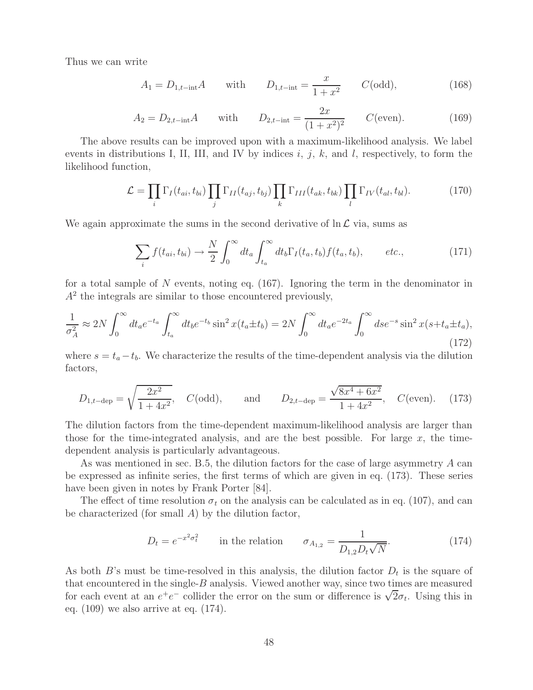Thus we can write

$$
A_1 = D_{1,t-\text{int}}A \quad \text{with} \quad D_{1,t-\text{int}} = \frac{x}{1+x^2} \quad C(\text{odd}), \tag{168}
$$

$$
A_2 = D_{2,t-\text{int}}A \quad \text{with} \quad D_{2,t-\text{int}} = \frac{2x}{(1+x^2)^2} \quad C(\text{even}). \tag{169}
$$

The above results can be improved upon with a maximum-likelihood analysis. We label events in distributions I, II, III, and IV by indices  $i, j, k$ , and l, respectively, to form the likelihood function,

$$
\mathcal{L} = \prod_i \Gamma_I(t_{ai}, t_{bi}) \prod_j \Gamma_{II}(t_{aj}, t_{bj}) \prod_k \Gamma_{III}(t_{ak}, t_{bk}) \prod_l \Gamma_{IV}(t_{al}, t_{bl}). \tag{170}
$$

We again approximate the sums in the second derivative of  $\ln \mathcal{L}$  via, sums as

$$
\sum_{i} f(t_{ai}, t_{bi}) \rightarrow \frac{N}{2} \int_0^\infty dt_a \int_{t_a}^\infty dt_b \Gamma_I(t_a, t_b) f(t_a, t_b), \qquad etc., \tag{171}
$$

for a total sample of N events, noting eq.  $(167)$ . Ignoring the term in the denominator in  $A<sup>2</sup>$  the integrals are similar to those encountered previously,

$$
\frac{1}{\sigma_A^2} \approx 2N \int_0^\infty dt_a e^{-t_a} \int_{t_a}^\infty dt_b e^{-t_b} \sin^2 x (t_a \pm t_b) = 2N \int_0^\infty dt_a e^{-2t_a} \int_0^\infty ds e^{-s} \sin^2 x (s + t_a \pm t_a), \tag{172}
$$

where  $s = t_a - t_b$ . We characterize the results of the time-dependent analysis via the dilution factors,

$$
D_{1,t-\text{dep}} = \sqrt{\frac{2x^2}{1+4x^2}}
$$
,  $C(\text{odd})$ , and  $D_{2,t-\text{dep}} = \frac{\sqrt{8x^4+6x^2}}{1+4x^2}$ ,  $C(\text{even})$ . (173)

The dilution factors from the time-dependent maximum-likelihood analysis are larger than those for the time-integrated analysis, and are the best possible. For large  $x$ , the timedependent analysis is particularly advantageous.

As was mentioned in sec. B.5, the dilution factors for the case of large asymmetry A can be expressed as infinite series, the first terms of which are given in eq. (173). These series have been given in notes by Frank Porter [84].

The effect of time resolution  $\sigma_t$  on the analysis can be calculated as in eq. (107), and can be characterized (for small A) by the dilution factor,

$$
D_t = e^{-x^2 \sigma_t^2}
$$
 in the relation  $\sigma_{A_{1,2}} = \frac{1}{D_{1,2} D_t \sqrt{N}}$ . (174)

As both B's must be time-resolved in this analysis, the dilution factor  $D_t$  is the square of that encountered in the single- $B$  analysis. Viewed another way, since two times are measured that encountered in the single-*B* analysis. Viewed ahother way, since two times are measured<br>for each event at an  $e^+e^-$  collider the error on the sum or difference is  $\sqrt{2}\sigma_t$ . Using this in eq. (109) we also arrive at eq. (174).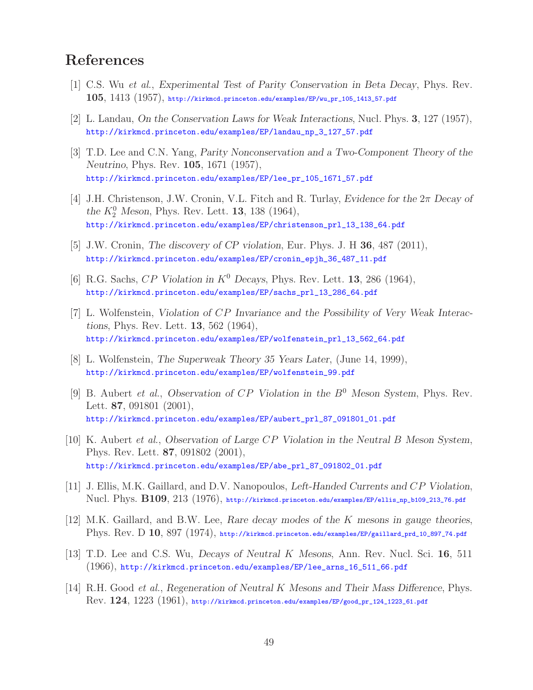# **References**

- [1] C.S. Wu *et al.*, *Experimental Test of Parity Conservation in Beta Decay*, Phys. Rev. **105**, 1413 (1957), http://kirkmcd.princeton.edu/examples/EP/wu\_pr\_105\_1413\_57.pdf
- [2] L. Landau, *On the Conservation Laws for Weak Interactions*, Nucl. Phys. **3**, 127 (1957), http://kirkmcd.princeton.edu/examples/EP/landau\_np\_3\_127\_57.pdf
- [3] T.D. Lee and C.N. Yang, *Parity Nonconservation and a Two-Component Theory of the Neutrino*, Phys. Rev. **105**, 1671 (1957), http://kirkmcd.princeton.edu/examples/EP/lee\_pr\_105\_1671\_57.pdf
- [4] J.H. Christenson, J.W. Cronin, V.L. Fitch and R. Turlay, *Evidence for the* 2π *Decay of the*  $K_2^0$  *Meson*, Phys. Rev. Lett. **13**, 138 (1964), http://kirkmcd.princeton.edu/examples/EP/christenson\_prl\_13\_138\_64.pdf
- [5] J.W. Cronin, *The discovery of CP violation*, Eur. Phys. J. H **36**, 487 (2011), http://kirkmcd.princeton.edu/examples/EP/cronin\_epjh\_36\_487\_11.pdf
- [6] R.G. Sachs,  $CP$  *Violation in*  $K^0$  *Decays*, Phys. Rev. Lett. **13**, 286 (1964), http://kirkmcd.princeton.edu/examples/EP/sachs\_prl\_13\_286\_64.pdf
- [7] L. Wolfenstein, *Violation of* CP *Invariance and the Possibility of Very Weak Interactions*, Phys. Rev. Lett. **13**, 562 (1964), http://kirkmcd.princeton.edu/examples/EP/wolfenstein\_prl\_13\_562\_64.pdf
- [8] L. Wolfenstein, *The Superweak Theory 35 Years Later*, (June 14, 1999), http://kirkmcd.princeton.edu/examples/EP/wolfenstein\_99.pdf
- [9] B. Aubert *et al.*, *Observation of* CP *Violation in the* B<sup>0</sup> *Meson System*, Phys. Rev. Lett. **87**, 091801 (2001), http://kirkmcd.princeton.edu/examples/EP/aubert\_prl\_87\_091801\_01.pdf
- [10] K. Aubert *et al.*, *Observation of Large* CP *Violation in the Neutral* B *Meson System*, Phys. Rev. Lett. **87**, 091802 (2001), http://kirkmcd.princeton.edu/examples/EP/abe\_prl\_87\_091802\_01.pdf
- [11] J. Ellis, M.K. Gaillard, and D.V. Nanopoulos, *Left-Handed Currents and* CP *Violation*, Nucl. Phys. **B109**, 213 (1976), http://kirkmcd.princeton.edu/examples/EP/ellis\_np\_b109\_213\_76.pdf
- [12] M.K. Gaillard, and B.W. Lee, *Rare decay modes of the* K *mesons in gauge theories*, Phys. Rev. D **10**, 897 (1974), http://kirkmcd.princeton.edu/examples/EP/gaillard\_prd\_10\_897\_74.pdf
- [13] T.D. Lee and C.S. Wu, *Decays of Neutral* K *Mesons*, Ann. Rev. Nucl. Sci. **16**, 511 (1966), http://kirkmcd.princeton.edu/examples/EP/lee\_arns\_16\_511\_66.pdf
- [14] R.H. Good *et al.*, *Regeneration of Neutral* K *Mesons and Their Mass Difference*, Phys. Rev. **124**, 1223 (1961), http://kirkmcd.princeton.edu/examples/EP/good\_pr\_124\_1223\_61.pdf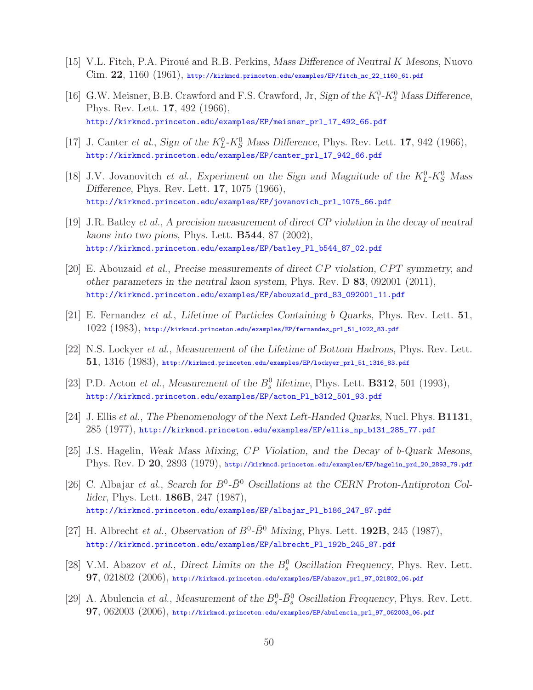- [15] V.L. Fitch, P.A. Pirou´e and R.B. Perkins, *Mass Difference of Neutral* K *Mesons*, Nuovo Cim. **22**, 1160 (1961), http://kirkmcd.princeton.edu/examples/EP/fitch\_nc\_22\_1160\_61.pdf
- [16] G.W. Meisner, B.B. Crawford and F.S. Crawford, Jr, *Sign of the*  $K_1^0$ - $K_2^0$  *Mass Difference*, Phys. Rev. Lett. **17**, 492 (1966), http://kirkmcd.princeton.edu/examples/EP/meisner\_prl\_17\_492\_66.pdf
- [17] J. Canter *et al.*, *Sign of the*  $K_L^0$ - $K_S^0$  *Mass Difference*, Phys. Rev. Lett. **17**, 942 (1966), http://kirkmcd.princeton.edu/examples/EP/canter\_prl\_17\_942\_66.pdf
- [18] J.V. Jovanovitch *et al.*, *Experiment on the Sign and Magnitude of the*  $K_L^0$ - $K_S^0$  *Mass Difference*, Phys. Rev. Lett. **17**, 1075 (1966), http://kirkmcd.princeton.edu/examples/EP/jovanovich\_prl\_1075\_66.pdf
- [19] J.R. Batley *et al.*, *A precision measurement of direct CP violation in the decay of neutral kaons into two pions*, Phys. Lett. **B544**, 87 (2002), http://kirkmcd.princeton.edu/examples/EP/batley\_Pl\_b544\_87\_02.pdf
- [20] E. Abouzaid *et al.*, *Precise measurements of direct* CP *violation,* CPT *symmetry, and other parameters in the neutral kaon system*, Phys. Rev. D **83**, 092001 (2011), http://kirkmcd.princeton.edu/examples/EP/abouzaid\_prd\_83\_092001\_11.pdf
- [21] E. Fernandez *et al.*, *Lifetime of Particles Containing* b *Quarks*, Phys. Rev. Lett. **51**, 1022 (1983), http://kirkmcd.princeton.edu/examples/EP/fernandez\_prl\_51\_1022\_83.pdf
- [22] N.S. Lockyer *et al.*, *Measurement of the Lifetime of Bottom Hadrons*, Phys. Rev. Lett. **51**, 1316 (1983), http://kirkmcd.princeton.edu/examples/EP/lockyer\_prl\_51\_1316\_83.pdf
- [23] P.D. Acton *et al.*, *Measurement of the*  $B_s^0$  *lifetime*, Phys. Lett. **B312**, 501 (1993), http://kirkmcd.princeton.edu/examples/EP/acton\_Pl\_b312\_501\_93.pdf
- [24] J. Ellis *et al.*, *The Phenomenology of the Next Left-Handed Quarks*, Nucl. Phys. **B1131**, 285 (1977), http://kirkmcd.princeton.edu/examples/EP/ellis\_np\_b131\_285\_77.pdf
- [25] J.S. Hagelin, *Weak Mass Mixing,* CP *Violation, and the Decay of* b*-Quark Mesons*, Phys. Rev. D **20**, 2893 (1979), http://kirkmcd.princeton.edu/examples/EP/hagelin\_prd\_20\_2893\_79.pdf
- [26] C. Albajar *et al.*, *Search for*  $B^0$ - $\bar{B}^0$  *Oscillations at the CERN Proton-Antiproton Collider*, Phys. Lett. **186B**, 247 (1987), http://kirkmcd.princeton.edu/examples/EP/albajar\_Pl\_b186\_247\_87.pdf
- [27] H. Albrecht *et al.*, *Observation of*  $B^0$ - $\bar{B}^0$  *Mixing*, Phys. Lett. **192B**, 245 (1987), http://kirkmcd.princeton.edu/examples/EP/albrecht\_Pl\_192b\_245\_87.pdf
- [28] V.M. Abazov *et al.*, *Direct Limits on the*  $B_s^0$  *Oscillation Frequency*, *Phys. Rev. Lett.* **97**, 021802 (2006), http://kirkmcd.princeton.edu/examples/EP/abazov\_prl\_97\_021802\_06.pdf
- [29] A. Abulencia *et al.*, *Measurement of the*  $B_s^0$ - $\bar{B}_s^0$  *Oscillation Frequency*, Phys. Rev. Lett. **97**, 062003 (2006), http://kirkmcd.princeton.edu/examples/EP/abulencia\_prl\_97\_062003\_06.pdf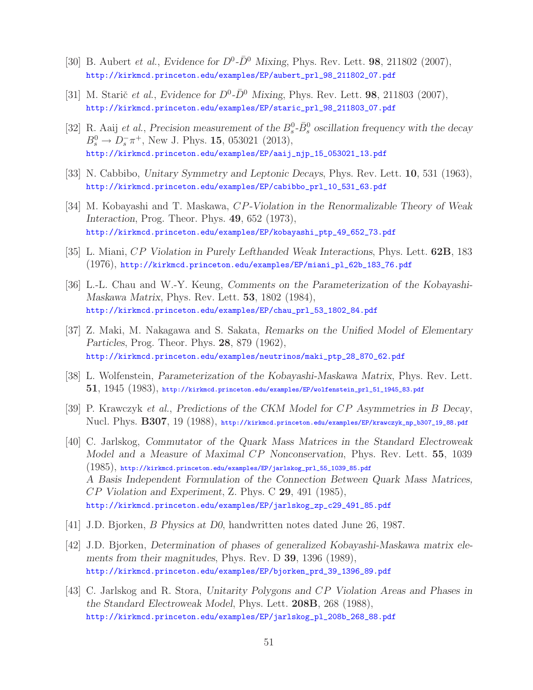- [30] B. Aubert *et al.*, *Evidence for*  $D^0$ - $\bar{D}^0$  *Mixing*, *Phys. Rev. Lett.* **98**, 211802 (2007), http://kirkmcd.princeton.edu/examples/EP/aubert\_prl\_98\_211802\_07.pdf
- [31] M. Starič *et al.*, *Evidence for*  $D^0$ - $\bar{D}^0$  *Mixing*, Phys. Rev. Lett. **98**, 211803 (2007), http://kirkmcd.princeton.edu/examples/EP/staric\_prl\_98\_211803\_07.pdf
- [32] R. Aaij *et al.*, *Precision measurement of the*  $B_s^0$ - $\bar{B}_s^0$  *oscillation frequency with the decay*  $B_s^0 \to D_s^- \pi^+$ , New J. Phys. **15**, 053021 (2013), http://kirkmcd.princeton.edu/examples/EP/aaij\_njp\_15\_053021\_13.pdf
- [33] N. Cabbibo, *Unitary Symmetry and Leptonic Decays*, Phys. Rev. Lett. **10**, 531 (1963), http://kirkmcd.princeton.edu/examples/EP/cabibbo\_prl\_10\_531\_63.pdf
- [34] M. Kobayashi and T. Maskawa, CP*-Violation in the Renormalizable Theory of Weak Interaction*, Prog. Theor. Phys. **49**, 652 (1973), http://kirkmcd.princeton.edu/examples/EP/kobayashi\_ptp\_49\_652\_73.pdf
- [35] L. Miani, CP *Violation in Purely Lefthanded Weak Interactions*, Phys. Lett. **62B**, 183 (1976), http://kirkmcd.princeton.edu/examples/EP/miani\_pl\_62b\_183\_76.pdf
- [36] L.-L. Chau and W.-Y. Keung, *Comments on the Parameterization of the Kobayashi-Maskawa Matrix*, Phys. Rev. Lett. **53**, 1802 (1984), http://kirkmcd.princeton.edu/examples/EP/chau\_prl\_53\_1802\_84.pdf
- [37] Z. Maki, M. Nakagawa and S. Sakata, *Remarks on the Unified Model of Elementary Particles*, Prog. Theor. Phys. **28**, 879 (1962), http://kirkmcd.princeton.edu/examples/neutrinos/maki\_ptp\_28\_870\_62.pdf
- [38] L. Wolfenstein, *Parameterization of the Kobayashi-Maskawa Matrix*, Phys. Rev. Lett. **51**, 1945 (1983), http://kirkmcd.princeton.edu/examples/EP/wolfenstein\_prl\_51\_1945\_83.pdf
- [39] P. Krawczyk *et al.*, *Predictions of the CKM Model for* CP *Asymmetries in* B *Decay*, Nucl. Phys. **B307**, 19 (1988), http://kirkmcd.princeton.edu/examples/EP/krawczyk\_np\_b307\_19\_88.pdf
- [40] C. Jarlskog, *Commutator of the Quark Mass Matrices in the Standard Electroweak Model and a Measure of Maximal* CP *Nonconservation*, Phys. Rev. Lett. **55**, 1039  $(1985)$ , http://kirkmcd.princeton.edu/examples/EP/jarlskog\_prl\_55\_1039\_85.pdf *A Basis Independent Formulation of the Connection Between Quark Mass Matrices,* CP *Violation and Experiment*, Z. Phys. C **29**, 491 (1985), http://kirkmcd.princeton.edu/examples/EP/jarlskog\_zp\_c29\_491\_85.pdf
- [41] J.D. Bjorken, B *Physics at D0*, handwritten notes dated June 26, 1987.
- [42] J.D. Bjorken, *Determination of phases of generalized Kobayashi-Maskawa matrix elements from their magnitudes*, Phys. Rev. D **39**, 1396 (1989), http://kirkmcd.princeton.edu/examples/EP/bjorken\_prd\_39\_1396\_89.pdf
- [43] C. Jarlskog and R. Stora, *Unitarity Polygons and* CP *Violation Areas and Phases in the Standard Electroweak Model*, Phys. Lett. **208B**, 268 (1988), http://kirkmcd.princeton.edu/examples/EP/jarlskog\_pl\_208b\_268\_88.pdf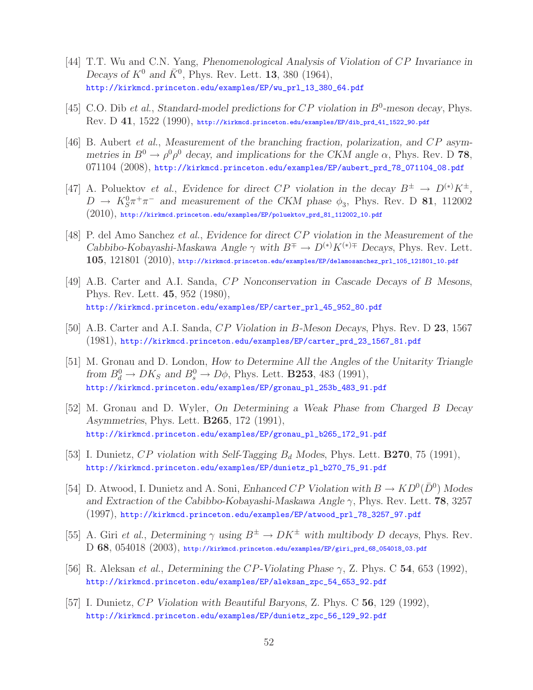- [44] T.T. Wu and C.N. Yang, *Phenomenological Analysis of Violation of* CP *Invariance in Decays of*  $K^0$  *and*  $\bar{K}^0$ , Phys. Rev. Lett. **13**, 380 (1964), http://kirkmcd.princeton.edu/examples/EP/wu\_prl\_13\_380\_64.pdf
- [45] C.O. Dib *et al.*, *Standard-model predictions for*  $CP$  *violation in*  $B^0$ -meson decay, Phys. Rev. D **41**, 1522 (1990), http://kirkmcd.princeton.edu/examples/EP/dib\_prd\_41\_1522\_90.pdf
- [46] B. Aubert *et al.*, *Measurement of the branching fraction, polarization, and* CP *asymmetries in*  $B^0 \to \rho^0 \rho^0$  *decay, and implications for the CKM angle*  $\alpha$ , Phys. Rev. D **78**, 071104 (2008), http://kirkmcd.princeton.edu/examples/EP/aubert\_prd\_78\_071104\_08.pdf
- [47] A. Poluektov *et al.*, *Evidence for direct CP violation in the decay*  $B^{\pm} \rightarrow D^{(*)}K^{\pm}$ ,  $D \rightarrow K_S^0 \pi^+ \pi^-$  and measurement of the CKM phase  $\phi_3$ , Phys. Rev. D **81**, 112002  $(2010)$ , http://kirkmcd.princeton.edu/examples/EP/poluektov\_prd\_81\_112002\_10.pdf
- [48] P. del Amo Sanchez *et al.*, *Evidence for direct* CP *violation in the Measurement of the Cabbibo-Kobayashi-Maskawa Angle*  $\gamma$  *with*  $B^{\mp} \to D^{(*)}K^{(*)\mp}$  *Decays*, Phys. Rev. Lett. **105**, 121801 (2010), http://kirkmcd.princeton.edu/examples/EP/delamosanchez\_prl\_105\_121801\_10.pdf
- [49] A.B. Carter and A.I. Sanda, CP *Nonconservation in Cascade Decays of* B *Mesons*, Phys. Rev. Lett. **45**, 952 (1980), http://kirkmcd.princeton.edu/examples/EP/carter\_prl\_45\_952\_80.pdf
- [50] A.B. Carter and A.I. Sanda, CP *Violation in* B*-Meson Decays*, Phys. Rev. D **23**, 1567 (1981), http://kirkmcd.princeton.edu/examples/EP/carter\_prd\_23\_1567\_81.pdf
- [51] M. Gronau and D. London, *How to Determine All the Angles of the Unitarity Triangle* from  $B_d^0 \to DK_S$  and  $B_s^0 \to D\phi$ , Phys. Lett. **B253**, 483 (1991), http://kirkmcd.princeton.edu/examples/EP/gronau\_pl\_253b\_483\_91.pdf
- [52] M. Gronau and D. Wyler, *On Determining a Weak Phase from Charged* B *Decay Asymmetries*, Phys. Lett. **B265**, 172 (1991), http://kirkmcd.princeton.edu/examples/EP/gronau\_pl\_b265\_172\_91.pdf
- [53] I. Dunietz, CP violation with Self-Tagging  $B_d$  Modes, Phys. Lett. **B270**, 75 (1991), http://kirkmcd.princeton.edu/examples/EP/dunietz\_pl\_b270\_75\_91.pdf
- [54] D. Atwood, I. Dunietz and A. Soni, *Enhanced CP Violation with*  $B \to KD^0(\bar{D}^0)$  *Modes and Extraction of the Cabibbo-Kobayashi-Maskawa Angle* γ, Phys. Rev. Lett. **78**, 3257 (1997), http://kirkmcd.princeton.edu/examples/EP/atwood\_prl\_78\_3257\_97.pdf
- [55] A. Giri *et al.*, *Determining*  $\gamma$  *using*  $B^{\pm} \rightarrow DK^{\pm}$  *with multibody D decays*, Phys. Rev. D **68**, 054018 (2003), http://kirkmcd.princeton.edu/examples/EP/giri\_prd\_68\_054018\_03.pdf
- [56] R. Aleksan *et al.*, *Determining the* CP*-Violating Phase* γ, Z. Phys. C **54**, 653 (1992), http://kirkmcd.princeton.edu/examples/EP/aleksan\_zpc\_54\_653\_92.pdf
- [57] I. Dunietz, CP *Violation with Beautiful Baryons*, Z. Phys. C **56**, 129 (1992), http://kirkmcd.princeton.edu/examples/EP/dunietz\_zpc\_56\_129\_92.pdf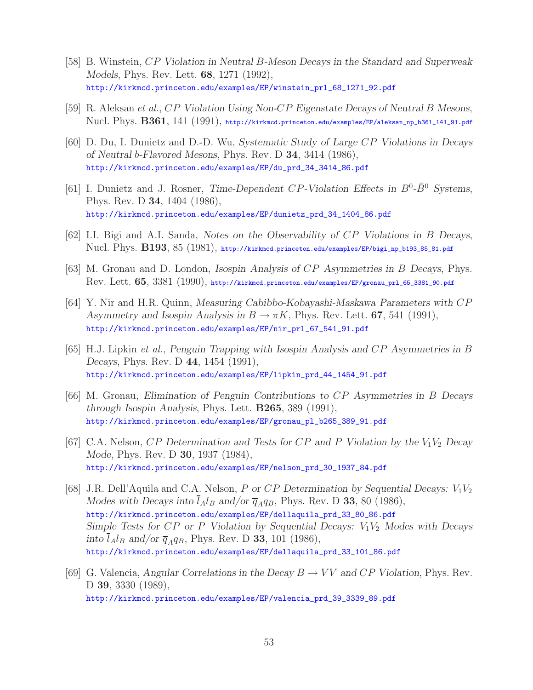- [58] B. Winstein, CP *Violation in Neutral* B*-Meson Decays in the Standard and Superweak Models*, Phys. Rev. Lett. **68**, 1271 (1992), http://kirkmcd.princeton.edu/examples/EP/winstein\_prl\_68\_1271\_92.pdf
- [59] R. Aleksan *et al.*, CP *Violation Using Non-*CP *Eigenstate Decays of Neutral* B *Mesons*, Nucl. Phys. **B361**, 141 (1991), http://kirkmcd.princeton.edu/examples/EP/aleksan\_np\_b361\_141\_91.pdf
- [60] D. Du, I. Dunietz and D.-D. Wu, *Systematic Study of Large* CP *Violations in Decays of Neutral* b*-Flavored Mesons*, Phys. Rev. D **34**, 3414 (1986), http://kirkmcd.princeton.edu/examples/EP/du\_prd\_34\_3414\_86.pdf
- [61] I. Dunietz and J. Rosner, *Time-Dependent CP-Violation Effects in*  $B^0$ - $\bar{B}^0$  *Systems*, Phys. Rev. D **34**, 1404 (1986), http://kirkmcd.princeton.edu/examples/EP/dunietz\_prd\_34\_1404\_86.pdf
- [62] I.I. Bigi and A.I. Sanda, *Notes on the Observability of* CP *Violations in* B *Decays*, Nucl. Phys. **B193**, 85 (1981), http://kirkmcd.princeton.edu/examples/EP/bigi\_np\_b193\_85\_81.pdf
- [63] M. Gronau and D. London, *Isospin Analysis of* CP *Asymmetries in* B *Decays*, Phys. Rev. Lett. **65**, 3381 (1990), http://kirkmcd.princeton.edu/examples/EP/gronau\_prl\_65\_3381\_90.pdf
- [64] Y. Nir and H.R. Quinn, *Measuring Cabibbo-Kobayashi-Maskawa Parameters with* CP *Asymmetry and Isospin Analysis in*  $B \to \pi K$ , Phys. Rev. Lett. **67**, 541 (1991), http://kirkmcd.princeton.edu/examples/EP/nir\_prl\_67\_541\_91.pdf
- [65] H.J. Lipkin *et al.*, *Penguin Trapping with Isospin Analysis and* CP *Asymmetries in* B *Decays*, Phys. Rev. D **44**, 1454 (1991), http://kirkmcd.princeton.edu/examples/EP/lipkin\_prd\_44\_1454\_91.pdf
- [66] M. Gronau, *Elimination of Penguin Contributions to* CP *Asymmetries in* B *Decays through Isospin Analysis*, Phys. Lett. **B265**, 389 (1991), http://kirkmcd.princeton.edu/examples/EP/gronau\_pl\_b265\_389\_91.pdf
- [67] C.A. Nelson, CP *Determination and Tests for* CP *and* P *Violation by the* V1V<sup>2</sup> *Decay Mode*, Phys. Rev. D **30**, 1937 (1984), http://kirkmcd.princeton.edu/examples/EP/nelson\_prd\_30\_1937\_84.pdf
- [68] J.R. Dell'Aquila and C.A. Nelson, P or CP Determination by Sequential Decays:  $V_1V_2$ *Modes with Decays into*  $\overline{l}_A l_B$  *and/or*  $\overline{q}_A q_B$ , Phys. Rev. D **33**, 80 (1986), http://kirkmcd.princeton.edu/examples/EP/dellaquila\_prd\_33\_80\_86.pdf *Simple Tests for CP or P Violation by Sequential Decays:*  $V_1V_2$  *Modes with Decays into*  $l_A l_B$  *and/or*  $\overline{q}_A q_B$ , Phys. Rev. D **33**, 101 (1986), http://kirkmcd.princeton.edu/examples/EP/dellaquila\_prd\_33\_101\_86.pdf
- [69] G. Valencia, *Angular Correlations in the Decay*  $B \to VV$  *and CP Violation*, Phys. Rev. D **39**, 3330 (1989), http://kirkmcd.princeton.edu/examples/EP/valencia\_prd\_39\_3339\_89.pdf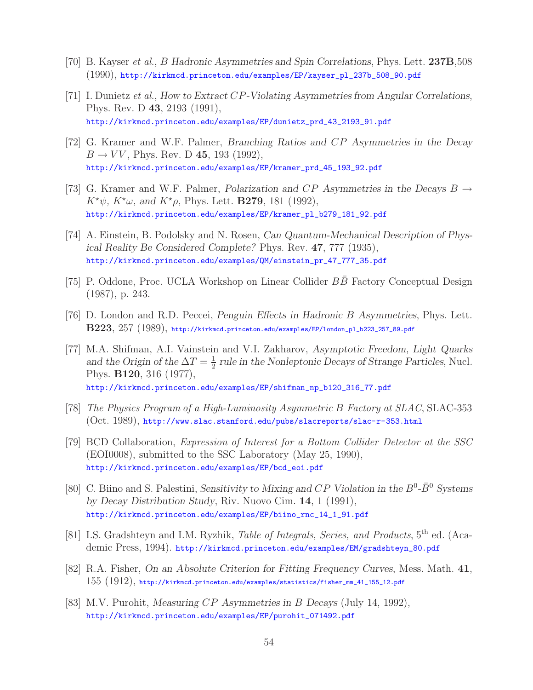- [70] B. Kayser *et al.*, B *Hadronic Asymmetries and Spin Correlations*, Phys. Lett. **237B**,508 (1990), http://kirkmcd.princeton.edu/examples/EP/kayser\_pl\_237b\_508\_90.pdf
- [71] I. Dunietz *et al.*, *How to Extract* CP*-Violating Asymmetries from Angular Correlations*, Phys. Rev. D **43**, 2193 (1991), http://kirkmcd.princeton.edu/examples/EP/dunietz\_prd\_43\_2193\_91.pdf
- [72] G. Kramer and W.F. Palmer, *Branching Ratios and* CP *Asymmetries in the Decay*  $B \to VV$ , Phys. Rev. D 45, 193 (1992), http://kirkmcd.princeton.edu/examples/EP/kramer\_prd\_45\_193\_92.pdf
- [73] G. Kramer and W.F. Palmer, *Polarization and* CP *Asymmetries in the Decays* B →  $K^{\star}\psi$ ,  $K^{\star}\omega$ , and  $K^{\star}\rho$ , Phys. Lett. **B279**, 181 (1992), http://kirkmcd.princeton.edu/examples/EP/kramer\_pl\_b279\_181\_92.pdf
- [74] A. Einstein, B. Podolsky and N. Rosen, *Can Quantum-Mechanical Description of Physical Reality Be Considered Complete?* Phys. Rev. **47**, 777 (1935), http://kirkmcd.princeton.edu/examples/QM/einstein\_pr\_47\_777\_35.pdf
- [75] P. Oddone, Proc. UCLA Workshop on Linear Collider BB Factory Conceptual Design (1987), p. 243.
- [76] D. London and R.D. Peccei, *Penguin Effects in Hadronic* B *Asymmetries*, Phys. Lett. **B223**, 257 (1989), http://kirkmcd.princeton.edu/examples/EP/london\_pl\_b223\_257\_89.pdf
- [77] M.A. Shifman, A.I. Vainstein and V.I. Zakharov, *Asymptotic Freedom, Light Quarks* and the Origin of the  $\Delta T = \frac{1}{2}$  *rule in the Nonleptonic Decays of Strange Particles*, Nucl. Phys. **B120**, 316 (1977), http://kirkmcd.princeton.edu/examples/EP/shifman\_np\_b120\_316\_77.pdf
- [78] *The Physics Program of a High-Luminosity Asymmetric* B *Factory at SLAC*, SLAC-353 (Oct. 1989), http://www.slac.stanford.edu/pubs/slacreports/slac-r-353.html
- [79] BCD Collaboration, *Expression of Interest for a Bottom Collider Detector at the SSC* (EOI0008), submitted to the SSC Laboratory (May 25, 1990), http://kirkmcd.princeton.edu/examples/EP/bcd\_eoi.pdf
- [80] C. Biino and S. Palestini, *Sensitivity to Mixing and CP Violation in the*  $B^0$ - $\bar{B}^0$  *Systems by Decay Distribution Study*, Riv. Nuovo Cim. **14**, 1 (1991), http://kirkmcd.princeton.edu/examples/EP/biino\_rnc\_14\_1\_91.pdf
- [81] I.S. Gradshteyn and I.M. Ryzhik, *Table of Integrals, Series, and Products*, 5th ed. (Academic Press, 1994). http://kirkmcd.princeton.edu/examples/EM/gradshteyn\_80.pdf
- [82] R.A. Fisher, *On an Absolute Criterion for Fitting Frequency Curves*, Mess. Math. **41**,  $155$   $(1912)$ , http://kirkmcd.princeton.edu/examples/statistics/fisher\_mm\_41\_155\_12.pdf
- [83] M.V. Purohit, *Measuring* CP *Asymmetries in* B *Decays* (July 14, 1992), http://kirkmcd.princeton.edu/examples/EP/purohit\_071492.pdf